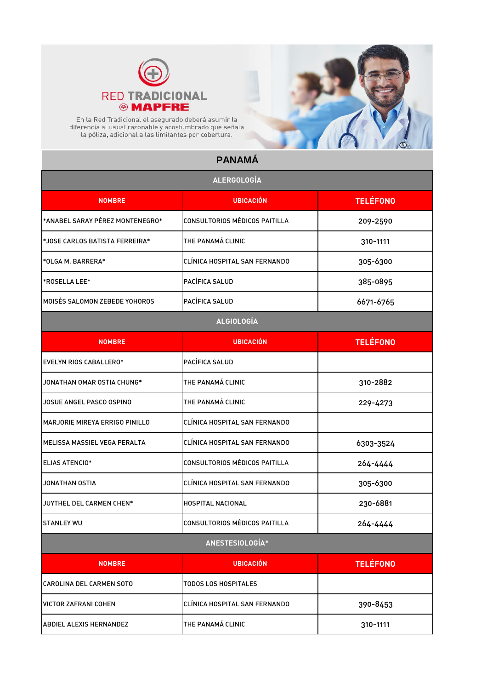

En la Red Tradicional el asegurado deberá asumir la<br>diferencia al usual razonable y acostumbrado que señala<br>la póliza, adicional a las limitantes por cobertura.

## **PANAMÁ**

| <b>ALERGOLOGÍA</b>              |                               |                 |
|---------------------------------|-------------------------------|-----------------|
| <b>NOMBRE</b>                   | <b>UBICACIÓN</b>              | <b>TELÉFONO</b> |
| *ANABEL SARAY PÉREZ MONTENEGRO* | CONSULTORIOS MÉDICOS PAITILLA | 209-2590        |
| *JOSE CARLOS BATISTA FERREIRA*  | THE PANAMÁ CLINIC             | 310-1111        |
| *OLGA M. BARRERA*               | CLÍNICA HOSPITAL SAN FERNANDO | 305-6300        |
| *ROSELLA LEE*                   | PACÍFICA SALUD                | 385-0895        |
| MOISÉS SALOMON ZEBEDE YOHOROS   | PACÍFICA SALUD                | 6671-6765       |
|                                 | <b>ALGIOLOGÍA</b>             |                 |
| <b>NOMBRE</b>                   | <b>UBICACIÓN</b>              | <b>TELÉFONO</b> |
| EVELYN RIOS CABALLERO*          | PACÍFICA SALUD                |                 |
| JONATHAN OMAR OSTIA CHUNG*      | THE PANAMÁ CLINIC             | 310-2882        |
| JOSUE ANGEL PASCO OSPINO        | THE PANAMÁ CLINIC             | 229-4273        |
| MARJORIE MIREYA ERRIGO PINILLO  | CLÍNICA HOSPITAL SAN FERNANDO |                 |
| MELISSA MASSIEL VEGA PERALTA    | CLÍNICA HOSPITAL SAN FERNANDO | 6303-3524       |
| <b>ELIAS ATENCIO*</b>           | CONSULTORIOS MÉDICOS PAITILLA | 264-4444        |
| JONATHAN OSTIA                  | CLÍNICA HOSPITAL SAN FERNANDO | 305-6300        |
| JUYTHEL DEL CARMEN CHEN*        | HOSPITAL NACIONAL             | 230-6881        |
| <b>STANLEY WU</b>               | CONSULTORIOS MÉDICOS PAITILLA | 264-4444        |
|                                 | ANESTESIOLOGÍA*               |                 |
| <b>NOMBRE</b>                   | <b>UBICACIÓN</b>              | <b>TELÉFONO</b> |
| CAROLINA DEL CARMEN SOTO        | <b>TODOS LOS HOSPITALES</b>   |                 |
| VICTOR ZAFRANI COHEN            | CLÍNICA HOSPITAL SAN FERNANDO | 390-8453        |
| ABDIEL ALEXIS HERNANDEZ         | THE PANAMÁ CLINIC             | 310-1111        |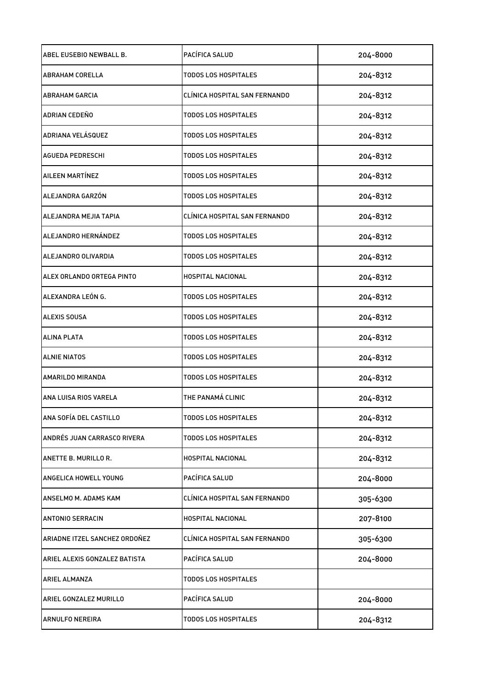| ABEL EUSEBIO NEWBALL B.       | PACÍFICA SALUD                | 204-8000 |
|-------------------------------|-------------------------------|----------|
| IABRAHAM CORELLA              | TODOS LOS HOSPITALES          | 204-8312 |
| <b>ABRAHAM GARCIA</b>         | CLÍNICA HOSPITAL SAN FERNANDO | 204-8312 |
| ADRIAN CEDEÑO                 | TODOS LOS HOSPITALES          | 204-8312 |
| <b>ADRIANA VELÁSQUEZ</b>      | <b>TODOS LOS HOSPITALES</b>   | 204-8312 |
| <b>AGUEDA PEDRESCHI</b>       | <b>TODOS LOS HOSPITALES</b>   | 204-8312 |
| AILEEN MARTÍNEZ               | TODOS LOS HOSPITALES          | 204-8312 |
| ALEJANDRA GARZÓN              | <b>TODOS LOS HOSPITALES</b>   | 204-8312 |
| ALEJANDRA MEJIA TAPIA         | CLÍNICA HOSPITAL SAN FERNANDO | 204-8312 |
| ALEJANDRO HERNÁNDEZ           | TODOS LOS HOSPITALES          | 204-8312 |
| ALEJANDRO OLIVARDIA           | TODOS LOS HOSPITALES          | 204-8312 |
| ALEX ORLANDO ORTEGA PINTO     | HOSPITAL NACIONAL             | 204-8312 |
| ALEXANDRA LEÓN G.             | <b>TODOS LOS HOSPITALES</b>   | 204-8312 |
| <b>ALEXIS SOUSA</b>           | TODOS LOS HOSPITALES          | 204-8312 |
| <b>ALINA PLATA</b>            | TODOS LOS HOSPITALES          | 204-8312 |
| <b>ALNIE NIATOS</b>           | TODOS LOS HOSPITALES          | 204-8312 |
| AMARILDO MIRANDA              | TODOS LOS HOSPITALES          | 204-8312 |
| ANA LUISA RIOS VARELA         | THE PANAMÁ CLINIC             | 204-8312 |
| ANA SOFÍA DEL CASTILLO        | <b>TODOS LOS HOSPITALES</b>   | 204-8312 |
| ANDRÉS JUAN CARRASCO RIVERA   | <b>TODOS LOS HOSPITALES</b>   | 204-8312 |
| ANETTE B. MURILLO R.          | HOSPITAL NACIONAL             | 204-8312 |
| ANGELICA HOWELL YOUNG         | PACÍFICA SALUD                | 204-8000 |
| ANSELMO M. ADAMS KAM          | CLÍNICA HOSPITAL SAN FERNANDO | 305-6300 |
| <b>ANTONIO SERRACIN</b>       | <b>HOSPITAL NACIONAL</b>      | 207-8100 |
| ARIADNE ITZEL SANCHEZ ORDOÑEZ | CLÍNICA HOSPITAL SAN FERNANDO | 305-6300 |
| ARIEL ALEXIS GONZALEZ BATISTA | PACÍFICA SALUD                | 204-8000 |
| <b>ARIEL ALMANZA</b>          | <b>TODOS LOS HOSPITALES</b>   |          |
| ARIEL GONZALEZ MURILLO        | PACÍFICA SALUD                | 204-8000 |
| ARNULFO NEREIRA               | <b>TODOS LOS HOSPITALES</b>   | 204-8312 |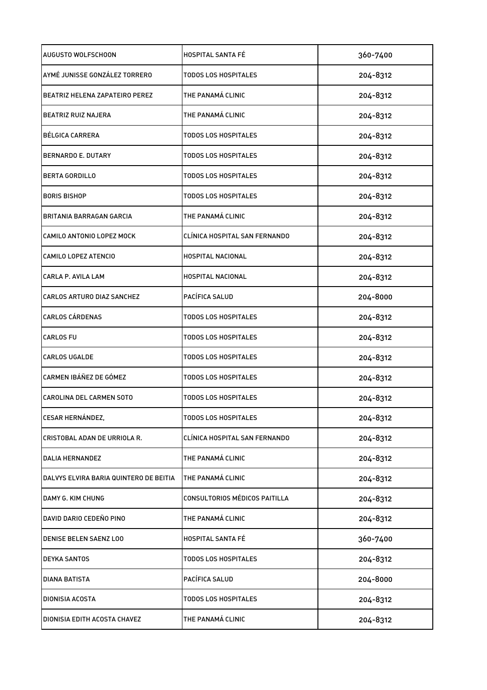| AUGUSTO WOLFSCHOON                     | <b>HOSPITAL SANTA FÉ</b>             | 360-7400 |
|----------------------------------------|--------------------------------------|----------|
| AYMÉ JUNISSE GONZÁLEZ TORRERO          | <b>TODOS LOS HOSPITALES</b>          | 204-8312 |
| BEATRIZ HELENA ZAPATEIRO PEREZ         | THE PANAMÁ CLINIC                    | 204-8312 |
| <b>BEATRIZ RUIZ NAJERA</b>             | THE PANAMÁ CLINIC                    | 204-8312 |
| BÉLGICA CARRERA                        | <b>TODOS LOS HOSPITALES</b>          | 204-8312 |
| BERNARDO E. DUTARY                     | <b>TODOS LOS HOSPITALES</b>          | 204-8312 |
| <b>BERTA GORDILLO</b>                  | <b>TODOS LOS HOSPITALES</b>          | 204-8312 |
| <b>BORIS BISHOP</b>                    | <b>TODOS LOS HOSPITALES</b>          | 204-8312 |
| BRITANIA BARRAGAN GARCIA               | THE PANAMÁ CLINIC                    | 204-8312 |
| CAMILO ANTONIO LOPEZ MOCK              | CLÍNICA HOSPITAL SAN FERNANDO        | 204-8312 |
| CAMILO LOPEZ ATENCIO                   | <b>HOSPITAL NACIONAL</b>             | 204-8312 |
| CARLA P. AVILA LAM                     | <b>HOSPITAL NACIONAL</b>             | 204-8312 |
| CARLOS ARTURO DIAZ SANCHEZ             | PACÍFICA SALUD                       | 204-8000 |
| CARLOS CÁRDENAS                        | TODOS LOS HOSPITALES                 | 204-8312 |
| CARLOS FU                              | TODOS LOS HOSPITALES                 | 204-8312 |
| CARLOS UGALDE                          | TODOS LOS HOSPITALES                 | 204-8312 |
| CARMEN IBÁÑEZ DE GÓMEZ                 | <b>TODOS LOS HOSPITALES</b>          | 204-8312 |
| CAROLINA DEL CARMEN SOTO               | <b>TODOS LOS HOSPITALES</b>          | 204-8312 |
| CESAR HERNÁNDEZ,                       | <b>TODOS LOS HOSPITALES</b>          | 204-8312 |
| CRISTOBAL ADAN DE URRIOLA R.           | CLÍNICA HOSPITAL SAN FERNANDO        | 204-8312 |
| <b>DALIA HERNANDEZ</b>                 | THE PANAMÁ CLINIC                    | 204-8312 |
| DALVYS ELVIRA BARIA QUINTERO DE BEITIA | THE PANAMÁ CLINIC                    | 204-8312 |
| DAMY G. KIM CHUNG                      | <b>CONSULTORIOS MÉDICOS PAITILLA</b> | 204-8312 |
| DAVID DARIO CEDEÑO PINO                | THE PANAMÁ CLINIC                    | 204-8312 |
| DENISE BELEN SAENZ LOO                 | HOSPITAL SANTA FÉ                    | 360-7400 |
| DEYKA SANTOS                           | TODOS LOS HOSPITALES                 | 204-8312 |
| DIANA BATISTA                          | PACÍFICA SALUD                       | 204-8000 |
| DIONISIA ACOSTA                        | <b>TODOS LOS HOSPITALES</b>          | 204-8312 |
| DIONISIA EDITH ACOSTA CHAVEZ           | THE PANAMÁ CLINIC                    | 204-8312 |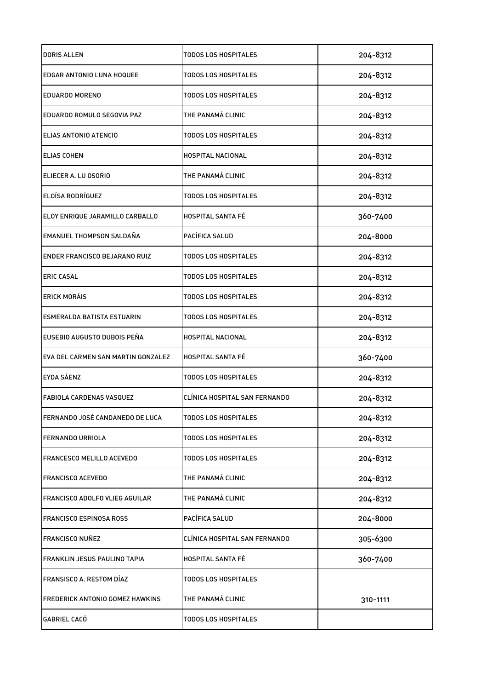| DORIS ALLEN                          | TODOS LOS HOSPITALES          | 204-8312 |
|--------------------------------------|-------------------------------|----------|
| <b>EDGAR ANTONIO LUNA HOQUEE</b>     | TODOS LOS HOSPITALES          | 204-8312 |
| <b>EDUARDO MORENO</b>                | <b>TODOS LOS HOSPITALES</b>   | 204-8312 |
| EDUARDO ROMULO SEGOVIA PAZ           | THE PANAMÁ CLINIC             | 204-8312 |
| ELIAS ANTONIO ATENCIO                | <b>TODOS LOS HOSPITALES</b>   | 204-8312 |
| <b>ELIAS COHEN</b>                   | HOSPITAL NACIONAL             | 204-8312 |
| ELIECER A. LU OSORIO                 | THE PANAMÁ CLINIC             | 204-8312 |
| <b>ELOÍSA RODRÍGUEZ</b>              | TODOS LOS HOSPITALES          | 204-8312 |
| ELOY ENRIQUE JARAMILLO CARBALLO      | <b>HOSPITAL SANTA FÉ</b>      | 360-7400 |
| <b>EMANUEL THOMPSON SALDAÑA</b>      | PACÍFICA SALUD                | 204-8000 |
| <b>ENDER FRANCISCO BEJARANO RUIZ</b> | <b>TODOS LOS HOSPITALES</b>   | 204-8312 |
| <b>ERIC CASAL</b>                    | <b>TODOS LOS HOSPITALES</b>   | 204-8312 |
| <b>ERICK MORÁIS</b>                  | TODOS LOS HOSPITALES          | 204-8312 |
| ESMERALDA BATISTA ESTUARIN           | TODOS LOS HOSPITALES          | 204-8312 |
| EUSEBIO AUGUSTO DUBOIS PEÑA          | <b>HOSPITAL NACIONAL</b>      | 204-8312 |
| EVA DEL CARMEN SAN MARTIN GONZALEZ   | <b>HOSPITAL SANTA FE</b>      | 360-7400 |
| EYDA SÁENZ                           | TODOS LOS HOSPITALES          | 204-8312 |
| <b>FABIOLA CARDENAS VASQUEZ</b>      | CLÍNICA HOSPITAL SAN FERNANDO | 204-8312 |
| FERNANDO JOSÉ CANDANEDO DE LUCA      | <b>TODOS LOS HOSPITALES</b>   | 204-8312 |
| <b>FERNANDO URRIOLA</b>              | <b>TODOS LOS HOSPITALES</b>   | 204-8312 |
| <b>FRANCESCO MELILLO ACEVEDO</b>     | <b>TODOS LOS HOSPITALES</b>   | 204-8312 |
| <b>FRANCISCO ACEVEDO</b>             | THE PANAMÁ CLINIC             | 204-8312 |
| FRANCISCO ADOLFO VLIEG AGUILAR       | THE PANAMÁ CLINIC             | 204-8312 |
| FRANCISCO ESPINOSA ROSS              | PACÍFICA SALUD                | 204-8000 |
| <b>FRANCISCO NUÑEZ</b>               | CLÍNICA HOSPITAL SAN FERNANDO | 305-6300 |
| FRANKLIN JESUS PAULINO TAPIA         | HOSPITAL SANTA FÉ             | 360-7400 |
| FRANSISCO A. RESTOM DÍAZ             | <b>TODOS LOS HOSPITALES</b>   |          |
| FREDERICK ANTONIO GOMEZ HAWKINS      | THE PANAMÁ CLINIC             | 310-1111 |
| GABRIEL CACÓ                         | <b>TODOS LOS HOSPITALES</b>   |          |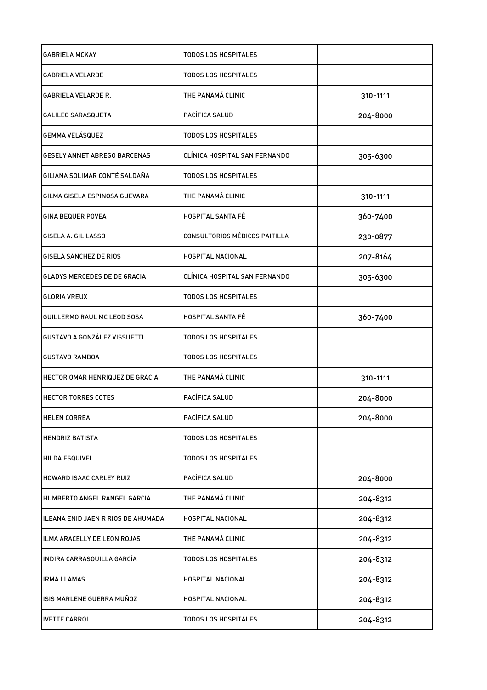| <b>GABRIELA MCKAY</b>               | TODOS LOS HOSPITALES          |          |
|-------------------------------------|-------------------------------|----------|
| <b>GABRIELA VELARDE</b>             | <b>TODOS LOS HOSPITALES</b>   |          |
| <b>GABRIELA VELARDE R.</b>          | THE PANAMÁ CLINIC             | 310-1111 |
| <b>GALILEO SARASQUETA</b>           | PACÍFICA SALUD                | 204-8000 |
| <b>GEMMA VELÁSQUEZ</b>              | <b>TODOS LOS HOSPITALES</b>   |          |
| <b>GESELY ANNET ABREGO BARCENAS</b> | CLÍNICA HOSPITAL SAN FERNANDO | 305-6300 |
| GILIANA SOLIMAR CONTÉ SALDAÑA       | <b>TODOS LOS HOSPITALES</b>   |          |
| GILMA GISELA ESPINOSA GUEVARA       | THE PANAMÁ CLINIC             | 310-1111 |
| <b>GINA BEQUER POVEA</b>            | HOSPITAL SANTA FÉ             | 360-7400 |
| GISELA A. GIL LASSO                 | CONSULTORIOS MÉDICOS PAITILLA | 230-0877 |
| GISELA SANCHEZ DE RIOS              | <b>HOSPITAL NACIONAL</b>      | 207-8164 |
| <b>GLADYS MERCEDES DE DE GRACIA</b> | CLÍNICA HOSPITAL SAN FERNANDO | 305-6300 |
| <b>GLORIA VREUX</b>                 | TODOS LOS HOSPITALES          |          |
| GUILLERMO RAUL MC LEOD SOSA         | <b>HOSPITAL SANTA FÉ</b>      | 360-7400 |
| GUSTAVO A GONZÁLEZ VISSUETTI        | <b>TODOS LOS HOSPITALES</b>   |          |
| <b>GUSTAVO RAMBOA</b>               | TODOS LOS HOSPITALES          |          |
| HECTOR OMAR HENRIQUEZ DE GRACIA     | THE PANAMÁ CLINIC             | 310-1111 |
| <b>HECTOR TORRES COTES</b>          | PACÍFICA SALUD                | 204-8000 |
| <b>HELEN CORREA</b>                 | PACÍFICA SALUD                | 204-8000 |
| <b>HENDRIZ BATISTA</b>              | TODOS LOS HOSPITALES          |          |
| <b>HILDA ESQUIVEL</b>               | TODOS LOS HOSPITALES          |          |
| HOWARD ISAAC CARLEY RUIZ            | PACÍFICA SALUD                | 204-8000 |
| HUMBERTO ANGEL RANGEL GARCIA        | THE PANAMÁ CLINIC             | 204-8312 |
| ILEANA ENID JAEN R RIOS DE AHUMADA  | HOSPITAL NACIONAL             | 204-8312 |
| ILMA ARACELLY DE LEON ROJAS         | THE PANAMÁ CLINIC             | 204-8312 |
| INDIRA CARRASQUILLA GARCÍA          | TODOS LOS HOSPITALES          | 204-8312 |
| <b>IRMA LLAMAS</b>                  | HOSPITAL NACIONAL             | 204-8312 |
| ISIS MARLENE GUERRA MUÑOZ           | HOSPITAL NACIONAL             | 204-8312 |
| <b>IVETTE CARROLL</b>               | TODOS LOS HOSPITALES          | 204-8312 |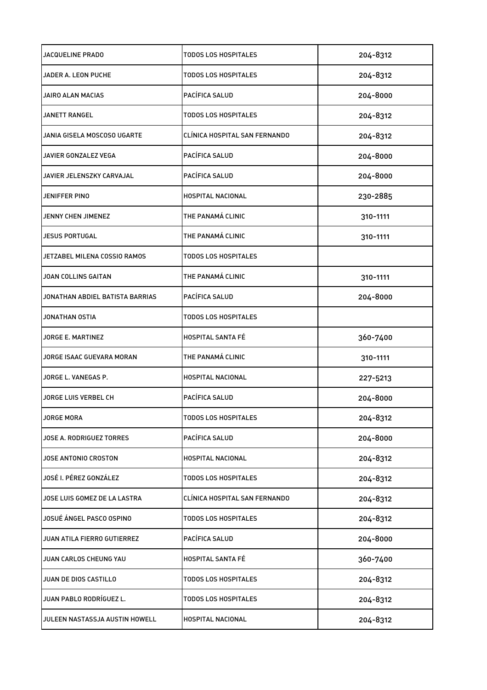| JACQUELINE PRADO                | TODOS LOS HOSPITALES          | 204-8312 |
|---------------------------------|-------------------------------|----------|
| JADER A. LEON PUCHE             | <b>TODOS LOS HOSPITALES</b>   | 204-8312 |
| JAIRO ALAN MACIAS               | PACÍFICA SALUD                | 204-8000 |
| <b>JANETT RANGEL</b>            | <b>TODOS LOS HOSPITALES</b>   | 204-8312 |
| JANIA GISELA MOSCOSO UGARTE     | CLÍNICA HOSPITAL SAN FERNANDO | 204-8312 |
| JAVIER GONZALEZ VEGA            | PACÍFICA SALUD                | 204-8000 |
| JAVIER JELENSZKY CARVAJAL       | PACÍFICA SALUD                | 204-8000 |
| JENIFFER PINO                   | HOSPITAL NACIONAL             | 230-2885 |
| JENNY CHEN JIMENEZ              | THE PANAMÁ CLINIC             | 310-1111 |
| JESUS PORTUGAL                  | THE PANAMÁ CLINIC             | 310-1111 |
| JETZABEL MILENA COSSIO RAMOS    | TODOS LOS HOSPITALES          |          |
| JOAN COLLINS GAITAN             | THE PANAMÁ CLINIC             | 310-1111 |
| JONATHAN ABDIEL BATISTA BARRIAS | PACÍFICA SALUD                | 204-8000 |
| JONATHAN OSTIA                  | TODOS LOS HOSPITALES          |          |
| JORGE E. MARTINEZ               | <b>HOSPITAL SANTA FÉ</b>      | 360-7400 |
| JORGE ISAAC GUEVARA MORAN       | THE PANAMÁ CLINIC             | 310-1111 |
| JORGE L. VANEGAS P.             | HOSPITAL NACIONAL             | 227-5213 |
| JORGE LUIS VERBEL CH            | PACÍFICA SALUD                | 204-8000 |
| <b>JORGE MORA</b>               | <b>TODOS LOS HOSPITALES</b>   | 204-8312 |
| JOSE A. RODRIGUEZ TORRES        | PACÍFICA SALUD                | 204-8000 |
| JOSE ANTONIO CROSTON            | HOSPITAL NACIONAL             | 204-8312 |
| JOSÉ I. PÉREZ GONZÁLEZ          | TODOS LOS HOSPITALES          | 204-8312 |
| JOSE LUIS GOMEZ DE LA LASTRA    | CLÍNICA HOSPITAL SAN FERNANDO | 204-8312 |
| JOSUÉ ÁNGEL PASCO OSPINO        | <b>TODOS LOS HOSPITALES</b>   | 204-8312 |
| JUAN ATILA FIERRO GUTIERREZ     | PACÍFICA SALUD                | 204-8000 |
| JUAN CARLOS CHEUNG YAU          | <b>HOSPITAL SANTA FÉ</b>      | 360-7400 |
| JUAN DE DIOS CASTILLO           | TODOS LOS HOSPITALES          | 204-8312 |
| JUAN PABLO RODRÍGUEZ L.         | <b>TODOS LOS HOSPITALES</b>   | 204-8312 |
| JULEEN NASTASSJA AUSTIN HOWELL  | HOSPITAL NACIONAL             | 204-8312 |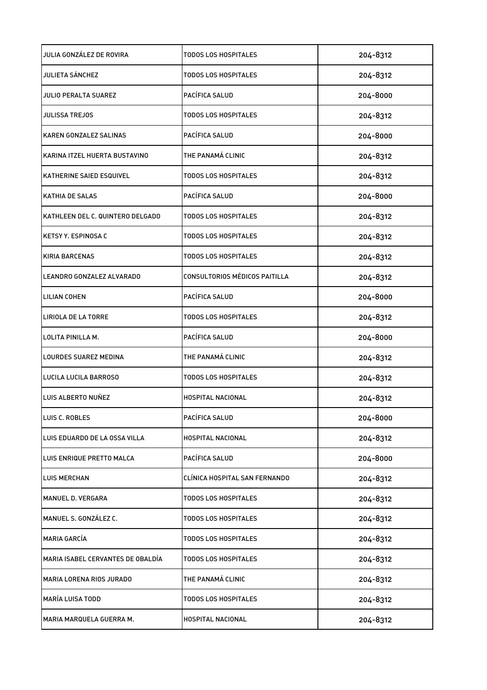| JULIA GONZÁLEZ DE ROVIRA          | TODOS LOS HOSPITALES          | 204-8312 |
|-----------------------------------|-------------------------------|----------|
| JULIETA SÁNCHEZ                   | TODOS LOS HOSPITALES          | 204-8312 |
| JULIO PERALTA SUAREZ              | PACÍFICA SALUD                | 204-8000 |
| <b>JULISSA TREJOS</b>             | <b>TODOS LOS HOSPITALES</b>   | 204-8312 |
| KAREN GONZALEZ SALINAS            | PACÍFICA SALUD                | 204-8000 |
| KARINA ITZEL HUERTA BUSTAVINO     | THE PANAMÁ CLINIC             | 204-8312 |
| KATHERINE SAIED ESQUIVEL          | <b>TODOS LOS HOSPITALES</b>   | 204-8312 |
| KATHIA DE SALAS                   | PACÍFICA SALUD                | 204-8000 |
| KATHLEEN DEL C. QUINTERO DELGADO  | TODOS LOS HOSPITALES          | 204-8312 |
| <b>KETSY Y. ESPINOSA C</b>        | TODOS LOS HOSPITALES          | 204-8312 |
| <b>KIRIA BARCENAS</b>             | TODOS LOS HOSPITALES          | 204-8312 |
| LEANDRO GONZALEZ ALVARADO         | CONSULTORIOS MÉDICOS PAITILLA | 204-8312 |
| LILIAN COHEN                      | PACÍFICA SALUD                | 204-8000 |
| LIRIOLA DE LA TORRE               | TODOS LOS HOSPITALES          | 204-8312 |
| LOLITA PINILLA M.                 | PACÍFICA SALUD                | 204-8000 |
| LOURDES SUAREZ MEDINA             | THE PANAMÁ CLINIC             | 204-8312 |
| LUCILA LUCILA BARROSO             | <b>TODOS LOS HOSPITALES</b>   | 204-8312 |
| LUIS ALBERTO NUÑEZ                | HOSPITAL NACIONAL             | 204-8312 |
| LUIS C. ROBLES                    | PACÍFICA SALUD                | 204-8000 |
| LUIS EDUARDO DE LA OSSA VILLA     | HOSPITAL NACIONAL             | 204-8312 |
| LUIS ENRIQUE PRETTO MALCA         | PACÍFICA SALUD                | 204-8000 |
| <b>LUIS MERCHAN</b>               | CLÍNICA HOSPITAL SAN FERNANDO | 204-8312 |
| MANUEL D. VERGARA                 | TODOS LOS HOSPITALES          | 204-8312 |
| MANUEL S. GONZÁLEZ C.             | <b>TODOS LOS HOSPITALES</b>   | 204-8312 |
| MARIA GARCÍA                      | <b>TODOS LOS HOSPITALES</b>   | 204-8312 |
| MARIA ISABEL CERVANTES DE OBALDÍA | <b>TODOS LOS HOSPITALES</b>   | 204-8312 |
| MARIA LORENA RIOS JURADO          | THE PANAMÁ CLINIC             | 204-8312 |
| <b>MARÍA LUISA TODD</b>           | <b>TODOS LOS HOSPITALES</b>   | 204-8312 |
| MARIA MARQUELA GUERRA M.          | HOSPITAL NACIONAL             | 204-8312 |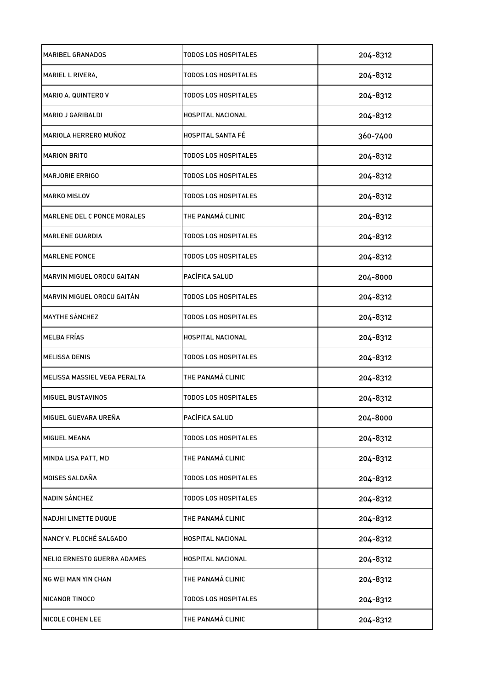| <b>MARIBEL GRANADOS</b>      | TODOS LOS HOSPITALES        | 204-8312 |
|------------------------------|-----------------------------|----------|
| MARIEL L RIVERA,             | TODOS LOS HOSPITALES        | 204-8312 |
| <b>MARIO A. QUINTERO V</b>   | TODOS LOS HOSPITALES        | 204-8312 |
| MARIO J GARIBALDI            | HOSPITAL NACIONAL           | 204-8312 |
| <b>MARIOLA HERRERO MUÑOZ</b> | <b>HOSPITAL SANTA FÉ</b>    | 360-7400 |
| <b>MARION BRITO</b>          | TODOS LOS HOSPITALES        | 204-8312 |
| MARJORIE ERRIGO              | <b>TODOS LOS HOSPITALES</b> | 204-8312 |
| <b>MARKO MISLOV</b>          | TODOS LOS HOSPITALES        | 204-8312 |
| MARLENE DEL C PONCE MORALES  | THE PANAMÁ CLINIC           | 204-8312 |
| <b>MARLENE GUARDIA</b>       | TODOS LOS HOSPITALES        | 204-8312 |
| <b>MARLENE PONCE</b>         | TODOS LOS HOSPITALES        | 204-8312 |
| MARVIN MIGUEL OROCU GAITAN   | PACÍFICA SALUD              | 204-8000 |
| MARVIN MIGUEL OROCU GAITÁN   | TODOS LOS HOSPITALES        | 204-8312 |
| <b>MAYTHE SÁNCHEZ</b>        | TODOS LOS HOSPITALES        | 204-8312 |
| <b>MELBA FRÍAS</b>           | HOSPITAL NACIONAL           | 204-8312 |
| <b>MELISSA DENIS</b>         | TODOS LOS HOSPITALES        | 204-8312 |
| MELISSA MASSIEL VEGA PERALTA | THE PANAMÁ CLINIC           | 204-8312 |
| MIGUEL BUSTAVINOS            | TODOS LOS HOSPITALES        | 204-8312 |
| MIGUEL GUEVARA UREÑA         | PACÍFICA SALUD              | 204-8000 |
| <b>MIGUEL MEANA</b>          | <b>TODOS LOS HOSPITALES</b> | 204-8312 |
| MINDA LISA PATT, MD          | THE PANAMÁ CLINIC           | 204-8312 |
| MOISES SALDAÑA               | <b>TODOS LOS HOSPITALES</b> | 204-8312 |
| NADIN SÁNCHEZ                | TODOS LOS HOSPITALES        | 204-8312 |
| <b>NADJHI LINETTE DUQUE</b>  | THE PANAMÁ CLINIC           | 204-8312 |
| NANCY V. PLOCHÉ SALGADO      | HOSPITAL NACIONAL           | 204-8312 |
| NELIO ERNESTO GUERRA ADAMES  | HOSPITAL NACIONAL           | 204-8312 |
| NG WEI MAN YIN CHAN          | THE PANAMÁ CLINIC           | 204-8312 |
| NICANOR TINOCO               | <b>TODOS LOS HOSPITALES</b> | 204-8312 |
| NICOLE COHEN LEE             | THE PANAMÁ CLINIC           | 204-8312 |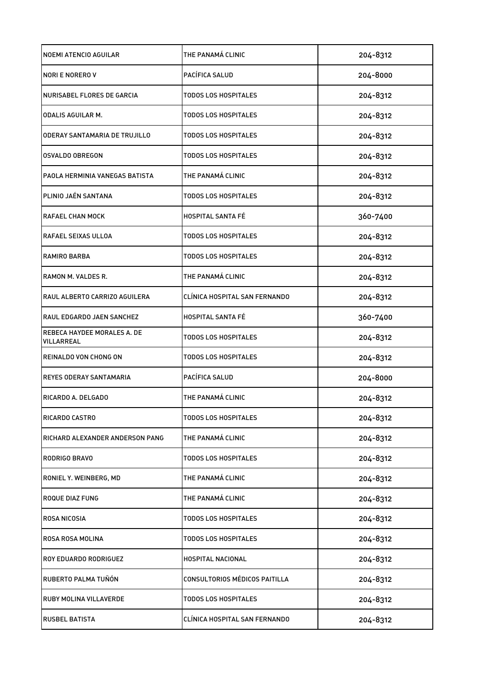| <b>NOEMI ATENCIO AGUILAR</b>              | THE PANAMÁ CLINIC             | 204-8312 |
|-------------------------------------------|-------------------------------|----------|
| NORI E NORERO V                           | PACÍFICA SALUD                | 204-8000 |
| NURISABEL FLORES DE GARCIA                | TODOS LOS HOSPITALES          | 204-8312 |
| <b>ODALIS AGUILAR M.</b>                  | TODOS LOS HOSPITALES          | 204-8312 |
| ODERAY SANTAMARIA DE TRUJILLO             | <b>TODOS LOS HOSPITALES</b>   | 204-8312 |
| <b>OSVALDO OBREGON</b>                    | TODOS LOS HOSPITALES          | 204-8312 |
| PAOLA HERMINIA VANEGAS BATISTA            | THE PANAMÁ CLINIC             | 204-8312 |
| PLINIO JAÉN SANTANA                       | TODOS LOS HOSPITALES          | 204-8312 |
| <b>RAFAEL CHAN MOCK</b>                   | <b>HOSPITAL SANTA FÉ</b>      | 360-7400 |
| <b>RAFAEL SEIXAS ULLOA</b>                | TODOS LOS HOSPITALES          | 204-8312 |
| RAMIRO BARBA                              | <b>TODOS LOS HOSPITALES</b>   | 204-8312 |
| RAMON M. VALDES R.                        | THE PANAMÁ CLINIC             | 204-8312 |
| RAUL ALBERTO CARRIZO AGUILERA             | CLÍNICA HOSPITAL SAN FERNANDO | 204-8312 |
| RAUL EDGARDO JAEN SANCHEZ                 | <b>HOSPITAL SANTA FÉ</b>      | 360-7400 |
| REBECA HAYDEE MORALES A. DE<br>VILLARREAL | TODOS LOS HOSPITALES          | 204-8312 |
| REINALDO VON CHONG ON                     | <b>TODOS LOS HOSPITALES</b>   | 204-8312 |
| <b>REYES ODERAY SANTAMARIA</b>            | PACÍFICA SALUD                | 204-8000 |
| RICARDO A. DELGADO                        | THE PANAMÁ CLINIC             | 204-8312 |
| RICARDO CASTRO                            | TODOS LOS HOSPITALES          | 204-8312 |
| RICHARD ALEXANDER ANDERSON PANG           | THE PANAMÁ CLINIC             | 204-8312 |
| <b>RODRIGO BRAVO</b>                      | <b>TODOS LOS HOSPITALES</b>   | 204-8312 |
| RONIEL Y. WEINBERG, MD                    | THE PANAMÁ CLINIC             | 204-8312 |
| <b>ROQUE DIAZ FUNG</b>                    | THE PANAMÁ CLINIC             | 204-8312 |
| ROSA NICOSIA                              | <b>TODOS LOS HOSPITALES</b>   | 204-8312 |
| ROSA ROSA MOLINA                          | TODOS LOS HOSPITALES          | 204-8312 |
| ROY EDUARDO RODRIGUEZ                     | HOSPITAL NACIONAL             | 204-8312 |
| RUBERTO PALMA TUÑÓN                       | CONSULTORIOS MÉDICOS PAITILLA | 204-8312 |
| <b>RUBY MOLINA VILLAVERDE</b>             | <b>TODOS LOS HOSPITALES</b>   | 204-8312 |
| <b>RUSBEL BATISTA</b>                     | CLÍNICA HOSPITAL SAN FERNANDO | 204-8312 |
|                                           |                               |          |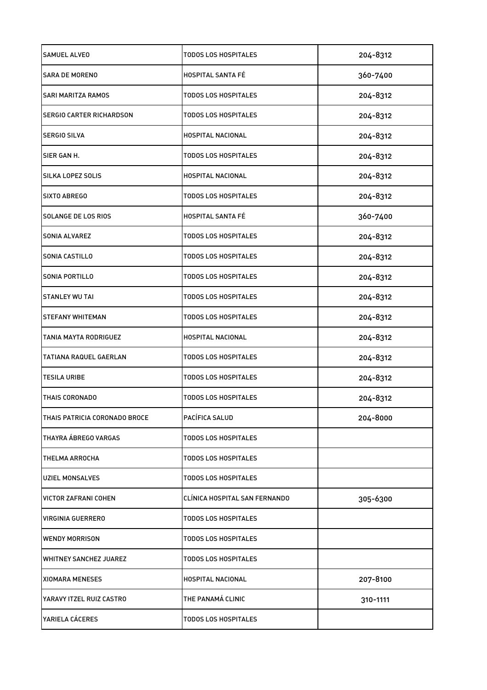| <b>SAMUEL ALVEO</b>             | TODOS LOS HOSPITALES          | 204-8312 |
|---------------------------------|-------------------------------|----------|
| <b>SARA DE MORENO</b>           | <b>HOSPITAL SANTA FE</b>      | 360-7400 |
| <b>SARI MARITZA RAMOS</b>       | TODOS LOS HOSPITALES          | 204-8312 |
| <b>SERGIO CARTER RICHARDSON</b> | TODOS LOS HOSPITALES          | 204-8312 |
| <b>SERGIO SILVA</b>             | HOSPITAL NACIONAL             | 204-8312 |
| SIER GAN H.                     | <b>TODOS LOS HOSPITALES</b>   | 204-8312 |
| SILKA LOPEZ SOLIS               | HOSPITAL NACIONAL             | 204-8312 |
| SIXTO ABREGO                    | TODOS LOS HOSPITALES          | 204-8312 |
| SOLANGE DE LOS RIOS             | <b>HOSPITAL SANTA FÉ</b>      | 360-7400 |
| <b>SONIA ALVAREZ</b>            | <b>TODOS LOS HOSPITALES</b>   | 204-8312 |
| <b>SONIA CASTILLO</b>           | TODOS LOS HOSPITALES          | 204-8312 |
| SONIA PORTILLO                  | TODOS LOS HOSPITALES          | 204-8312 |
| STANLEY WU TAI                  | TODOS LOS HOSPITALES          | 204-8312 |
| <b>STEFANY WHITEMAN</b>         | TODOS LOS HOSPITALES          | 204-8312 |
| TANIA MAYTA RODRIGUEZ           | HOSPITAL NACIONAL             | 204-8312 |
| TATIANA RAQUEL GAERLAN          | TODOS LOS HOSPITALES          | 204-8312 |
| <b>TESILA URIBE</b>             | <b>TODOS LOS HOSPITALES</b>   | 204-8312 |
| THAIS CORONADO                  | TODOS LOS HOSPITALES          | 204-8312 |
| THAIS PATRICIA CORONADO BROCE   | PACÍFICA SALUD                | 204-8000 |
| THAYRA ÁBREGO VARGAS            | <b>TODOS LOS HOSPITALES</b>   |          |
| THELMA ARROCHA                  | TODOS LOS HOSPITALES          |          |
| <b>UZIEL MONSALVES</b>          | <b>TODOS LOS HOSPITALES</b>   |          |
| VICTOR ZAFRANI COHEN            | CLÍNICA HOSPITAL SAN FERNANDO | 305-6300 |
| VIRGINIA GUERRERO               | TODOS LOS HOSPITALES          |          |
| <b>WENDY MORRISON</b>           | TODOS LOS HOSPITALES          |          |
| <b>WHITNEY SANCHEZ JUAREZ</b>   | TODOS LOS HOSPITALES          |          |
| XIOMARA MENESES                 | HOSPITAL NACIONAL             | 207-8100 |
| YARAVY ITZEL RUIZ CASTRO        | THE PANAMÁ CLINIC             | 310-1111 |
| YARIELA CÁCERES                 | <b>TODOS LOS HOSPITALES</b>   |          |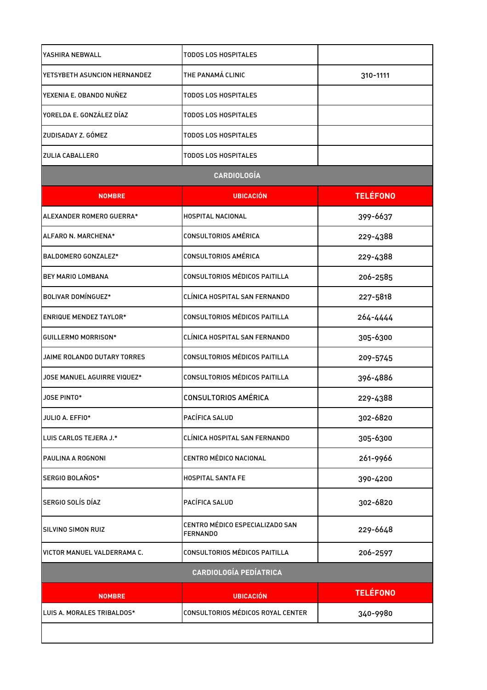| YASHIRA NEBWALL               | TODOS LOS HOSPITALES                               |                 |
|-------------------------------|----------------------------------------------------|-----------------|
| YETSYBETH ASUNCION HERNANDEZ  | THE PANAMÁ CLINIC                                  | 310-1111        |
| YEXENIA E. OBANDO NUÑEZ       | TODOS LOS HOSPITALES                               |                 |
| YORELDA E. GONZÁLEZ DÍAZ      | TODOS LOS HOSPITALES                               |                 |
| ZUDISADAY Z. GÓMEZ            | <b>TODOS LOS HOSPITALES</b>                        |                 |
| ZULIA CABALLERO               | TODOS LOS HOSPITALES                               |                 |
|                               | <b>CARDIOLOGÍA</b>                                 |                 |
| <b>NOMBRE</b>                 | <b>UBICACIÓN</b>                                   | <b>TELÉFONO</b> |
| ALEXANDER ROMERO GUERRA*      | HOSPITAL NACIONAL                                  | 399-6637        |
| ALFARO N. MARCHENA*           | CONSULTORIOS AMÉRICA                               | 229-4388        |
| BALDOMERO GONZALEZ*           | CONSULTORIOS AMÉRICA                               | 229-4388        |
| <b>BEY MARIO LOMBANA</b>      | CONSULTORIOS MÉDICOS PAITILLA                      | 206-2585        |
| <b>BOLIVAR DOMÍNGUEZ*</b>     | CLÍNICA HOSPITAL SAN FERNANDO                      | 227-5818        |
| <b>ENRIQUE MENDEZ TAYLOR*</b> | CONSULTORIOS MÉDICOS PAITILLA                      | 264-4444        |
| <b>GUILLERMO MORRISON*</b>    | CLÍNICA HOSPITAL SAN FERNANDO                      | 305-6300        |
| JAIME ROLANDO DUTARY TORRES   | CONSULTORIOS MÉDICOS PAITILLA                      | 209-5745        |
| JOSE MANUEL AGUIRRE VIQUEZ*   | CONSULTORIOS MÉDICOS PAITILLA                      | 396-4886        |
| JOSE PINTO*                   | <b>CONSULTORIOS AMÉRICA</b>                        | 229-4388        |
| JULIO A. EFFIO*               | PACÍFICA SALUD                                     | 302-6820        |
| LUIS CARLOS TEJERA J.*        | CLÍNICA HOSPITAL SAN FERNANDO                      | 305-6300        |
| PAULINA A ROGNONI             | CENTRO MÉDICO NACIONAL                             | 261-9966        |
| SERGIO BOLAÑOS*               | <b>HOSPITAL SANTA FE</b>                           | 390-4200        |
| SERGIO SOLÍS DÍAZ             | PACÍFICA SALUD                                     | 302-6820        |
| SILVINO SIMON RUIZ            | CENTRO MÉDICO ESPECIALIZADO SAN<br><b>FERNANDO</b> | 229-6648        |
| VICTOR MANUEL VALDERRAMA C.   | CONSULTORIOS MÉDICOS PAITILLA                      | 206-2597        |
|                               | <b>CARDIOLOGÍA PEDÍATRICA</b>                      |                 |
| <b>NOMBRE</b>                 | <b>UBICACIÓN</b>                                   | <b>TELÉFONO</b> |
| LUIS A. MORALES TRIBALDOS*    | CONSULTORIOS MÉDICOS ROYAL CENTER                  | 340-9980        |
|                               |                                                    |                 |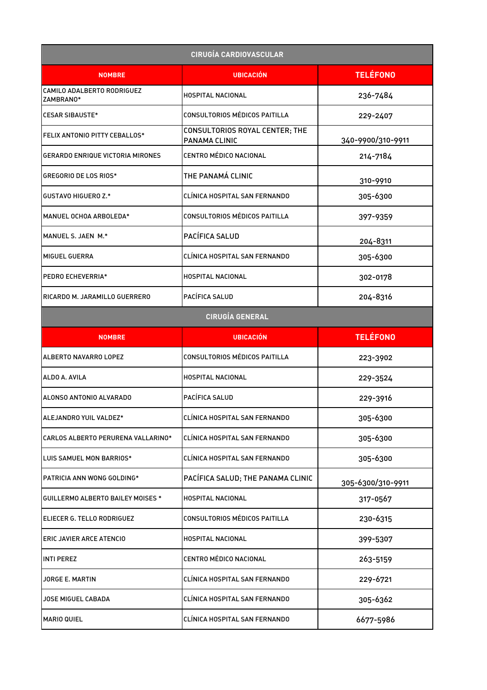| <b>CIRUGÍA CARDIOVASCULAR</b>           |                                                 |                   |
|-----------------------------------------|-------------------------------------------------|-------------------|
| <b>NOMBRE</b>                           | <b>UBICACIÓN</b>                                | <b>TELÉFONO</b>   |
| CAMILO ADALBERTO RODRIGUEZ<br>ZAMBRANO* | HOSPITAL NACIONAL                               | 236-7484          |
| <b>CESAR SIBAUSTE*</b>                  | CONSULTORIOS MÉDICOS PAITILLA                   | 229-2407          |
| <b>FELIX ANTONIO PITTY CEBALLOS*</b>    | CONSULTORIOS ROYAL CENTER; THE<br>PANAMA CLINIC | 340-9900/310-9911 |
| <b>GERARDO ENRIQUE VICTORIA MIRONES</b> | CENTRO MÉDICO NACIONAL                          | 214-7184          |
| GREGORIO DE LOS RIOS*                   | THE PANAMÁ CLINIC                               | 310-9910          |
| <b>GUSTAVO HIGUERO Z.*</b>              | CLÍNICA HOSPITAL SAN FERNANDO                   | 305-6300          |
| MANUEL OCHOA ARBOLEDA*                  | <b>CONSULTORIOS MÉDICOS PAITILLA</b>            | 397-9359          |
| MANUEL S. JAEN M.*                      | PACÍFICA SALUD                                  | 204-8311          |
| MIGUEL GUERRA                           | CLÍNICA HOSPITAL SAN FERNANDO                   | 305-6300          |
| PEDRO ECHEVERRIA*                       | HOSPITAL NACIONAL                               | 302-0178          |
| RICARDO M. JARAMILLO GUERRERO           | PACÍFICA SALUD                                  | 204-8316          |
|                                         | <b>CIRUGÍA GENERAL</b>                          |                   |
| <b>NOMBRE</b>                           | <b>UBICACIÓN</b>                                | <b>TELÉFONO</b>   |
| ALBERTO NAVARRO LOPEZ                   | CONSULTORIOS MÉDICOS PAITILLA                   | 223-3902          |
| ALDO A. AVILA                           | HOSPITAL NACIONAL                               | 229-3524          |
| ALONSO ANTONIO ALVARADO                 | PACÍFICA SALUD                                  | 229-3916          |
| ALEJANDRO YUIL VALDEZ*                  | CLÍNICA HOSPITAL SAN FERNANDO                   | 305-6300          |
| CARLOS ALBERTO PERURENA VALLARINO*      | CLÍNICA HOSPITAL SAN FERNANDO                   | 305-6300          |
| LUIS SAMUEL MON BARRIOS*                | CLÍNICA HOSPITAL SAN FERNANDO                   | 305-6300          |
| PATRICIA ANN WONG GOLDING*              | PACÍFICA SALUD; THE PANAMA CLINIC               | 305-6300/310-9911 |
| GUILLERMO ALBERTO BAILEY MOISES *       | HOSPITAL NACIONAL                               | 317-0567          |
| ELIECER G. TELLO RODRIGUEZ              | CONSULTORIOS MÉDICOS PAITILLA                   | 230-6315          |
| <b>ERIC JAVIER ARCE ATENCIO</b>         | HOSPITAL NACIONAL                               | 399-5307          |
| <b>INTI PEREZ</b>                       | CENTRO MÉDICO NACIONAL                          | 263-5159          |
| JORGE E. MARTIN                         | CLÍNICA HOSPITAL SAN FERNANDO                   | 229-6721          |
| JOSE MIGUEL CABADA                      | CLÍNICA HOSPITAL SAN FERNANDO                   | 305-6362          |
| <b>MARIO QUIEL</b>                      | CLÍNICA HOSPITAL SAN FERNANDO                   | 6677-5986         |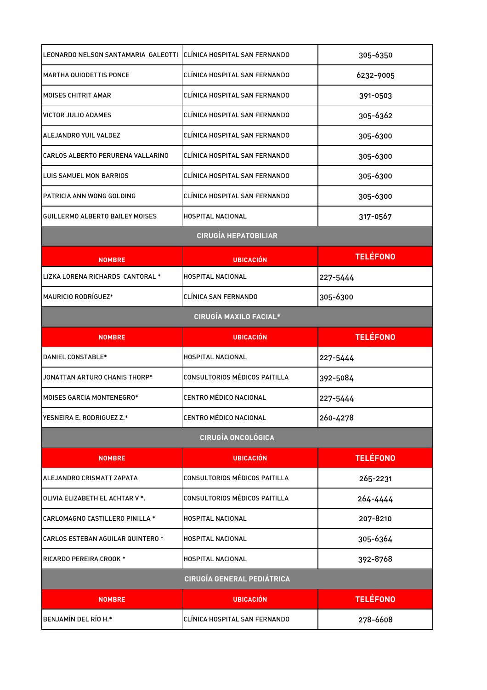| LEONARDO NELSON SANTAMARIA  GALEOTTI  CLÍNICA HOSPITAL SAN FERNANDO                                                                |                                      | 305-6350        |
|------------------------------------------------------------------------------------------------------------------------------------|--------------------------------------|-----------------|
| <b>MARTHA QUIODETTIS PONCE</b>                                                                                                     | CLINICA HOSPITAL SAN FERNANDO        | 6232-9005       |
| <b>MOISES CHITRIT AMAR</b>                                                                                                         | CLÍNICA HOSPITAL SAN FERNANDO        | 391-0503        |
| VICTOR JULIO ADAMES                                                                                                                | CLÍNICA HOSPITAL SAN FERNANDO        | 305-6362        |
| ALEJANDRO YUIL VALDEZ                                                                                                              | CLÍNICA HOSPITAL SAN FERNANDO        | 305-6300        |
| CARLOS ALBERTO PERURENA VALLARINO                                                                                                  | CLÍNICA HOSPITAL SAN FERNANDO        | 305-6300        |
| LUIS SAMUEL MON BARRIOS                                                                                                            | CLÍNICA HOSPITAL SAN FERNANDO        | 305-6300        |
| PATRICIA ANN WONG GOLDING                                                                                                          | CLÍNICA HOSPITAL SAN FERNANDO        | 305-6300        |
| GUILLERMO ALBERTO BAILEY MOISES                                                                                                    | HOSPITAL NACIONAL                    | 317-0567        |
|                                                                                                                                    | <b>CIRUGÍA HEPATOBILIAR</b>          |                 |
| <b>NOMBRE</b>                                                                                                                      | <b>UBICACIÓN</b>                     | <b>TELÉFONO</b> |
| LIZKA LORENA RICHARDS CANTORAL *                                                                                                   | HOSPITAL NACIONAL                    | 227-5444        |
| <b>MAURICIO RODRÍGUEZ*</b>                                                                                                         | CLÍNICA SAN FERNANDO                 | 305-6300        |
|                                                                                                                                    | <b>CIRUGÍA MAXILO FACIAL*</b>        |                 |
| <b>NOMBRE</b>                                                                                                                      | <b>UBICACIÓN</b>                     | <b>TELÉFONO</b> |
| DANIEL CONSTABLE*                                                                                                                  | <b>HOSPITAL NACIONAL</b>             | 227-5444        |
| JONATTAN ARTURO CHANIS THORP*                                                                                                      | <b>CONSULTORIOS MÉDICOS PAITILLA</b> | 392-5084        |
| <b>MOISES GARCIA MONTENEGRO*</b>                                                                                                   | <b>CENTRO MÉDICO NACIONAL</b>        | 227-5444        |
| YESNEIRA E. RODRIGUEZ Z.*                                                                                                          | <b>CENTRO MÉDICO NACIONAL</b>        | 260-4278        |
|                                                                                                                                    | <b>CIRUGÍA ONCOLÓGICA</b>            |                 |
| <b>NOMBRE</b>                                                                                                                      | <b>UBICACIÓN</b>                     | <b>TELÉFONO</b> |
| ALEJANDRO CRISMATT ZAPATA                                                                                                          | CONSULTORIOS MÉDICOS PAITILLA        | 265-2231        |
|                                                                                                                                    |                                      |                 |
|                                                                                                                                    | CONSULTORIOS MÉDICOS PAITILLA        | 264-4444        |
|                                                                                                                                    | HOSPITAL NACIONAL                    | 207-8210        |
|                                                                                                                                    | HOSPITAL NACIONAL                    | 305-6364        |
| OLIVIA ELIZABETH EL ACHTAR V *.<br>CARLOMAGNO CASTILLERO PINILLA *<br>CARLOS ESTEBAN AGUILAR QUINTERO *<br>RICARDO PEREIRA CROOK * | HOSPITAL NACIONAL                    | 392-8768        |
|                                                                                                                                    | <b>CIRUGÍA GENERAL PEDIÁTRICA</b>    |                 |
| <b>NOMBRE</b>                                                                                                                      | <b>UBICACIÓN</b>                     | <b>TELÉFONO</b> |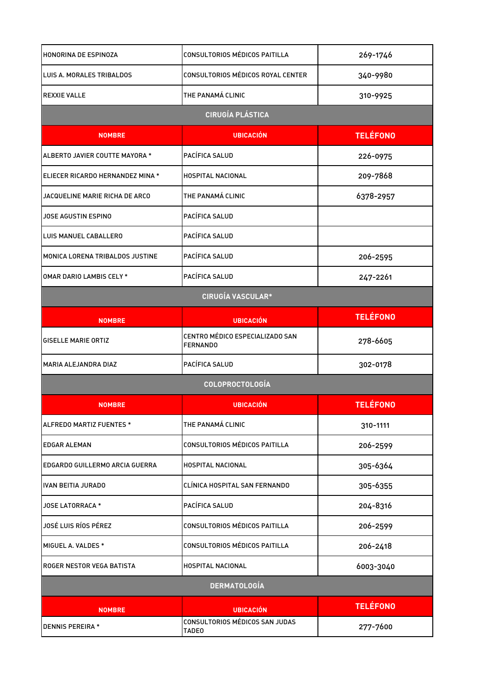| HONORINA DE ESPINOZA             | CONSULTORIOS MÉDICOS PAITILLA                      | 269-1746        |
|----------------------------------|----------------------------------------------------|-----------------|
| LUIS A. MORALES TRIBALDOS        | CONSULTORIOS MÉDICOS ROYAL CENTER                  | 340-9980        |
| <b>REXXIE VALLE</b>              | THE PANAMÁ CLINIC                                  | 310-9925        |
|                                  | <b>CIRUGÍA PLÁSTICA</b>                            |                 |
| <b>NOMBRE</b>                    | <b>UBICACIÓN</b>                                   | <b>TELÉFONO</b> |
| ALBERTO JAVIER COUTTE MAYORA *   | PACÍFICA SALUD                                     | 226-0975        |
| ELIECER RICARDO HERNANDEZ MINA * | HOSPITAL NACIONAL                                  | 209-7868        |
| JACQUELINE MARIE RICHA DE ARCO   | THE PANAMÁ CLINIC                                  | 6378-2957       |
| JOSE AGUSTIN ESPINO              | PACÍFICA SALUD                                     |                 |
| LUIS MANUEL CABALLERO            | PACÍFICA SALUD                                     |                 |
| MONICA LORENA TRIBALDOS JUSTINE  | PACÍFICA SALUD                                     | 206-2595        |
| <b>OMAR DARIO LAMBIS CELY *</b>  | PACÍFICA SALUD                                     | 247-2261        |
|                                  | <b>CIRUGÍA VASCULAR*</b>                           |                 |
| <b>NOMBRE</b>                    | <b>UBICACIÓN</b>                                   | <b>TELÉFONO</b> |
| <b>GISELLE MARIE ORTIZ</b>       | CENTRO MÉDICO ESPECIALIZADO SAN<br><b>FERNANDO</b> | 278-6605        |
| MARIA ALEJANDRA DIAZ             | PACÍFICA SALUD                                     | 302-0178        |
|                                  | COLOPROCTOLOGÍA                                    |                 |
| <b>NOMBRE</b>                    | <b>UBICACIÓN</b>                                   | <b>TELÉFONO</b> |
| ALFREDO MARTIZ FUENTES *         | THE PANAMÁ CLINIC                                  | 310-1111        |
| <b>EDGAR ALEMAN</b>              | CONSULTORIOS MÉDICOS PAITILLA                      | 206-2599        |
| EDGARDO GUILLERMO ARCIA GUERRA   | HOSPITAL NACIONAL                                  | 305-6364        |
| <b>IVAN BEITIA JURADO</b>        | CLÍNICA HOSPITAL SAN FERNANDO                      | 305-6355        |
| <b>JOSE LATORRACA *</b>          | PACÍFICA SALUD                                     | 204-8316        |
| JOSÉ LUIS RÍOS PÉREZ             | CONSULTORIOS MÉDICOS PAITILLA                      | 206-2599        |
| MIGUEL A. VALDES *               | CONSULTORIOS MÉDICOS PAITILLA                      | 206-2418        |
| ROGER NESTOR VEGA BATISTA        | HOSPITAL NACIONAL                                  | 6003-3040       |
|                                  | <b>DERMATOLOGÍA</b>                                |                 |
| <b>NOMBRE</b>                    | <b>UBICACIÓN</b>                                   | <b>TELÉFONO</b> |
| <b>DENNIS PEREIRA *</b>          | CONSULTORIOS MÉDICOS SAN JUDAS<br><b>TADE0</b>     | 277-7600        |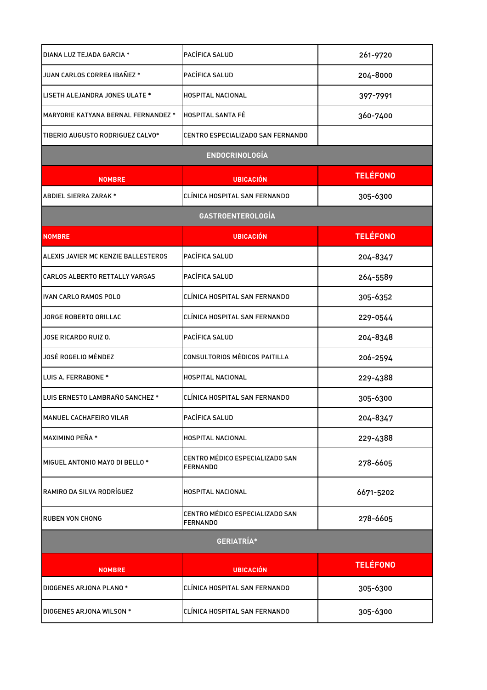| DIANA LUZ TEJADA GARCIA *                  | PACÍFICA SALUD                                     | 261-9720        |
|--------------------------------------------|----------------------------------------------------|-----------------|
| JUAN CARLOS CORREA IBAÑEZ *                | PACÍFICA SALUD                                     | 204-8000        |
| LISETH ALEJANDRA JONES ULATE *             | HOSPITAL NACIONAL                                  | 397-7991        |
| <b>MARYORIE KATYANA BERNAL FERNANDEZ *</b> | <b>HOSPITAL SANTA FÉ</b>                           | 360-7400        |
| TIBERIO AUGUSTO RODRIGUEZ CALVO*           | CENTRO ESPECIALIZADO SAN FERNANDO                  |                 |
|                                            | <b>ENDOCRINOLOGÍA</b>                              |                 |
| <b>NOMBRE</b>                              | <b>UBICACIÓN</b>                                   | <b>TELÉFONO</b> |
| ABDIEL SIERRA ZARAK *                      | CLÍNICA HOSPITAL SAN FERNANDO                      | 305-6300        |
|                                            | <b>GASTROENTEROLOGÍA</b>                           |                 |
| <b>NOMBRE</b>                              | <b>UBICACIÓN</b>                                   | <b>TELÉFONO</b> |
| ALEXIS JAVIER MC KENZIE BALLESTEROS        | PACÍFICA SALUD                                     | 204-8347        |
| CARLOS ALBERTO RETTALLY VARGAS             | PACÍFICA SALUD                                     | 264-5589        |
| IVAN CARLO RAMOS POLO                      | CLÍNICA HOSPITAL SAN FERNANDO                      | 305-6352        |
| JORGE ROBERTO ORILLAC                      | CLÍNICA HOSPITAL SAN FERNANDO                      | 229-0544        |
| JOSE RICARDO RUIZ O.                       | PACÍFICA SALUD                                     | 204-8348        |
| JOSÉ ROGELIO MÉNDEZ                        | CONSULTORIOS MÉDICOS PAITILLA                      | 206-2594        |
| LUIS A. FERRABONE *                        | HOSPITAL NACIONAL                                  | 229-4388        |
| LUIS ERNESTO LAMBRAÑO SANCHEZ *            | CLÍNICA HOSPITAL SAN FERNANDO                      | 305-6300        |
| <b>MANUEL CACHAFEIRO VILAR</b>             | PACÍFICA SALUD                                     | 204-8347        |
| MAXIMINO PEÑA *                            | HOSPITAL NACIONAL                                  | 229-4388        |
| MIGUEL ANTONIO MAYO DI BELLO *             | CENTRO MÉDICO ESPECIALIZADO SAN<br><b>FERNANDO</b> | 278-6605        |
| RAMIRO DA SILVA RODRÍGUEZ                  | HOSPITAL NACIONAL                                  | 6671-5202       |
| <b>RUBEN VON CHONG</b>                     | CENTRO MÉDICO ESPECIALIZADO SAN<br><b>FERNANDO</b> | 278-6605        |
| <b>GERIATRÍA*</b>                          |                                                    |                 |
| <b>NOMBRE</b>                              | <b>UBICACIÓN</b>                                   | <b>TELÉFONO</b> |
| DIOGENES ARJONA PLANO *                    | CLÍNICA HOSPITAL SAN FERNANDO                      | 305-6300        |
| DIOGENES ARJONA WILSON *                   | CLÍNICA HOSPITAL SAN FERNANDO                      | 305-6300        |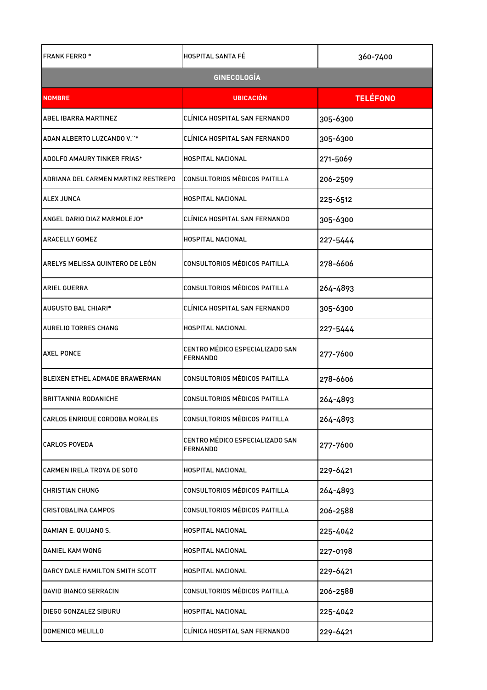| <b>FRANK FERRO*</b>                 | <b>HOSPITAL SANTA FÉ</b>                           | 360-7400        |  |
|-------------------------------------|----------------------------------------------------|-----------------|--|
| <b>GINECOLOGÍA</b>                  |                                                    |                 |  |
| <b>NOMBRE</b>                       | <b>UBICACIÓN</b>                                   | <b>TELÉFONO</b> |  |
| <b>ABEL IBARRA MARTINEZ</b>         | CLÍNICA HOSPITAL SAN FERNANDO                      | 305-6300        |  |
| ADAN ALBERTO LUZCANDO V."*          | CLÍNICA HOSPITAL SAN FERNANDO                      | 305-6300        |  |
| ADOLFO AMAURY TINKER FRIAS*         | HOSPITAL NACIONAL                                  | 271-5069        |  |
| ADRIANA DEL CARMEN MARTINZ RESTREPO | CONSULTORIOS MÉDICOS PAITILLA                      | 206-2509        |  |
| <b>ALEX JUNCA</b>                   | <b>HOSPITAL NACIONAL</b>                           | 225-6512        |  |
| ANGEL DARIO DIAZ MARMOLEJO*         | CLÍNICA HOSPITAL SAN FERNANDO                      | 305-6300        |  |
| <b>ARACELLY GOMEZ</b>               | HOSPITAL NACIONAL                                  | 227-5444        |  |
| ARELYS MELISSA QUINTERO DE LEÓN     | <b>CONSULTORIOS MÉDICOS PAITILLA</b>               | 278-6606        |  |
| <b>ARIEL GUERRA</b>                 | CONSULTORIOS MÉDICOS PAITILLA                      | 264-4893        |  |
| AUGUSTO BAL CHIARI*                 | CLÍNICA HOSPITAL SAN FERNANDO                      | 305-6300        |  |
| AURELIO TORRES CHANG                | HOSPITAL NACIONAL                                  | 227-5444        |  |
| <b>AXEL PONCE</b>                   | CENTRO MÉDICO ESPECIALIZADO SAN<br><b>FERNANDO</b> | 277-7600        |  |
| BLEIXEN ETHEL ADMADE BRAWERMAN      | CONSULTORIOS MÉDICOS PAITILLA                      | 278-6606        |  |
| <b>BRITTANNIA RODANICHE</b>         | CONSULTORIOS MÉDICOS PAITILLA                      | 264-4893        |  |
| CARLOS ENRIQUE CORDOBA MORALES      | CONSULTORIOS MÉDICOS PAITILLA                      | 264-4893        |  |
| <b>CARLOS POVEDA</b>                | CENTRO MÉDICO ESPECIALIZADO SAN<br><b>FERNANDO</b> | 277-7600        |  |
| <b>CARMEN IRELA TROYA DE SOTO</b>   | HOSPITAL NACIONAL                                  | 229-6421        |  |
| <b>CHRISTIAN CHUNG</b>              | CONSULTORIOS MÉDICOS PAITILLA                      | 264-4893        |  |
| CRISTOBALINA CAMPOS                 | <b>CONSULTORIOS MÉDICOS PAITILLA</b>               | 206-2588        |  |
| DAMIAN E. QUIJANO S.                | HOSPITAL NACIONAL                                  | 225-4042        |  |
| DANIEL KAM WONG                     | HOSPITAL NACIONAL                                  | 227-0198        |  |
| DARCY DALE HAMILTON SMITH SCOTT     | HOSPITAL NACIONAL                                  | 229-6421        |  |
| DAVID BIANCO SERRACIN               | CONSULTORIOS MÉDICOS PAITILLA                      | 206-2588        |  |
| DIEGO GONZALEZ SIBURU               | HOSPITAL NACIONAL                                  | 225-4042        |  |
| <b>DOMENICO MELILLO</b>             | CLÍNICA HOSPITAL SAN FERNANDO                      | 229-6421        |  |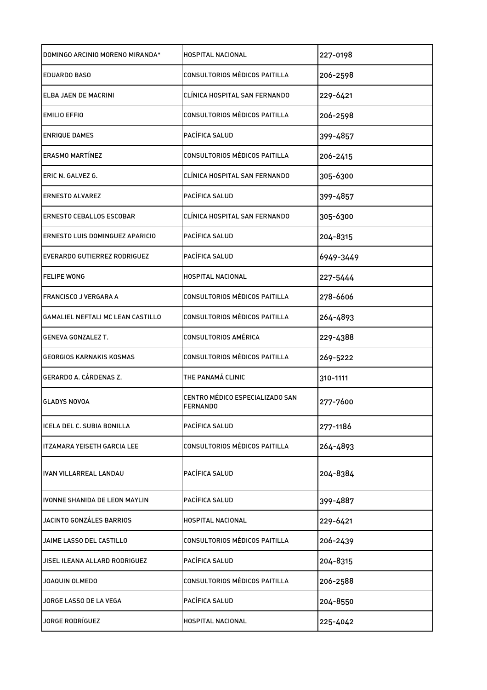| DOMINGO ARCINIO MORENO MIRANDA*   | <b>HOSPITAL NACIONAL</b>                           | 227-0198  |
|-----------------------------------|----------------------------------------------------|-----------|
| <b>EDUARDO BASO</b>               | CONSULTORIOS MÉDICOS PAITILLA                      | 206-2598  |
| ELBA JAEN DE MACRINI              | CLÍNICA HOSPITAL SAN FERNANDO                      | 229-6421  |
| <b>EMILIO EFFIO</b>               | CONSULTORIOS MÉDICOS PAITILLA                      | 206-2598  |
| <b>ENRIQUE DAMES</b>              | PACÍFICA SALUD                                     | 399-4857  |
| <b>ERASMO MARTÍNEZ</b>            | CONSULTORIOS MÉDICOS PAITILLA                      | 206-2415  |
| ERIC N. GALVEZ G.                 | CLÍNICA HOSPITAL SAN FERNANDO                      | 305-6300  |
| <b>ERNESTO ALVAREZ</b>            | PACÍFICA SALUD                                     | 399-4857  |
| <b>ERNESTO CEBALLOS ESCOBAR</b>   | CLÍNICA HOSPITAL SAN FERNANDO                      | 305-6300  |
| ERNESTO LUIS DOMINGUEZ APARICIO   | PACÍFICA SALUD                                     | 204-8315  |
| EVERARDO GUTIERREZ RODRIGUEZ      | PACÍFICA SALUD                                     | 6949-3449 |
| <b>FELIPE WONG</b>                | HOSPITAL NACIONAL                                  | 227-5444  |
| FRANCISCO J VERGARA A             | CONSULTORIOS MÉDICOS PAITILLA                      | 278-6606  |
| GAMALIEL NEFTALI MC LEAN CASTILLO | CONSULTORIOS MÉDICOS PAITILLA                      | 264-4893  |
| <b>GENEVA GONZALEZ T.</b>         | CONSULTORIOS AMÉRICA                               | 229-4388  |
| <b>GEORGIOS KARNAKIS KOSMAS</b>   | CONSULTORIOS MÉDICOS PAITILLA                      | 269-5222  |
| GERARDO A. CÁRDENAS Z.            | THE PANAMÁ CLINIC                                  | 310-1111  |
| <b>GLADYS NOVOA</b>               | CENTRO MÉDICO ESPECIALIZADO SAN<br><b>FERNANDO</b> | 277-7600  |
| ICELA DEL C. SUBIA BONILLA        | PACÍFICA SALUD                                     | 277-1186  |
| ITZAMARA YEISETH GARCIA LEE       | CONSULTORIOS MÉDICOS PAITILLA                      | 264-4893  |
| IVAN VILLARREAL LANDAU            | PACÍFICA SALUD                                     | 204-8384  |
| IVONNE SHANIDA DE LEON MAYLIN     | PACÍFICA SALUD                                     | 399-4887  |
| JACINTO GONZÁLES BARRIOS          | HOSPITAL NACIONAL                                  | 229-6421  |
| JAIME LASSO DEL CASTILLO          | CONSULTORIOS MÉDICOS PAITILLA                      | 206-2439  |
| JISEL ILEANA ALLARD RODRIGUEZ     | PACÍFICA SALUD                                     | 204-8315  |
| JOAQUIN OLMEDO                    | CONSULTORIOS MÉDICOS PAITILLA                      | 206-2588  |
| JORGE LASSO DE LA VEGA            | PACÍFICA SALUD                                     | 204-8550  |
| JORGE RODRÍGUEZ                   | HOSPITAL NACIONAL                                  | 225-4042  |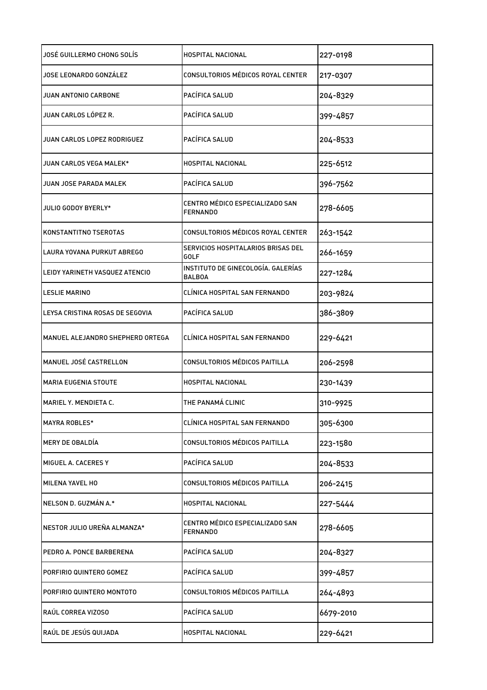| JOSÉ GUILLERMO CHONG SOLÍS       | <b>HOSPITAL NACIONAL</b>                            | 227-0198  |
|----------------------------------|-----------------------------------------------------|-----------|
| JOSE LEONARDO GONZÁLEZ           | CONSULTORIOS MÉDICOS ROYAL CENTER                   | 217-0307  |
| JUAN ANTONIO CARBONE             | PACÍFICA SALUD                                      | 204-8329  |
| JUAN CARLOS LÓPEZ R.             | PACÍFICA SALUD                                      | 399-4857  |
| JUAN CARLOS LOPEZ RODRIGUEZ      | PACÍFICA SALUD                                      | 204-8533  |
| JUAN CARLOS VEGA MALEK*          | <b>HOSPITAL NACIONAL</b>                            | 225-6512  |
| JUAN JOSE PARADA MALEK           | PACÍFICA SALUD                                      | 396-7562  |
| <b>JULIO GODOY BYERLY*</b>       | CENTRO MÉDICO ESPECIALIZADO SAN<br><b>FERNANDO</b>  | 278-6605  |
| KONSTANTITNO TSEROTAS            | CONSULTORIOS MÉDICOS ROYAL CENTER                   | 263-1542  |
| LAURA YOVANA PURKUT ABREGO       | SERVICIOS HOSPITALARIOS BRISAS DEL<br>GOLF          | 266-1659  |
| LEIDY YARINETH VASQUEZ ATENCIO   | INSTITUTO DE GINECOLOGÍA. GALERÍAS<br><b>BALBOA</b> | 227-1284  |
| <b>LESLIE MARINO</b>             | CLÍNICA HOSPITAL SAN FERNANDO                       | 203-9824  |
| LEYSA CRISTINA ROSAS DE SEGOVIA  | PACÍFICA SALUD                                      | 386-3809  |
| MANUEL ALEJANDRO SHEPHERD ORTEGA | CLÍNICA HOSPITAL SAN FERNANDO                       | 229-6421  |
| MANUEL JOSÉ CASTRELLON           | CONSULTORIOS MÉDICOS PAITILLA                       | 206-2598  |
| <b>MARIA EUGENIA STOUTE</b>      | HOSPITAL NACIONAL                                   | 230-1439  |
| MARIEL Y. MENDIETA C.            | THE PANAMÁ CLINIC                                   | 310-9925  |
| <b>MAYRA ROBLES*</b>             | CLÍNICA HOSPITAL SAN FERNANDO                       | 305-6300  |
| MERY DE OBALDÍA                  | CONSULTORIOS MÉDICOS PAITILLA                       | 223-1580  |
| IMIGUEL A. CACERES Y             | PACÍFICA SALUD                                      | 204-8533  |
| MILENA YAVEL HO                  | CONSULTORIOS MÉDICOS PAITILLA                       | 206-2415  |
| NELSON D. GUZMÁN A.*             | HOSPITAL NACIONAL                                   | 227-5444  |
| NESTOR JULIO UREÑA ALMANZA*      | CENTRO MÉDICO ESPECIALIZADO SAN<br><b>FERNANDO</b>  | 278-6605  |
| PEDRO A. PONCE BARBERENA         | PACÍFICA SALUD                                      | 204-8327  |
| PORFIRIO QUINTERO GOMEZ          | PACÍFICA SALUD                                      | 399-4857  |
| PORFIRIO QUINTERO MONTOTO        | CONSULTORIOS MÉDICOS PAITILLA                       | 264-4893  |
| RAÚL CORREA VIZOSO               | PACÍFICA SALUD                                      | 6679-2010 |
| RAÚL DE JESÚS QUIJADA            | HOSPITAL NACIONAL                                   | 229-6421  |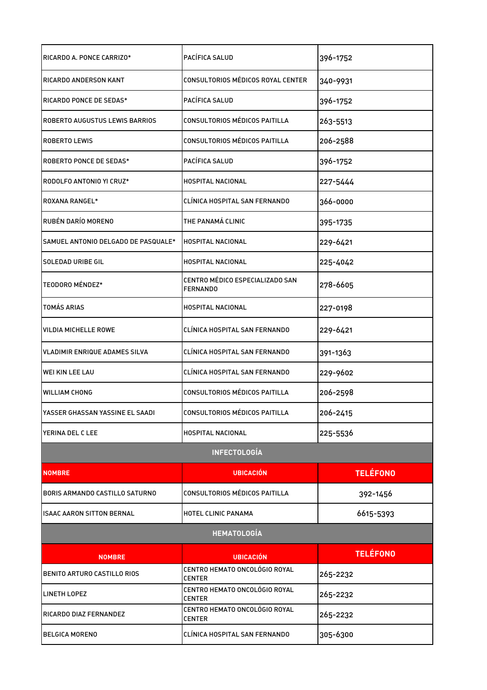| RICARDO A. PONCE CARRIZO*           | PACÍFICA SALUD                                     | 396-1752        |
|-------------------------------------|----------------------------------------------------|-----------------|
| <b>RICARDO ANDERSON KANT</b>        | CONSULTORIOS MÉDICOS ROYAL CENTER                  | 340-9931        |
| RICARDO PONCE DE SEDAS*             | PACÍFICA SALUD                                     | 396-1752        |
| ROBERTO AUGUSTUS LEWIS BARRIOS      | CONSULTORIOS MÉDICOS PAITILLA                      | 263-5513        |
| <b>ROBERTO LEWIS</b>                | CONSULTORIOS MÉDICOS PAITILLA                      | 206-2588        |
| <b>ROBERTO PONCE DE SEDAS*</b>      | PACÍFICA SALUD                                     | 396-1752        |
| RODOLFO ANTONIO YI CRUZ*            | <b>HOSPITAL NACIONAL</b>                           | 227-5444        |
| <b>ROXANA RANGEL*</b>               | CLÍNICA HOSPITAL SAN FERNANDO                      | 366-0000        |
| RUBÉN DARÍO MORENO                  | THE PANAMÁ CLINIC                                  | 395-1735        |
| SAMUEL ANTONIO DELGADO DE PASQUALE* | HOSPITAL NACIONAL                                  | 229-6421        |
| <b>SOLEDAD URIBE GIL</b>            | <b>HOSPITAL NACIONAL</b>                           | 225-4042        |
| TEODORO MÉNDEZ*                     | CENTRO MÉDICO ESPECIALIZADO SAN<br><b>FERNANDO</b> | 278-6605        |
| <b>TOMÁS ARIAS</b>                  | <b>HOSPITAL NACIONAL</b>                           | 227-0198        |
| <b>VILDIA MICHELLE ROWE</b>         | CLÍNICA HOSPITAL SAN FERNANDO                      | 229-6421        |
| VLADIMIR ENRIQUE ADAMES SILVA       | CLÍNICA HOSPITAL SAN FERNANDO                      | 391-1363        |
| WEI KIN LEE LAU                     | CLÍNICA HOSPITAL SAN FERNANDO                      | 229-9602        |
| WILLIAM CHONG                       | CONSULTORIOS MÉDICOS PAITILLA                      | 206-2598        |
| YASSER GHASSAN YASSINE EL SAADI     | CONSULTORIOS MÉDICOS PAITILLA                      | 206-2415        |
| lYERINA DEL C LEE                   | <b>HOSPITAL NACIONAL</b>                           | 225-5536        |
|                                     | <b>INFECTOLOGÍA</b>                                |                 |
| <b>NOMBRE</b>                       | <b>UBICACIÓN</b>                                   | <b>TELÉFONO</b> |
| BORIS ARMANDO CASTILLO SATURNO      | CONSULTORIOS MÉDICOS PAITILLA                      | 392-1456        |
| <b>ISAAC AARON SITTON BERNAL</b>    | HOTEL CLINIC PANAMA                                | 6615-5393       |
|                                     | <b>HEMATOLOGÍA</b>                                 |                 |
| <b>NOMBRE</b>                       | <b>UBICACIÓN</b>                                   | <b>TELÉFONO</b> |
| BENITO ARTURO CASTILLO RIOS         | CENTRO HEMATO ONCOLÓGIO ROYAL<br><b>CENTER</b>     | 265-2232        |
| <b>LINETH LOPEZ</b>                 | CENTRO HEMATO ONCOLÓGIO ROYAL<br><b>CENTER</b>     | 265-2232        |
| RICARDO DIAZ FERNANDEZ              | CENTRO HEMATO ONCOLÓGIO ROYAL<br><b>CENTER</b>     | 265-2232        |
| <b>BELGICA MORENO</b>               | CLÍNICA HOSPITAL SAN FERNANDO                      | 305-6300        |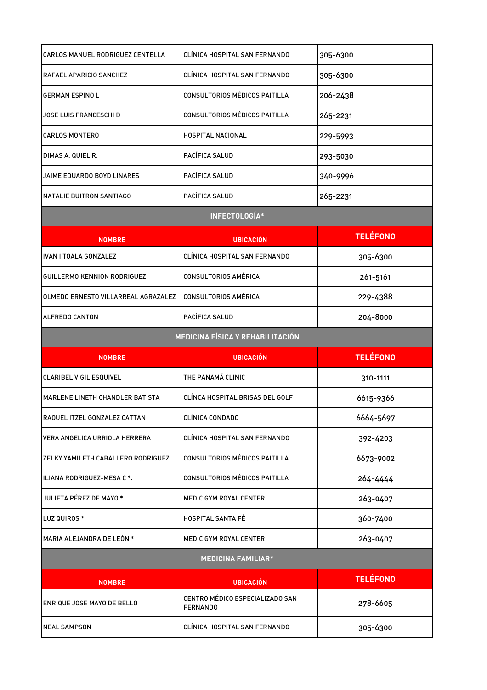| CARLOS MANUEL RODRIGUEZ CENTELLA       | CLÍNICA HOSPITAL SAN FERNANDO                      | 305-6300        |
|----------------------------------------|----------------------------------------------------|-----------------|
| RAFAEL APARICIO SANCHEZ                | CLÍNICA HOSPITAL SAN FERNANDO                      | 305-6300        |
| <b>GERMAN ESPINO L</b>                 | CONSULTORIOS MÉDICOS PAITILLA                      | 206-2438        |
| JOSE LUIS FRANCESCHI D                 | CONSULTORIOS MÉDICOS PAITILLA                      | 265-2231        |
| <b>CARLOS MONTERO</b>                  | <b>HOSPITAL NACIONAL</b>                           | 229-5993        |
| DIMAS A. QUIEL R.                      | PACÍFICA SALUD                                     | 293-5030        |
| JAIME EDUARDO BOYD LINARES             | PACÍFICA SALUD                                     | 340-9996        |
| NATALIE BUITRON SANTIAGO               | PACÍFICA SALUD                                     | 265-2231        |
|                                        | INFECTOLOGÍA*                                      |                 |
| <b>NOMBRE</b>                          | <b>UBICACIÓN</b>                                   | <b>TELÉFONO</b> |
| <b>IVAN I TOALA GONZALEZ</b>           | CLÍNICA HOSPITAL SAN FERNANDO                      | 305-6300        |
| GUILLERMO KENNION RODRIGUEZ            | <b>CONSULTORIOS AMÉRICA</b>                        | 261-5161        |
| OLMEDO ERNESTO VILLARREAL AGRAZALEZ    | CONSULTORIOS AMÉRICA                               | 229-4388        |
| <b>ALFREDO CANTON</b>                  | PACÍFICA SALUD                                     | 204-8000        |
|                                        | <b>MEDICINA FÍSICA Y REHABILITACIÓN</b>            |                 |
|                                        |                                                    |                 |
| <b>NOMBRE</b>                          | <b>UBICACIÓN</b>                                   | <b>TELÉFONO</b> |
| <b>CLARIBEL VIGIL ESQUIVEL</b>         | THE PANAMÁ CLINIC                                  | 310-1111        |
| <b>MARLENE LINETH CHANDLER BATISTA</b> | CLÍNCA HOSPITAL BRISAS DEL GOLF                    | 6615-9366       |
| RAQUEL ITZEL GONZALEZ CATTAN           | CLÍNICA CONDADO                                    | 6664-5697       |
| VERA ANGELICA URRIOLA HERRERA          | CLÍNICA HOSPITAL SAN FERNANDO                      | 392-4203        |
| ZELKY YAMILETH CABALLERO RODRIGUEZ     | CONSULTORIOS MÉDICOS PAITILLA                      | 6673-9002       |
| ILIANA RODRIGUEZ-MESA C *.             | CONSULTORIOS MÉDICOS PAITILLA                      | 264-4444        |
| JULIETA PÉREZ DE MAYO *                | MEDIC GYM ROYAL CENTER                             | 263-0407        |
| LUZ QUIROS *                           | HOSPITAL SANTA FÉ                                  | 360-7400        |
| MARIA ALEJANDRA DE LEÓN *              | MEDIC GYM ROYAL CENTER                             | 263-0407        |
|                                        | <b>MEDICINA FAMILIAR*</b>                          |                 |
| <b>NOMBRE</b>                          | <b>UBICACIÓN</b>                                   | <b>TELÉFONO</b> |
| ENRIQUE JOSE MAYO DE BELLO             | CENTRO MÉDICO ESPECIALIZADO SAN<br><b>FERNANDO</b> | 278-6605        |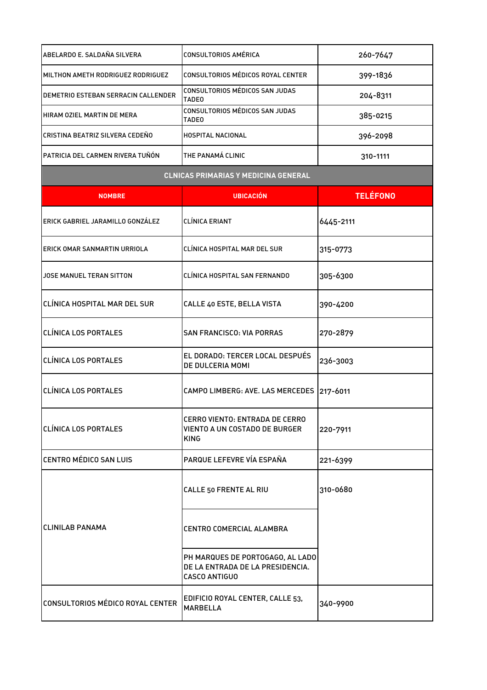| ABELARDO E. SALDAÑA SILVERA                 | CONSULTORIOS AMÉRICA                           | 260-7647 |
|---------------------------------------------|------------------------------------------------|----------|
| IMILTHON AMETH RODRIGUEZ RODRIGUEZ          | CONSULTORIOS MÉDICOS ROYAL CENTER              | 399-1836 |
| <b>IDEMETRIO ESTEBAN SERRACIN CALLENDER</b> | CONSULTORIOS MÉDICOS SAN JUDAS<br><b>TADEO</b> | 204-8311 |
| HIRAM OZIEL MARTIN DE MERA                  | CONSULTORIOS MÉDICOS SAN JUDAS<br><b>TADEO</b> | 385-0215 |
| İCRISTINA BEATRIZ SILVERA CEDEÑO            | <b>HOSPITAL NACIONAL</b>                       | 396-2098 |
| PATRICIA DEL CARMEN RIVERA TUÑÓN.           | THE PANAMÁ CLINIC                              | 310-1111 |
|                                             |                                                |          |

## **CLNICAS PRIMARIAS Y MEDICINA GENERAL**

| <b>NOMBRE</b>                       | <b>UBICACIÓN</b>                                                                             | <b>TELÉFONO</b> |
|-------------------------------------|----------------------------------------------------------------------------------------------|-----------------|
| ERICK GABRIEL JARAMILLO GONZÁLEZ    | CLÍNICA ERIANT                                                                               | 6445-2111       |
| ERICK OMAR SANMARTIN URRIOLA        | CLÍNICA HOSPITAL MAR DEL SUR                                                                 | 315-0773        |
| JOSE MANUEL TERAN SITTON            | CLÍNICA HOSPITAL SAN FERNANDO                                                                | 305-6300        |
| <b>CLÍNICA HOSPITAL MAR DEL SUR</b> | CALLE 40 ESTE, BELLA VISTA                                                                   | 390-4200        |
| <b>CLÍNICA LOS PORTALES</b>         | <b>SAN FRANCISCO: VIA PORRAS</b>                                                             | 270-2879        |
| <b>CLÍNICA LOS PORTALES</b>         | EL DORADO: TERCER LOCAL DESPUÉS<br>DE DULCERIA MOMI                                          | 236-3003        |
| <b>CLÍNICA LOS PORTALES</b>         | CAMPO LIMBERG: AVE. LAS MERCEDES                                                             | 217-6011        |
| <b>CLÍNICA LOS PORTALES</b>         | <b>CERRO VIENTO: ENTRADA DE CERRO</b><br><b>VIENTO A UN COSTADO DE BURGER</b><br><b>KING</b> | 220-7911        |
| <b>CENTRO MÉDICO SAN LUIS</b>       | PARQUE LEFEVRE VÍA ESPAÑA                                                                    | 221-6399        |
|                                     | CALLE 50 FRENTE AL RIU                                                                       | 310-0680        |
| <b>CLINILAB PANAMA</b>              | CENTRO COMERCIAL ALAMBRA                                                                     |                 |
|                                     | PH MARQUES DE PORTOGAGO, AL LADO<br>DE LA ENTRADA DE LA PRESIDENCIA.<br><b>CASCO ANTIGUO</b> |                 |
| CONSULTORIOS MÉDICO ROYAL CENTER    | EDIFICIO ROYAL CENTER, CALLE 53,<br><b>MARBELLA</b>                                          | 340-9900        |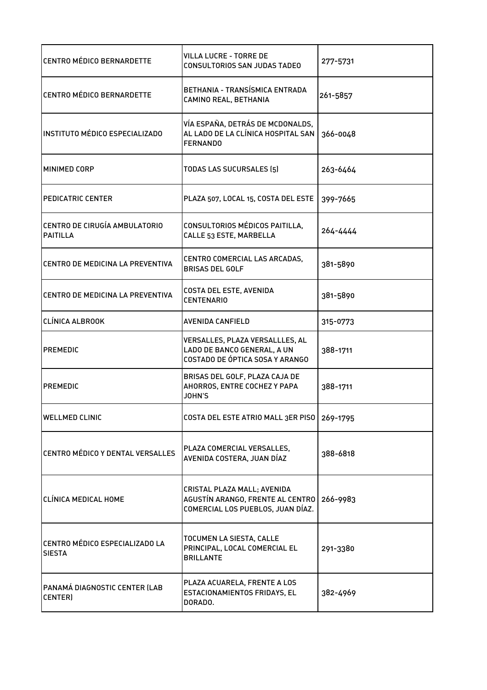| <b>CENTRO MÉDICO BERNARDETTE</b>                 | <b>VILLA LUCRE - TORRE DE</b><br>CONSULTORIOS SAN JUDAS TADEO                                        | 277-5731 |
|--------------------------------------------------|------------------------------------------------------------------------------------------------------|----------|
| <b>CENTRO MÉDICO BERNARDETTE</b>                 | BETHANIA - TRANSÍSMICA ENTRADA<br>CAMINO REAL, BETHANIA                                              | 261-5857 |
| INSTITUTO MÉDICO ESPECIALIZADO                   | VÍA ESPAÑA, DETRÁS DE MCDONALDS,<br>AL LADO DE LA CLÍNICA HOSPITAL SAN<br><b>FERNANDO</b>            | 366-0048 |
| MINIMED CORP                                     | TODAS LAS SUCURSALES (5)                                                                             | 263-6464 |
| <b>PEDICATRIC CENTER</b>                         | PLAZA 507, LOCAL 15, COSTA DEL ESTE                                                                  | 399-7665 |
| CENTRO DE CIRUGÍA AMBULATORIO<br><b>PAITILLA</b> | CONSULTORIOS MÉDICOS PAITILLA,<br>CALLE 53 ESTE, MARBELLA                                            | 264-4444 |
| CENTRO DE MEDICINA LA PREVENTIVA                 | CENTRO COMERCIAL LAS ARCADAS,<br><b>BRISAS DEL GOLF</b>                                              | 381-5890 |
| ICENTRO DE MEDICINA LA PREVENTIVA                | COSTA DEL ESTE, AVENIDA<br><b>CENTENARIO</b>                                                         | 381-5890 |
| <b>CLÍNICA ALBROOK</b>                           | AVENIDA CANFIELD                                                                                     | 315-0773 |
| <b>PREMEDIC</b>                                  | VERSALLES, PLAZA VERSALLLES, AL<br>LADO DE BANCO GENERAL, A UN<br>COSTADO DE ÓPTICA SOSA Y ARANGO    | 388-1711 |
| <b>PREMEDIC</b>                                  | BRISAS DEL GOLF, PLAZA CAJA DE<br>AHORROS, ENTRE COCHEZ Y PAPA<br><b>JOHN'S</b>                      | 388-1711 |
| <b>WELLMED CLINIC</b>                            | COSTA DEL ESTE ATRIO MALL 3ER PISO   269-1795                                                        |          |
| CENTRO MÉDICO Y DENTAL VERSALLES                 | PLAZA COMERCIAL VERSALLES,<br>AVENIDA COSTERA, JUAN DÍAZ                                             | 388-6818 |
| <b>CLÍNICA MEDICAL HOME</b>                      | CRISTAL PLAZA MALL; AVENIDA<br>AGUSTÍN ARANGO, FRENTE AL CENTRO<br>COMERCIAL LOS PUEBLOS, JUAN DÍAZ. | 266-9983 |
| CENTRO MÉDICO ESPECIALIZADO LA<br><b>SIESTA</b>  | TOCUMEN LA SIESTA, CALLE<br>PRINCIPAL, LOCAL COMERCIAL EL<br><b>BRILLANTE</b>                        | 291-3380 |
| PANAMÁ DIAGNOSTIC CENTER (LAB<br>CENTER)         | PLAZA ACUARELA, FRENTE A LOS<br>ESTACIONAMIENTOS FRIDAYS, EL<br>DORADO.                              | 382-4969 |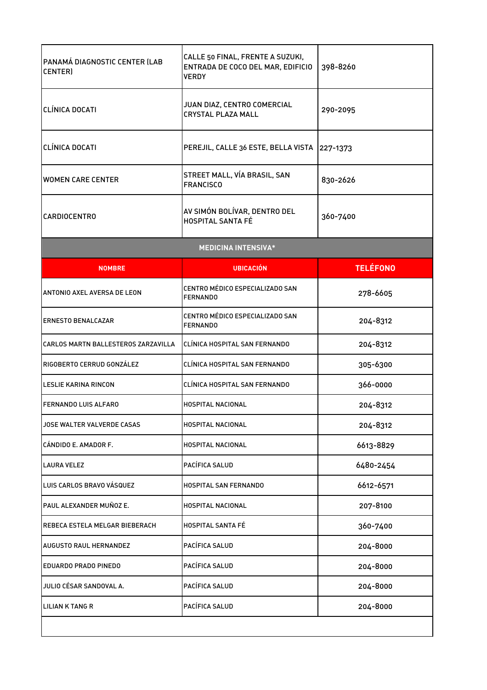| PANAMÁ DIAGNOSTIC CENTER (LAB<br>CENTER) | CALLE 50 FINAL, FRENTE A SUZUKI,<br>ENTRADA DE COCO DEL MAR, EDIFICIO<br><b>VERDY</b> | 398-8260        |
|------------------------------------------|---------------------------------------------------------------------------------------|-----------------|
| CLÍNICA DOCATI                           | JUAN DIAZ, CENTRO COMERCIAL<br><b>CRYSTAL PLAZA MALL</b>                              | 290-2095        |
| CLÍNICA DOCATI                           | PEREJIL, CALLE 36 ESTE, BELLA VISTA                                                   | 227-1373        |
| <b>WOMEN CARE CENTER</b>                 | STREET MALL, VÍA BRASIL, SAN<br><b>FRANCISCO</b>                                      | 830-2626        |
| <b>CARDIOCENTRO</b>                      | AV SIMÓN BOLÍVAR, DENTRO DEL<br>HOSPITAL SANTA FÉ                                     | 360-7400        |
|                                          | <b>MEDICINA INTENSIVA*</b>                                                            |                 |
| <b>NOMBRE</b>                            | <b>UBICACIÓN</b>                                                                      | <b>TELÉFONO</b> |
| ANTONIO AXEL AVERSA DE LEON              | CENTRO MÉDICO ESPECIALIZADO SAN<br><b>FERNANDO</b>                                    | 278-6605        |
| <b>ERNESTO BENALCAZAR</b>                | CENTRO MÉDICO ESPECIALIZADO SAN<br><b>FERNANDO</b>                                    | 204-8312        |
| CARLOS MARTN BALLESTEROS ZARZAVILLA      | CLÍNICA HOSPITAL SAN FERNANDO                                                         | 204-8312        |
| RIGOBERTO CERRUD GONZÁLEZ                | CLÍNICA HOSPITAL SAN FERNANDO                                                         | 305-6300        |
| LESLIE KARINA RINCON                     | CLÍNICA HOSPITAL SAN FERNANDO                                                         | 366-0000        |
| FERNANDO LUIS ALFARO                     | HOSPITAL NACIONAL                                                                     | 204-8312        |
| JOSE WALTER VALVERDE CASAS               | HOSPITAL NACIONAL                                                                     | 204-8312        |
| CÁNDIDO E. AMADOR F.                     | HOSPITAL NACIONAL                                                                     | 6613-8829       |
| <b>LAURA VELEZ</b>                       | PACÍFICA SALUD                                                                        | 6480-2454       |
| LUIS CARLOS BRAVO VÁSQUEZ                | HOSPITAL SAN FERNANDO                                                                 | 6612-6571       |
| PAUL ALEXANDER MUÑOZ E.                  | HOSPITAL NACIONAL                                                                     | 207-8100        |
| REBECA ESTELA MELGAR BIEBERACH           | HOSPITAL SANTA FÉ                                                                     | 360-7400        |
| AUGUSTO RAUL HERNANDEZ                   | PACÍFICA SALUD                                                                        | 204-8000        |
| <b>EDUARDO PRADO PINEDO</b>              | PACÍFICA SALUD                                                                        | 204-8000        |
| JULIO CÉSAR SANDOVAL A.                  | PACÍFICA SALUD                                                                        | 204-8000        |
| LILIAN K TANG R                          | PACÍFICA SALUD                                                                        | 204-8000        |
|                                          |                                                                                       |                 |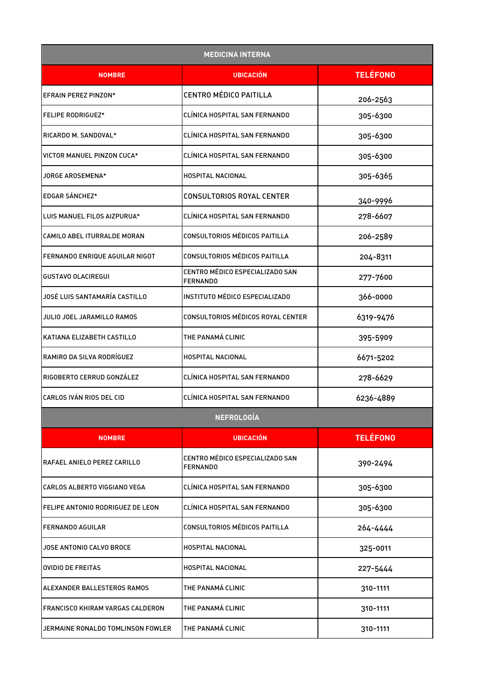| <b>MEDICINA INTERNA</b>                 |                                                    |                 |
|-----------------------------------------|----------------------------------------------------|-----------------|
| <b>NOMBRE</b>                           | <b>UBICACIÓN</b>                                   | <b>TELÉFONO</b> |
| EFRAIN PEREZ PINZON*                    | <b>CENTRO MÉDICO PAITILLA</b>                      | 206-2563        |
| <b>FELIPE RODRIGUEZ*</b>                | CLÍNICA HOSPITAL SAN FERNANDO                      | 305-6300        |
| RICARDO M. SANDOVAL*                    | CLINICA HOSPITAL SAN FERNANDO                      | 305-6300        |
| VICTOR MANUEL PINZON CUCA*              | CLÍNICA HOSPITAL SAN FERNANDO                      | 305-6300        |
| JORGE AROSEMENA*                        | HOSPITAL NACIONAL                                  | 305-6365        |
| EDGAR SÁNCHEZ*                          | CONSULTORIOS ROYAL CENTER                          | 340-9996        |
| LUIS MANUEL FILOS AIZPURUA*             | CLÍNICA HOSPITAL SAN FERNANDO                      | 278-6607        |
| CAMILO ABEL ITURRALDE MORAN             | CONSULTORIOS MÉDICOS PAITILLA                      | 206-2589        |
| FERNANDO ENRIQUE AGUILAR NIGOT          | CONSULTORIOS MÉDICOS PAITILLA                      | 204-8311        |
| <b>GUSTAVO OLACIREGUI</b>               | CENTRO MÉDICO ESPECIALIZADO SAN<br><b>FERNANDO</b> | 277-7600        |
| JOSÉ LUIS SANTAMARÍA CASTILLO           | INSTITUTO MÉDICO ESPECIALIZADO                     | 366-0000        |
| JULIO JOEL JARAMILLO RAMOS              | CONSULTORIOS MÉDICOS ROYAL CENTER                  | 6319-9476       |
| KATIANA ELIZABETH CASTILLO              | THE PANAMÁ CLINIC                                  | 395-5909        |
| RAMIRO DA SILVA RODRÍGUEZ               | <b>HOSPITAL NACIONAL</b>                           | 6671-5202       |
| RIGOBERTO CERRUD GONZÁLEZ               | CLÍNICA HOSPITAL SAN FERNANDO                      | 278-6629        |
| CARLOS IVÁN RIOS DEL CID                | CLÍNICA HOSPITAL SAN FERNANDO                      | 6236-4889       |
|                                         | <b>NEFROLOGÍA</b>                                  |                 |
| <b>NOMBRE</b>                           | <b>UBICACIÓN</b>                                   | <b>TELÉFONO</b> |
| RAFAEL ANIELO PEREZ CARILLO             | CENTRO MÉDICO ESPECIALIZADO SAN<br><b>FERNANDO</b> | 390-2494        |
| CARLOS ALBERTO VIGGIANO VEGA            | CLÍNICA HOSPITAL SAN FERNANDO                      | 305-6300        |
| FELIPE ANTONIO RODRIGUEZ DE LEON        | CLÍNICA HOSPITAL SAN FERNANDO                      | 305-6300        |
| <b>FERNANDO AGUILAR</b>                 | CONSULTORIOS MÉDICOS PAITILLA                      | 264-4444        |
| JOSE ANTONIO CALVO BROCE                | HOSPITAL NACIONAL                                  | 325-0011        |
| <b>OVIDIO DE FREITAS</b>                | HOSPITAL NACIONAL                                  | 227-5444        |
| ALEXANDER BALLESTEROS RAMOS             | THE PANAMÁ CLINIC                                  | 310-1111        |
| <b>FRANCISCO KHIRAM VARGAS CALDERON</b> | THE PANAMÁ CLINIC                                  | 310-1111        |
| JERMAINE RONALDO TOMLINSON FOWLER       | THE PANAMÁ CLINIC                                  | 310-1111        |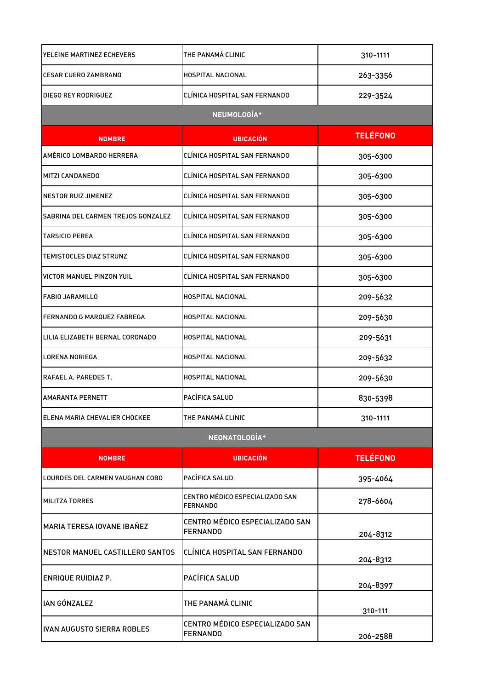| YELEINE MARTINEZ ECHEVERS          | THE PANAMÁ CLINIC                                  | 310-1111        |
|------------------------------------|----------------------------------------------------|-----------------|
| <b>CESAR CUERO ZAMBRANO</b>        | <b>HOSPITAL NACIONAL</b>                           | 263-3356        |
| DIEGO REY RODRIGUEZ                | CLÍNICA HOSPITAL SAN FERNANDO                      | 229-3524        |
|                                    | NEUMOLOGÍA*                                        |                 |
| <b>NOMBRE</b>                      | <b>UBICACIÓN</b>                                   | <b>TELÉFONO</b> |
| AMÉRICO LOMBARDO HERRERA           | CLÍNICA HOSPITAL SAN FERNANDO                      | 305-6300        |
| MITZI CANDANEDO                    | CLÍNICA HOSPITAL SAN FERNANDO                      | 305-6300        |
| <b>NESTOR RUIZ JIMENEZ</b>         | CLÍNICA HOSPITAL SAN FERNANDO                      | 305-6300        |
| SABRINA DEL CARMEN TREJOS GONZALEZ | CLÍNICA HOSPITAL SAN FERNANDO                      | 305-6300        |
| <b>TARSICIO PEREA</b>              | CLÍNICA HOSPITAL SAN FERNANDO                      | 305-6300        |
| TEMISTOCLES DIAZ STRUNZ            | CLÍNICA HOSPITAL SAN FERNANDO                      | 305-6300        |
| <b>VICTOR MANUEL PINZON YUIL</b>   | CLÍNICA HOSPITAL SAN FERNANDO                      | 305-6300        |
| <b>FABIO JARAMILLO</b>             | HOSPITAL NACIONAL                                  | 209-5632        |
| FERNANDO G MARQUEZ FABREGA         | HOSPITAL NACIONAL                                  | 209-5630        |
| LILIA ELIZABETH BERNAL CORONADO    | HOSPITAL NACIONAL                                  | 209-5631        |
| LORENA NORIEGA                     | HOSPITAL NACIONAL                                  | 209-5632        |
| RAFAEL A. PAREDES T.               | HOSPITAL NACIONAL                                  | 209-5630        |
| <b>AMARANTA PERNETT</b>            | PACÍFICA SALUD                                     | 830-5398        |
| ELENA MARIA CHEVALIER CHOCKEE      | THE PANAMÁ CLINIC                                  | 310-1111        |
|                                    | NEONATOLOGÍA*                                      |                 |
| <b>NOMBRE</b>                      | <b>UBICACIÓN</b>                                   | <b>TELÉFONO</b> |
| LOURDES DEL CARMEN VAUGHAN COBO    | PACÍFICA SALUD                                     | 395-4064        |
| <b>MILITZA TORRES</b>              | CENTRO MÉDICO ESPECIALIZADO SAN<br><b>FERNANDO</b> | 278-6604        |
| MARIA TERESA IOVANE IBAÑEZ         | CENTRO MÉDICO ESPECIALIZADO SAN<br><b>FERNANDO</b> | 204-8312        |
| NESTOR MANUEL CASTILLERO SANTOS    | CLÍNICA HOSPITAL SAN FERNANDO                      | 204-8312        |
| <b>ENRIQUE RUIDIAZ P.</b>          | PACÍFICA SALUD                                     | 204-8397        |
| <b>IAN GÓNZALEZ</b>                | THE PANAMÁ CLINIC                                  | 310-111         |
| <b>IVAN AUGUSTO SIERRA ROBLES</b>  | CENTRO MÉDICO ESPECIALIZADO SAN<br><b>FERNANDO</b> | 206-2588        |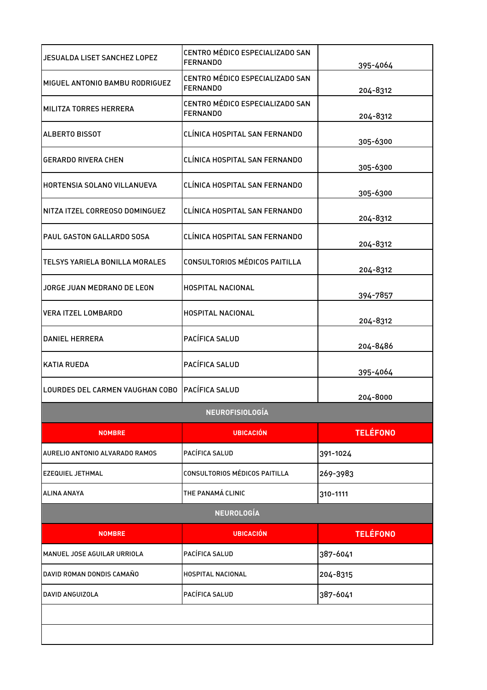| JESUALDA LISET SANCHEZ LOPEZ          | CENTRO MÉDICO ESPECIALIZADO SAN<br><b>FERNANDO</b> | 395-4064        |
|---------------------------------------|----------------------------------------------------|-----------------|
| MIGUEL ANTONIO BAMBU RODRIGUEZ        | CENTRO MÉDICO ESPECIALIZADO SAN<br><b>FERNANDO</b> | 204-8312        |
| MILITZA TORRES HERRERA                | CENTRO MÉDICO ESPECIALIZADO SAN<br><b>FERNANDO</b> | 204-8312        |
| <b>ALBERTO BISSOT</b>                 | CLÍNICA HOSPITAL SAN FERNANDO                      | 305-6300        |
| <b>GERARDO RIVERA CHEN</b>            | CLÍNICA HOSPITAL SAN FERNANDO                      | 305-6300        |
| HORTENSIA SOLANO VILLANUEVA           | CLÍNICA HOSPITAL SAN FERNANDO                      | 305-6300        |
| NITZA ITZEL CORREOSO DOMINGUEZ        | CLÍNICA HOSPITAL SAN FERNANDO                      | 204-8312        |
| PAUL GASTON GALLARDO SOSA             | CLÍNICA HOSPITAL SAN FERNANDO                      | 204-8312        |
| <b>TELSYS YARIELA BONILLA MORALES</b> | <b>CONSULTORIOS MÉDICOS PAITILLA</b>               | 204-8312        |
| JORGE JUAN MEDRANO DE LEON            | <b>HOSPITAL NACIONAL</b>                           | 394-7857        |
| <b>VERA ITZEL LOMBARDO</b>            | HOSPITAL NACIONAL                                  | 204-8312        |
| <b>DANIEL HERRERA</b>                 | PACÍFICA SALUD                                     | 204-8486        |
| <b>KATIA RUEDA</b>                    | PACÍFICA SALUD                                     | 395-4064        |
| LOURDES DEL CARMEN VAUGHAN COBO       | <b>PACÍFICA SALUD</b>                              | 204-8000        |
|                                       | NEUROFISIOLOGÍA                                    |                 |
| <b>NOMBRE</b>                         | <b>UBICACIÓN</b>                                   | <b>TELÉFONO</b> |
| AURELIO ANTONIO ALVARADO RAMOS        | PACÍFICA SALUD                                     | 391-1024        |
| <b>IEZEQUIEL JETHMAL</b>              | <b>CONSULTORIOS MÉDICOS PAITILLA</b>               | 269-3983        |
| <b>ALINA ANAYA</b>                    | THE PANAMÁ CLINIC                                  | 310-1111        |
|                                       | <b>NEUROLOGÍA</b>                                  |                 |
| <b>NOMBRE</b>                         | <b>UBICACIÓN</b>                                   | <b>TELÉFONO</b> |
| MANUEL JOSE AGUILAR URRIOLA           | PACÍFICA SALUD                                     | 387-6041        |
| DAVID ROMAN DONDIS CAMAÑO             | <b>HOSPITAL NACIONAL</b>                           | 204-8315        |
| DAVID ANGUIZOLA                       | PACÍFICA SALUD                                     | 387-6041        |
|                                       |                                                    |                 |
|                                       |                                                    |                 |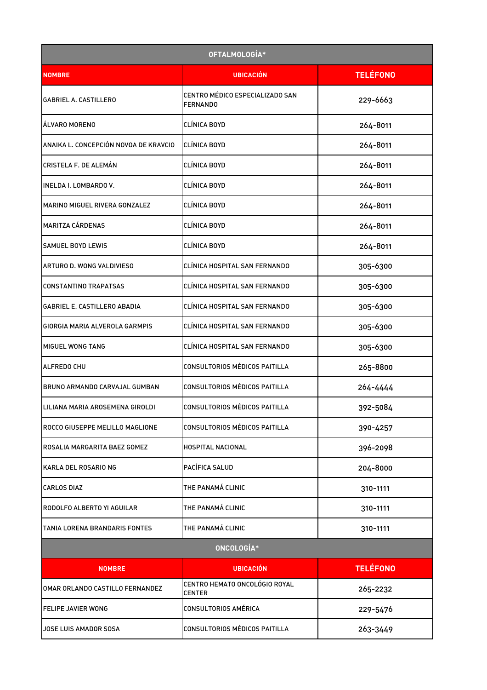|                                       | OFTALMOLOGÍA*                                      |                 |
|---------------------------------------|----------------------------------------------------|-----------------|
| <b>NOMBRE</b>                         | <b>UBICACIÓN</b>                                   | <b>TELÉFONO</b> |
| <b>GABRIEL A. CASTILLERO</b>          | CENTRO MÉDICO ESPECIALIZADO SAN<br><b>FERNANDO</b> | 229-6663        |
| <b>ALVARO MORENO</b>                  | CLÍNICA BOYD                                       | 264-8011        |
| ANAIKA L. CONCEPCIÓN NOVOA DE KRAVCIO | CLÍNICA BOYD                                       | 264-8011        |
| <b>CRISTELA F. DE ALEMÁN</b>          | CLÍNICA BOYD                                       | 264-8011        |
| INELDA I. LOMBARDO V.                 | CLÍNICA BOYD                                       | 264-8011        |
| MARINO MIGUEL RIVERA GONZALEZ         | CLÍNICA BOYD                                       | 264-8011        |
| <b>MARITZA CÁRDENAS</b>               | CLÍNICA BOYD                                       | 264-8011        |
| <b>SAMUEL BOYD LEWIS</b>              | CLÍNICA BOYD                                       | 264-8011        |
| ARTURO D. WONG VALDIVIESO             | CLÍNICA HOSPITAL SAN FERNANDO                      | 305-6300        |
| <b>CONSTANTINO TRAPATSAS</b>          | CLÍNICA HOSPITAL SAN FERNANDO                      | 305-6300        |
| GABRIEL E. CASTILLERO ABADIA          | CLÍNICA HOSPITAL SAN FERNANDO                      | 305-6300        |
| GIORGIA MARIA ALVEROLA GARMPIS        | CLÍNICA HOSPITAL SAN FERNANDO                      | 305-6300        |
| <b>MIGUEL WONG TANG</b>               | CLÍNICA HOSPITAL SAN FERNANDO                      | 305-6300        |
| <b>ALFREDO CHU</b>                    | CONSULTORIOS MÉDICOS PAITILLA                      | 265-8800        |
| BRUNO ARMANDO CARVAJAL GUMBAN         | CONSULTORIOS MÉDICOS PAITILLA                      | 264-4444        |
| LILIANA MARIA AROSEMENA GIROLDI       | <b>CONSULTORIOS MÉDICOS PAITILLA</b>               | 392-5084        |
| ROCCO GIUSEPPE MELILLO MAGLIONE       | CONSULTORIOS MÉDICOS PAITILLA                      | 390-4257        |
| ROSALIA MARGARITA BAEZ GOMEZ          | HOSPITAL NACIONAL                                  | 396-2098        |
| KARLA DEL ROSARIO NG                  | PACÍFICA SALUD                                     | 204-8000        |
| <b>CARLOS DIAZ</b>                    | THE PANAMÁ CLINIC                                  | 310-1111        |
| RODOLFO ALBERTO YI AGUILAR            | THE PANAMÁ CLINIC                                  | 310-1111        |
| TANIA LORENA BRANDARIS FONTES         | THE PANAMÁ CLINIC                                  | 310-1111        |
|                                       | ONCOLOGÍA*                                         |                 |
| <b>NOMBRE</b>                         | <b>UBICACIÓN</b>                                   | <b>TELÉFONO</b> |
| OMAR ORLANDO CASTILLO FERNANDEZ       | CENTRO HEMATO ONCOLÓGIO ROYAL<br><b>CENTER</b>     | 265-2232        |
| FELIPE JAVIER WONG                    | <b>CONSULTORIOS AMÉRICA</b>                        | 229-5476        |
| JOSE LUIS AMADOR SOSA                 | CONSULTORIOS MÉDICOS PAITILLA                      | 263-3449        |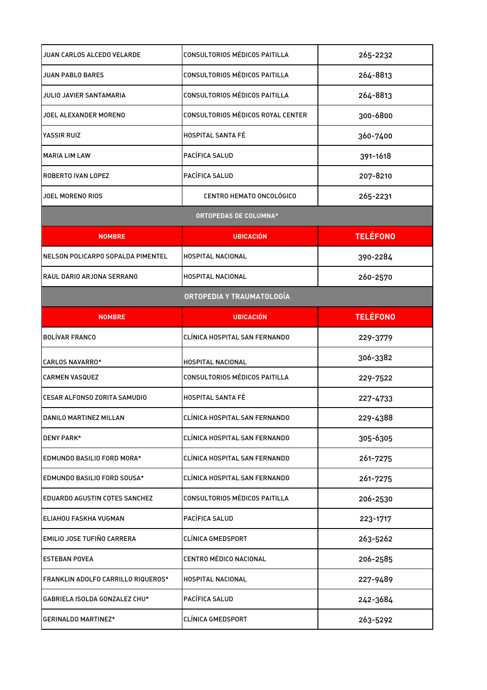| JUAN CARLOS ALCEDO VELARDE           | CONSULTORIOS MÉDICOS PAITILLA        | 265-2232        |
|--------------------------------------|--------------------------------------|-----------------|
| JUAN PABLO BARES                     | <b>CONSULTORIOS MÉDICOS PAITILLA</b> | 264-8813        |
| JULIO JAVIER SANTAMARIA              | CONSULTORIOS MÉDICOS PAITILLA        | 264-8813        |
| JOEL ALEXANDER MORENO                | CONSULTORIOS MÉDICOS ROYAL CENTER    | 300-6800        |
| YASSIR RUIZ                          | <b>HOSPITAL SANTA FÉ</b>             | 360-7400        |
| <b>MARIA LIM LAW</b>                 | PACÍFICA SALUD                       | 391-1618        |
| ROBERTO IVAN LOPEZ                   | PACÍFICA SALUD                       | 207-8210        |
| JOEL MORENO RIOS                     | CENTRO HEMATO ONCOLÓGICO             | 265-2231        |
|                                      | <b>ORTOPEDAS DE COLUMNA*</b>         |                 |
| <b>NOMBRE</b>                        | <b>UBICACIÓN</b>                     | <b>TELÉFONO</b> |
| NELSON POLICARPO SOPALDA PIMENTEL    | <b>HOSPITAL NACIONAL</b>             | 390-2284        |
| RAUL DARIO ARJONA SERRANO            | <b>HOSPITAL NACIONAL</b>             | 260-2570        |
|                                      | ORTOPEDIA Y TRAUMATOLOGÍA            |                 |
| <b>NOMBRE</b>                        | <b>UBICACIÓN</b>                     | <b>TELÉFONO</b> |
| <b>BOLÍVAR FRANCO</b>                | CLÍNICA HOSPITAL SAN FERNANDO        | 229-3779        |
| <b>CARLOS NAVARRO*</b>               | <b>HOSPITAL NACIONAL</b>             | 306-3382        |
| <b>CARMEN VASQUEZ</b>                | CONSULTORIOS MÉDICOS PAITILLA        | 229-7522        |
| <b>CESAR ALFONSO ZORITA SAMUDIO</b>  | <b>HOSPITAL SANTA FÉ</b>             | 227-4733        |
| DANILO MARTINEZ MILLAN               | CLÍNICA HOSPITAL SAN FERNANDO        | 229-4388        |
| <b>DENY PARK*</b>                    | CLÍNICA HOSPITAL SAN FERNANDO        | 305-6305        |
| EDMUNDO BASILIO FORD MORA*           | CLÍNICA HOSPITAL SAN FERNANDO        | 261-7275        |
| EDMUNDO BASILIO FORD SOUSA*          | CLÍNICA HOSPITAL SAN FERNANDO        | 261-7275        |
| <b>EDUARDO AGUSTIN COTES SANCHEZ</b> | CONSULTORIOS MÉDICOS PAITILLA        | 206-2530        |
| ELIAHOU FASKHA VUGMAN                | PACÍFICA SALUD                       | 223-1717        |
| EMILIO JOSE TUFIÑO CARRERA           | CLÍNICA GMEDSPORT                    | 263-5262        |
| <b>ESTEBAN POVEA</b>                 | CENTRO MÉDICO NACIONAL               | 206-2585        |
| FRANKLIN ADOLFO CARRILLO RIQUEROS*   | HOSPITAL NACIONAL                    | 227-9489        |
| GABRIELA ISOLDA GONZALEZ CHU*        | PACÍFICA SALUD                       | 242-3684        |
| <b>GERINALDO MARTINEZ*</b>           | <b>CLÍNICA GMEDSPORT</b>             | 263-5292        |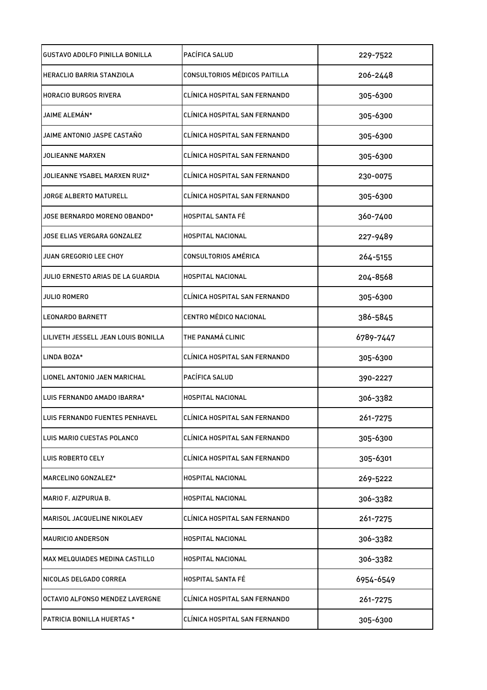| <b>GUSTAVO ADOLFO PINILLA BONILLA</b> | PACÍFICA SALUD                | 229-7522  |
|---------------------------------------|-------------------------------|-----------|
| <b>HERACLIO BARRIA STANZIOLA</b>      | CONSULTORIOS MÉDICOS PAITILLA | 206-2448  |
| <b>HORACIO BURGOS RIVERA</b>          | CLÍNICA HOSPITAL SAN FERNANDO | 305-6300  |
| JAIME ALEMÁN*                         | CLÍNICA HOSPITAL SAN FERNANDO | 305-6300  |
| JAIME ANTONIO JASPE CASTAÑO           | CLÍNICA HOSPITAL SAN FERNANDO | 305-6300  |
| JOLIEANNE MARXEN                      | CLÍNICA HOSPITAL SAN FERNANDO | 305-6300  |
| JOLIEANNE YSABEL MARXEN RUIZ*         | CLÍNICA HOSPITAL SAN FERNANDO | 230-0075  |
| JORGE ALBERTO MATURELL                | CLÍNICA HOSPITAL SAN FERNANDO | 305-6300  |
| JOSE BERNARDO MORENO OBANDO*          | <b>HOSPITAL SANTA FÉ</b>      | 360-7400  |
| JOSE ELIAS VERGARA GONZALEZ           | HOSPITAL NACIONAL             | 227-9489  |
| JUAN GREGORIO LEE CHOY                | CONSULTORIOS AMÉRICA          | 264-5155  |
| JULIO ERNESTO ARIAS DE LA GUARDIA     | HOSPITAL NACIONAL             | 204-8568  |
| JULIO ROMERO                          | CLÍNICA HOSPITAL SAN FERNANDO | 305-6300  |
| <b>LEONARDO BARNETT</b>               | CENTRO MÉDICO NACIONAL        | 386-5845  |
| LILIVETH JESSELL JEAN LOUIS BONILLA   | THE PANAMÁ CLINIC             | 6789-7447 |
| LINDA BOZA*                           | CLÍNICA HOSPITAL SAN FERNANDO | 305-6300  |
| LIONEL ANTONIO JAEN MARICHAL          | PACÍFICA SALUD                | 390-2227  |
| LUIS FERNANDO AMADO IBARRA*           | HOSPITAL NACIONAL             | 306-3382  |
| LUIS FERNANDO FUENTES PENHAVEL        | CLÍNICA HOSPITAL SAN FERNANDO | 261-7275  |
| LUIS MARIO CUESTAS POLANCO            | CLÍNICA HOSPITAL SAN FERNANDO | 305-6300  |
| LUIS ROBERTO CELY                     | CLÍNICA HOSPITAL SAN FERNANDO | 305-6301  |
| MARCELINO GONZALEZ*                   | HOSPITAL NACIONAL             | 269-5222  |
| MARIO F. AIZPURUA B.                  | HOSPITAL NACIONAL             | 306-3382  |
| MARISOL JACQUELINE NIKOLAEV           | CLÍNICA HOSPITAL SAN FERNANDO | 261-7275  |
| <b>MAURICIO ANDERSON</b>              | HOSPITAL NACIONAL             | 306-3382  |
| MAX MELQUIADES MEDINA CASTILLO        | HOSPITAL NACIONAL             | 306-3382  |
| NICOLAS DELGADO CORREA                | HOSPITAL SANTA FÉ             | 6954-6549 |
| OCTAVIO ALFONSO MENDEZ LAVERGNE       | CLÍNICA HOSPITAL SAN FERNANDO | 261-7275  |
| PATRICIA BONILLA HUERTAS *            | CLÍNICA HOSPITAL SAN FERNANDO | 305-6300  |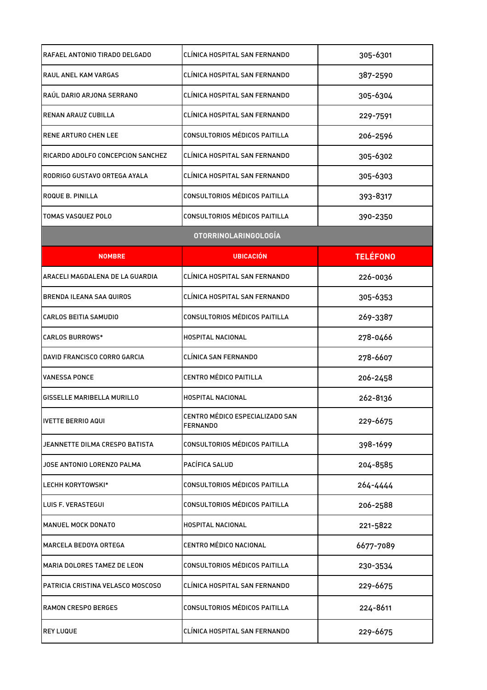| RAFAEL ANTONIO TIRADO DELGADO     | CLÍNICA HOSPITAL SAN FERNANDO                      | 305-6301        |
|-----------------------------------|----------------------------------------------------|-----------------|
| RAUL ANEL KAM VARGAS              | CLÍNICA HOSPITAL SAN FERNANDO                      | 387-2590        |
| RAÚL DARIO ARJONA SERRANO         | CLÍNICA HOSPITAL SAN FERNANDO                      | 305-6304        |
| RENAN ARAUZ CUBILLA               | CLÍNICA HOSPITAL SAN FERNANDO                      | 229-7591        |
| <b>RENE ARTURO CHEN LEE</b>       | <b>CONSULTORIOS MÉDICOS PAITILLA</b>               | 206-2596        |
| RICARDO ADOLFO CONCEPCION SANCHEZ | CLÍNICA HOSPITAL SAN FERNANDO                      | 305-6302        |
| RODRIGO GUSTAVO ORTEGA AYALA      | CLÍNICA HOSPITAL SAN FERNANDO                      | 305-6303        |
| ROQUE B. PINILLA                  | CONSULTORIOS MÉDICOS PAITILLA                      | 393-8317        |
| <b>TOMAS VASQUEZ POLO</b>         | <b>CONSULTORIOS MÉDICOS PAITILLA</b>               | 390-2350        |
|                                   | <b>OTORRINOLARINGOLOGÍA</b>                        |                 |
| <b>NOMBRE</b>                     | <b>UBICACIÓN</b>                                   | <b>TELÉFONO</b> |
| ARACELI MAGDALENA DE LA GUARDIA   | CLÍNICA HOSPITAL SAN FERNANDO                      | 226-0036        |
| <b>BRENDA ILEANA SAA QUIROS</b>   | CLÍNICA HOSPITAL SAN FERNANDO                      | 305-6353        |
| <b>CARLOS BEITIA SAMUDIO</b>      | CONSULTORIOS MÉDICOS PAITILLA                      | 269-3387        |
| <b>CARLOS BURROWS*</b>            | HOSPITAL NACIONAL                                  | 278-0466        |
| DAVID FRANCISCO CORRO GARCIA      | CLÍNICA SAN FERNANDO                               | 278-6607        |
| <b>VANESSA PONCE</b>              | <b>CENTRO MÉDICO PAITILLA</b>                      | 206-2458        |
| GISSELLE MARIBELLA MURILLO        | HOSPITAL NACIONAL                                  | 262-8136        |
| <b>IVETTE BERRIO AQUI</b>         | CENTRO MÉDICO ESPECIALIZADO SAN<br><b>FERNANDO</b> | 229-6675        |
| JEANNETTE DILMA CRESPO BATISTA    | CONSULTORIOS MÉDICOS PAITILLA                      | 398-1699        |
| JOSE ANTONIO LORENZO PALMA        | PACÍFICA SALUD                                     | 204-8585        |
| LECHH KORYTOWSKI*                 | CONSULTORIOS MÉDICOS PAITILLA                      | 264-4444        |
| <b>LUIS F. VERASTEGUI</b>         | CONSULTORIOS MÉDICOS PAITILLA                      | 206-2588        |
| <b>MANUEL MOCK DONATO</b>         | HOSPITAL NACIONAL                                  | 221-5822        |
| MARCELA BEDOYA ORTEGA             | CENTRO MÉDICO NACIONAL                             | 6677-7089       |
| MARIA DOLORES TAMEZ DE LEON       | CONSULTORIOS MÉDICOS PAITILLA                      | 230-3534        |
| PATRICIA CRISTINA VELASCO MOSCOSO | CLÍNICA HOSPITAL SAN FERNANDO                      | 229-6675        |
| <b>RAMON CRESPO BERGES</b>        | CONSULTORIOS MÉDICOS PAITILLA                      | 224-8611        |
| <b>REY LUQUE</b>                  | CLÍNICA HOSPITAL SAN FERNANDO                      | 229-6675        |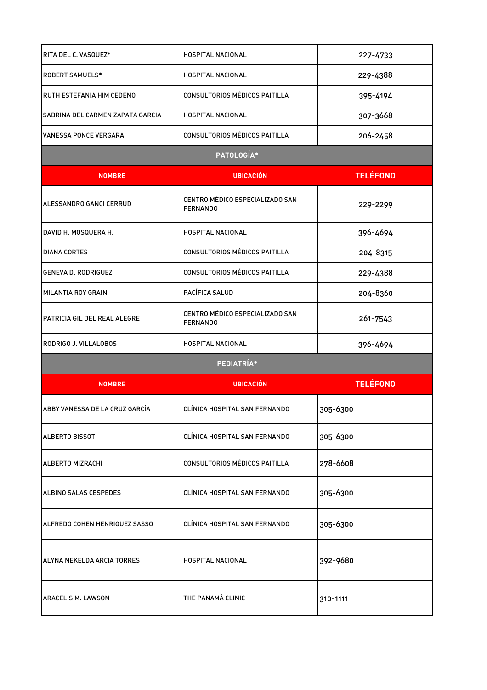| RITA DEL C. VASQUEZ*             | <b>HOSPITAL NACIONAL</b>                           | 227-4733        |
|----------------------------------|----------------------------------------------------|-----------------|
| <b>ROBERT SAMUELS*</b>           | HOSPITAL NACIONAL                                  | 229-4388        |
| RUTH ESTEFANIA HIM CEDEÑO        | <b>CONSULTORIOS MÉDICOS PAITILLA</b>               | 395-4194        |
| SABRINA DEL CARMEN ZAPATA GARCIA | HOSPITAL NACIONAL                                  | 307-3668        |
| <b>VANESSA PONCE VERGARA</b>     | CONSULTORIOS MÉDICOS PAITILLA                      | 206-2458        |
|                                  | PATOLOGÍA*                                         |                 |
| <b>NOMBRE</b>                    | <b>UBICACIÓN</b>                                   | <b>TELÉFONO</b> |
| ALESSANDRO GANCI CERRUD          | CENTRO MÉDICO ESPECIALIZADO SAN<br><b>FERNANDO</b> | 229-2299        |
| DAVID H. MOSQUERA H.             | HOSPITAL NACIONAL                                  | 396-4694        |
| <b>DIANA CORTES</b>              | CONSULTORIOS MÉDICOS PAITILLA                      | 204-8315        |
| <b>GENEVA D. RODRIGUEZ</b>       | CONSULTORIOS MÉDICOS PAITILLA                      | 229-4388        |
| <b>MILANTIA ROY GRAIN</b>        | PACÍFICA SALUD                                     | 204-8360        |
| PATRICIA GIL DEL REAL ALEGRE     | CENTRO MÉDICO ESPECIALIZADO SAN<br><b>FERNANDO</b> | 261-7543        |
| RODRIGO J. VILLALOBOS            | HOSPITAL NACIONAL                                  | 396-4694        |
|                                  | PEDIATRÍA*                                         |                 |
| <b>NOMBRE</b>                    | <b>UBICACIÓN</b>                                   | <b>TELÉFONO</b> |
| ABBY VANESSA DE LA CRUZ GARCÍA   | CLÍNICA HOSPITAL SAN FERNANDO                      | 305-6300        |
| <b>ALBERTO BISSOT</b>            | CLÍNICA HOSPITAL SAN FERNANDO                      | 305-6300        |
| ALBERTO MIZRACHI                 | <b>CONSULTORIOS MÉDICOS PAITILLA</b>               | 278-6608        |
| ALBINO SALAS CESPEDES            | CLÍNICA HOSPITAL SAN FERNANDO                      | 305-6300        |
| ALFREDO COHEN HENRIQUEZ SASSO    | CLÍNICA HOSPITAL SAN FERNANDO                      | 305-6300        |
| ALYNA NEKELDA ARCIA TORRES       | HOSPITAL NACIONAL                                  | 392-9680        |
| ARACELIS M. LAWSON               | THE PANAMÁ CLINIC                                  | 310-1111        |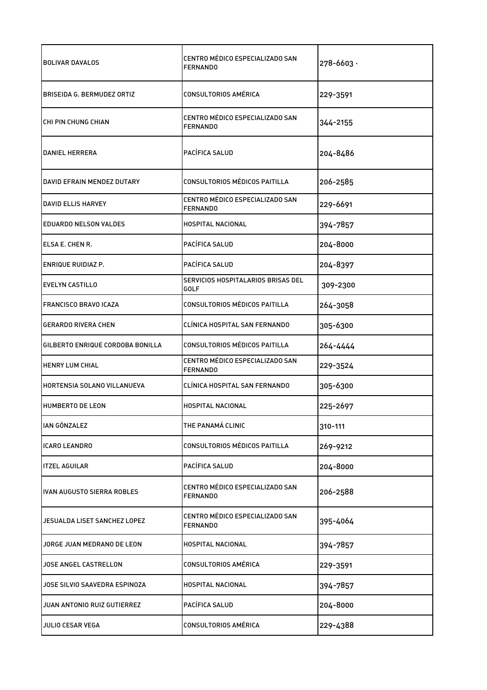| <b>BOLIVAR DAVALOS</b>           | CENTRO MÉDICO ESPECIALIZADO SAN<br><b>FERNANDO</b> | $278 - 6603$ |
|----------------------------------|----------------------------------------------------|--------------|
| BRISEIDA G. BERMUDEZ ORTIZ       | CONSULTORIOS AMÉRICA                               | 229-3591     |
| CHI PIN CHUNG CHIAN              | CENTRO MÉDICO ESPECIALIZADO SAN<br><b>FERNANDO</b> | 344-2155     |
| DANIEL HERRERA                   | PACÍFICA SALUD                                     | 204-8486     |
| DAVID EFRAIN MENDEZ DUTARY       | CONSULTORIOS MÉDICOS PAITILLA                      | 206-2585     |
| DAVID ELLIS HARVEY               | CENTRO MÉDICO ESPECIALIZADO SAN<br><b>FERNANDO</b> | 229-6691     |
| <b>EDUARDO NELSON VALDES</b>     | <b>HOSPITAL NACIONAL</b>                           | 394-7857     |
| ELSA E. CHEN R.                  | PACÍFICA SALUD                                     | 204-8000     |
| ENRIQUE RUIDIAZ P.               | PACÍFICA SALUD                                     | 204-8397     |
| <b>EVELYN CASTILLO</b>           | SERVICIOS HOSPITALARIOS BRISAS DEL<br>GOLF         | 309-2300     |
| <b>FRANCISCO BRAVO ICAZA</b>     | CONSULTORIOS MÉDICOS PAITILLA                      | 264-3058     |
| <b>GERARDO RIVERA CHEN</b>       | CLÍNICA HOSPITAL SAN FERNANDO                      | 305-6300     |
| GILBERTO ENRIQUE CORDOBA BONILLA | CONSULTORIOS MÉDICOS PAITILLA                      | 264-4444     |
| HENRY LUM CHIAL                  | CENTRO MÉDICO ESPECIALIZADO SAN<br><b>FERNANDO</b> | 229-3524     |
| HORTENSIA SOLANO VILLANUEVA      | CLÍNICA HOSPITAL SAN FERNANDO                      | 305-6300     |
| HUMBERTO DE LEON                 | <b>HOSPITAL NACIONAL</b>                           | 225-2697     |
| IAN GÓNZALEZ                     | THE PANAMÁ CLINIC                                  | 310-111      |
| <b>ICARO LEANDRO</b>             | CONSULTORIOS MÉDICOS PAITILLA                      | 269-9212     |
| <b>ITZEL AGUILAR</b>             | PACÍFICA SALUD                                     | 204-8000     |
| IVAN AUGUSTO SIERRA ROBLES       | CENTRO MÉDICO ESPECIALIZADO SAN<br><b>FERNANDO</b> | 206-2588     |
| JESUALDA LISET SANCHEZ LOPEZ     | CENTRO MÉDICO ESPECIALIZADO SAN<br><b>FERNANDO</b> | 395-4064     |
| JORGE JUAN MEDRANO DE LEON       | <b>HOSPITAL NACIONAL</b>                           | 394-7857     |
| JOSE ANGEL CASTRELLON            | <b>CONSULTORIOS AMÉRICA</b>                        | 229-3591     |
| JOSE SILVIO SAAVEDRA ESPINOZA    | HOSPITAL NACIONAL                                  | 394-7857     |
| JUAN ANTONIO RUIZ GUTIERREZ      | PACÍFICA SALUD                                     | 204-8000     |
| <b>JULIO CESAR VEGA</b>          | <b>CONSULTORIOS AMÉRICA</b>                        | 229-4388     |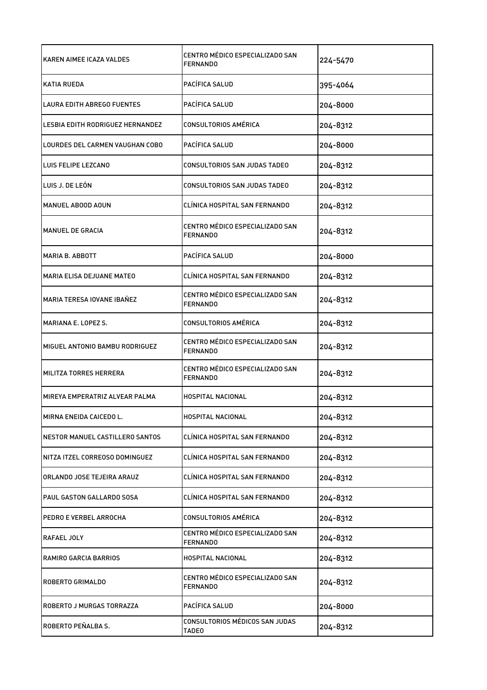| KAREN AIMEE ICAZA VALDES          | CENTRO MÉDICO ESPECIALIZADO SAN<br><b>FERNANDO</b> | 224-5470 |
|-----------------------------------|----------------------------------------------------|----------|
| <b>KATIA RUEDA</b>                | PACÍFICA SALUD                                     | 395-4064 |
| <b>LAURA EDITH ABREGO FUENTES</b> | PACÍFICA SALUD                                     | 204-8000 |
| LESBIA EDITH RODRIGUEZ HERNANDEZ  | CONSULTORIOS AMÉRICA                               | 204-8312 |
| LOURDES DEL CARMEN VAUGHAN COBO   | PACÍFICA SALUD                                     | 204-8000 |
| LUIS FELIPE LEZCANO               | CONSULTORIOS SAN JUDAS TADEO                       | 204-8312 |
| LUIS J. DE LEÓN                   | CONSULTORIOS SAN JUDAS TADEO                       | 204-8312 |
| MANUEL ABOOD AOUN                 | CLÍNICA HOSPITAL SAN FERNANDO                      | 204-8312 |
| MANUEL DE GRACIA                  | CENTRO MÉDICO ESPECIALIZADO SAN<br><b>FERNANDO</b> | 204-8312 |
| MARIA B. ABBOTT                   | PACÍFICA SALUD                                     | 204-8000 |
| <b>MARIA ELISA DEJUANE MATEO</b>  | CLÍNICA HOSPITAL SAN FERNANDO                      | 204-8312 |
| MARIA TERESA IOVANE IBAÑEZ        | CENTRO MÉDICO ESPECIALIZADO SAN<br><b>FERNANDO</b> | 204-8312 |
| MARIANA E. LOPEZ S.               | <b>CONSULTORIOS AMÉRICA</b>                        | 204-8312 |
| MIGUEL ANTONIO BAMBU RODRIGUEZ    | CENTRO MÉDICO ESPECIALIZADO SAN<br><b>FERNANDO</b> | 204-8312 |
| MILITZA TORRES HERRERA            | CENTRO MÉDICO ESPECIALIZADO SAN<br><b>FERNANDO</b> | 204-8312 |
| MIREYA EMPERATRIZ ALVEAR PALMA    | <b>HOSPITAL NACIONAL</b>                           | 204-8312 |
| MIRNA ENEIDA CAICEDO L.           | HOSPITAL NACIONAL                                  | 204-8312 |
| NESTOR MANUEL CASTILLERO SANTOS   | CLÍNICA HOSPITAL SAN FERNANDO                      | 204-8312 |
| NITZA ITZEL CORREOSO DOMINGUEZ    | CLÍNICA HOSPITAL SAN FERNANDO                      | 204-8312 |
| ORLANDO JOSE TEJEIRA ARAUZ        | CLÍNICA HOSPITAL SAN FERNANDO                      | 204-8312 |
| PAUL GASTON GALLARDO SOSA         | CLÍNICA HOSPITAL SAN FERNANDO                      | 204-8312 |
| PEDRO E VERBEL ARROCHA            | <b>CONSULTORIOS AMÉRICA</b>                        | 204-8312 |
| RAFAEL JOLY                       | CENTRO MÉDICO ESPECIALIZADO SAN<br>FERNANDO        | 204-8312 |
| RAMIRO GARCIA BARRIOS             | <b>HOSPITAL NACIONAL</b>                           | 204-8312 |
| <b>ROBERTO GRIMALDO</b>           | CENTRO MÉDICO ESPECIALIZADO SAN<br><b>FERNANDO</b> | 204-8312 |
| ROBERTO J MURGAS TORRAZZA         | PACÍFICA SALUD                                     | 204-8000 |
| ROBERTO PEÑALBA S.                | CONSULTORIOS MÉDICOS SAN JUDAS<br><b>TADE0</b>     | 204-8312 |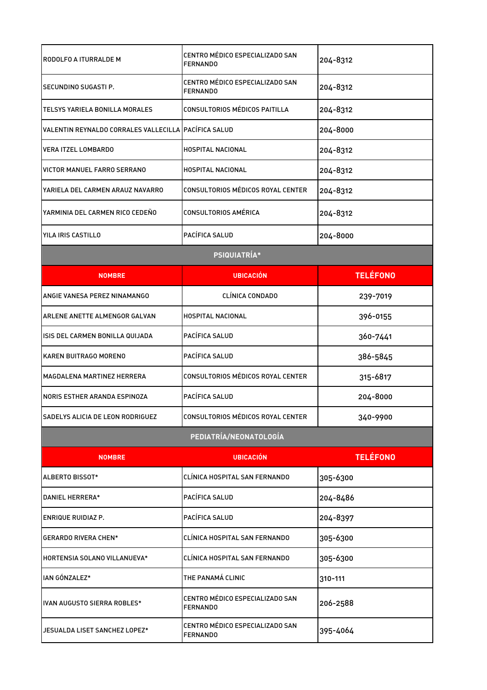| RODOLFO A ITURRALDE M                                | CENTRO MÉDICO ESPECIALIZADO SAN<br><b>FERNANDO</b> | 204-8312        |
|------------------------------------------------------|----------------------------------------------------|-----------------|
| SECUNDINO SUGASTI P.                                 | CENTRO MÉDICO ESPECIALIZADO SAN<br><b>FERNANDO</b> | 204-8312        |
| TELSYS YARIELA BONILLA MORALES                       | CONSULTORIOS MÉDICOS PAITILLA                      | 204-8312        |
| VALENTIN REYNALDO CORRALES VALLECILLA PACÍFICA SALUD |                                                    | 204-8000        |
| VERA ITZEL LOMBARDO                                  | <b>HOSPITAL NACIONAL</b>                           | 204-8312        |
| VICTOR MANUEL FARRO SERRANO                          | <b>HOSPITAL NACIONAL</b>                           | 204-8312        |
| YARIELA DEL CARMEN ARAUZ NAVARRO                     | CONSULTORIOS MÉDICOS ROYAL CENTER                  | 204-8312        |
| YARMINIA DEL CARMEN RICO CEDEÑO                      | CONSULTORIOS AMÉRICA                               | 204-8312        |
| YILA IRIS CASTILLO                                   | PACÍFICA SALUD                                     | 204-8000        |
|                                                      | <b>PSIQUIATRÍA*</b>                                |                 |
| <b>NOMBRE</b>                                        | <b>UBICACIÓN</b>                                   | <b>TELÉFONO</b> |
| ANGIE VANESA PEREZ NINAMANGO                         | CLÍNICA CONDADO                                    | 239-7019        |
| ARLENE ANETTE ALMENGOR GALVAN                        | <b>HOSPITAL NACIONAL</b>                           | 396-0155        |
| ISIS DEL CARMEN BONILLA QUIJADA                      | PACÍFICA SALUD                                     | 360-7441        |
| KAREN BUITRAGO MORENO                                | PACÍFICA SALUD                                     | 386-5845        |
| <b>MAGDALENA MARTINEZ HERRERA</b>                    | CONSULTORIOS MÉDICOS ROYAL CENTER                  | 315-6817        |
| NORIS ESTHER ARANDA ESPINOZA                         | PACÍFICA SALUD                                     | 204-8000        |
| SADELYS ALICIA DE LEON RODRIGUEZ                     | CONSULTORIOS MÉDICOS ROYAL CENTER                  | 340-9900        |
|                                                      | PEDIATRÍA/NEONATOLOGÍA                             |                 |
| <b>NOMBRE</b>                                        | <b>UBICACIÓN</b>                                   | <b>TELÉFONO</b> |
| ALBERTO BISSOT*                                      | CLÍNICA HOSPITAL SAN FERNANDO                      | 305-6300        |
| DANIEL HERRERA*                                      | PACÍFICA SALUD                                     | 204-8486        |
| ENRIQUE RUIDIAZ P.                                   | PACÍFICA SALUD                                     | 204-8397        |
| <b>GERARDO RIVERA CHEN*</b>                          | CLÍNICA HOSPITAL SAN FERNANDO                      | 305-6300        |
| HORTENSIA SOLANO VILLANUEVA*                         | CLÍNICA HOSPITAL SAN FERNANDO                      | 305-6300        |
| IAN GÓNZALEZ*                                        | THE PANAMÁ CLINIC                                  | 310-111         |
| IVAN AUGUSTO SIERRA ROBLES*                          | CENTRO MÉDICO ESPECIALIZADO SAN<br><b>FERNANDO</b> | 206-2588        |
| JESUALDA LISET SANCHEZ LOPEZ*                        | CENTRO MÉDICO ESPECIALIZADO SAN<br><b>FERNANDO</b> | 395-4064        |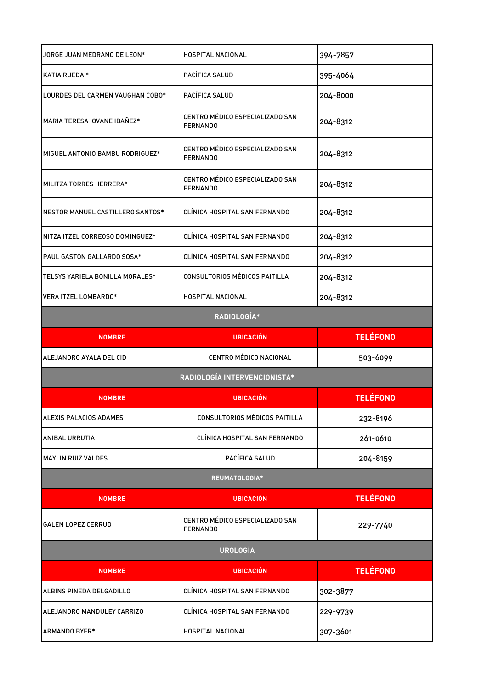| JORGE JUAN MEDRANO DE LEON*       | HOSPITAL NACIONAL                                  | 394-7857        |
|-----------------------------------|----------------------------------------------------|-----------------|
| <b>KATIA RUEDA *</b>              | PACÍFICA SALUD                                     | 395-4064        |
| LOURDES DEL CARMEN VAUGHAN COBO*  | PACÍFICA SALUD                                     | 204-8000        |
| MARIA TERESA IOVANE IBAÑEZ*       | CENTRO MÉDICO ESPECIALIZADO SAN<br><b>FERNANDO</b> | 204-8312        |
| MIGUEL ANTONIO BAMBU RODRIGUEZ*   | CENTRO MÉDICO ESPECIALIZADO SAN<br><b>FERNANDO</b> | 204-8312        |
| MILITZA TORRES HERRERA*           | CENTRO MÉDICO ESPECIALIZADO SAN<br><b>FERNANDO</b> | 204-8312        |
| NESTOR MANUEL CASTILLERO SANTOS*  | CLÍNICA HOSPITAL SAN FERNANDO                      | 204-8312        |
| NITZA ITZEL CORREOSO DOMINGUEZ*   | CLÍNICA HOSPITAL SAN FERNANDO                      | 204-8312        |
| <b>PAUL GASTON GALLARDO SOSA*</b> | CLÍNICA HOSPITAL SAN FERNANDO                      | 204-8312        |
| TELSYS YARIELA BONILLA MORALES*   | CONSULTORIOS MÉDICOS PAITILLA                      | 204-8312        |
| VERA ITZEL LOMBARDO*              | HOSPITAL NACIONAL                                  | 204-8312        |
|                                   | RADIOLOGÍA*                                        |                 |
| <b>NOMBRE</b>                     | <b>UBICACIÓN</b>                                   | <b>TELÉFONO</b> |
|                                   |                                                    |                 |
| ALEJANDRO AYALA DEL CID           | <b>CENTRO MÉDICO NACIONAL</b>                      | 503-6099        |
|                                   | RADIOLOGÍA INTERVENCIONISTA*                       |                 |
| <b>NOMBRE</b>                     | <b>UBICACIÓN</b>                                   | <b>TELÉFONO</b> |
| ALEXIS PALACIOS ADAMES            | CONSULTORIOS MÉDICOS PAITILLA                      | 232-8196        |
| ANIBAL URRUTIA                    | CLÍNICA HOSPITAL SAN FERNANDO                      | 261-0610        |
| <b>MAYLIN RUIZ VALDES</b>         | PACÍFICA SALUD                                     | 204-8159        |
|                                   | REUMATOLOGÍA*                                      |                 |
| <b>NOMBRE</b>                     | <b>UBICACIÓN</b>                                   | <b>TELÉFONO</b> |
| <b>GALEN LOPEZ CERRUD</b>         | CENTRO MÉDICO ESPECIALIZADO SAN<br><b>FERNANDO</b> | 229-7740        |
|                                   | <b>UROLOGÍA</b>                                    |                 |
| <b>NOMBRE</b>                     | <b>UBICACIÓN</b>                                   | <b>TELÉFONO</b> |
| ALBINS PINEDA DELGADILLO          | CLÍNICA HOSPITAL SAN FERNANDO                      | 302-3877        |
| ALEJANDRO MANDULEY CARRIZO        | CLÍNICA HOSPITAL SAN FERNANDO                      | 229-9739        |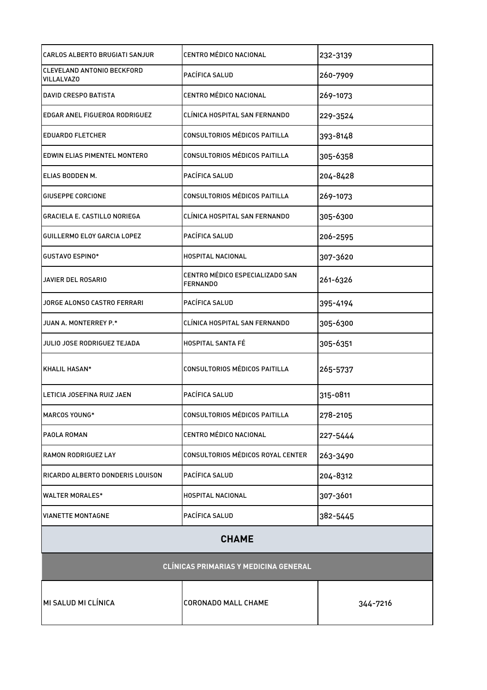| CARLOS ALBERTO BRUGIATI SANJUR                  | CENTRO MÉDICO NACIONAL                      | 232-3139 |
|-------------------------------------------------|---------------------------------------------|----------|
| CLEVELAND ANTONIO BECKFORD<br><b>VILLALVAZO</b> | PACÍFICA SALUD                              | 260-7909 |
| <b>DAVID CRESPO BATISTA</b>                     | CENTRO MÉDICO NACIONAL                      | 269-1073 |
| EDGAR ANEL FIGUEROA RODRIGUEZ                   | CLÍNICA HOSPITAL SAN FERNANDO               | 229-3524 |
| <b>EDUARDO FLETCHER</b>                         | CONSULTORIOS MÉDICOS PAITILLA               | 393-8148 |
| EDWIN ELIAS PIMENTEL MONTERO                    | CONSULTORIOS MÉDICOS PAITILLA               | 305-6358 |
| ELIAS BODDEN M.                                 | PACÍFICA SALUD                              | 204-8428 |
| GIUSEPPE CORCIONE                               | CONSULTORIOS MÉDICOS PAITILLA               | 269-1073 |
| <b>GRACIELA E. CASTILLO NORIEGA</b>             | CLÍNICA HOSPITAL SAN FERNANDO               | 305-6300 |
| <b>GUILLERMO ELOY GARCIA LOPEZ</b>              | PACÍFICA SALUD                              | 206-2595 |
| <b>GUSTAVO ESPINO*</b>                          | HOSPITAL NACIONAL                           | 307-3620 |
| JAVIER DEL ROSARIO                              | CENTRO MÉDICO ESPECIALIZADO SAN<br>FERNANDO | 261-6326 |
| JORGE ALONSO CASTRO FERRARI                     | PACÍFICA SALUD                              | 395-4194 |
| JUAN A. MONTERREY P.*                           | CLÍNICA HOSPITAL SAN FERNANDO               | 305-6300 |
| JULIO JOSE RODRIGUEZ TEJADA                     | <b>HOSPITAL SANTA FÉ</b>                    | 305-6351 |
| KHALIL HASAN*                                   | CONSULTORIOS MÉDICOS PAITILLA               | 265-5737 |
| LETICIA JOSEFINA RUIZ JAEN                      | PACÍFICA SALUD                              | 315-0811 |
| <b>MARCOS YOUNG*</b>                            | CONSULTORIOS MÉDICOS PAITILLA               | 278-2105 |
| PAOLA ROMAN                                     | CENTRO MÉDICO NACIONAL                      | 227-5444 |
| <b>RAMON RODRIGUEZ LAY</b>                      | CONSULTORIOS MÉDICOS ROYAL CENTER           | 263-3490 |
| RICARDO ALBERTO DONDERIS LOUISON                | PACÍFICA SALUD                              | 204-8312 |
| <b>WALTER MORALES*</b>                          | HOSPITAL NACIONAL                           | 307-3601 |
| IVIANETTE MONTAGNE                              | PACÍFICA SALUD                              | 382-5445 |
| <b>CHAME</b>                                    |                                             |          |
| <b>CLÍNICAS PRIMARIAS Y MEDICINA GENERAL</b>    |                                             |          |
| MI SALUD MI CLÍNICA                             | <b>CORONADO MALL CHAME</b>                  | 344-7216 |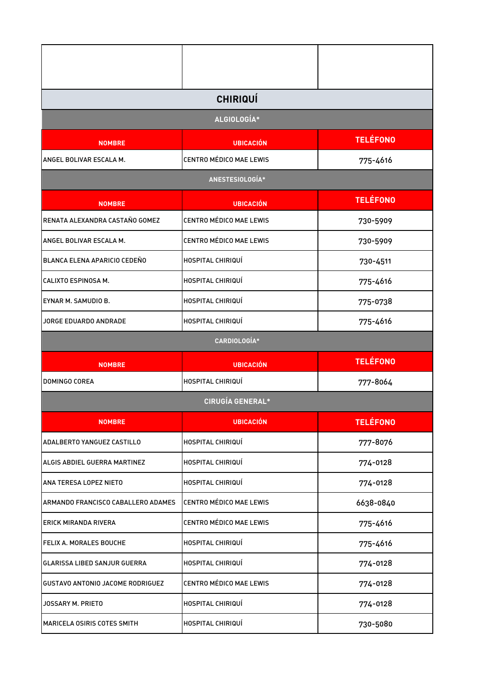|                                         | <b>CHIRIQUÍ</b>                |                 |
|-----------------------------------------|--------------------------------|-----------------|
|                                         | ALGIOLOGÍA*                    |                 |
| <b>NOMBRE</b>                           | <b>UBICACIÓN</b>               | <b>TELÉFONO</b> |
| ANGEL BOLIVAR ESCALA M.                 | <b>CENTRO MÉDICO MAE LEWIS</b> | 775-4616        |
|                                         | ANESTESIOLOGÍA*                |                 |
| <b>NOMBRE</b>                           | <b>UBICACIÓN</b>               | <b>TELÉFONO</b> |
| RENATA ALEXANDRA CASTAÑO GOMEZ          | <b>CENTRO MÉDICO MAE LEWIS</b> | 730-5909        |
| ANGEL BOLIVAR ESCALA M.                 | <b>CENTRO MÉDICO MAE LEWIS</b> | 730-5909        |
| BLANCA ELENA APARICIO CEDEÑO            | HOSPITAL CHIRIQUÍ              | 730-4511        |
| CALIXTO ESPINOSA M.                     | HOSPITAL CHIRIQUÍ              | 775-4616        |
| EYNAR M. SAMUDIO B.                     | HOSPITAL CHIRIQUÍ              | 775-0738        |
| JORGE EDUARDO ANDRADE                   | HOSPITAL CHIRIQUÍ              | 775-4616        |
|                                         | CARDIOLOGÍA*                   |                 |
| <b>NOMBRE</b>                           | <b>UBICACIÓN</b>               | <b>TELÉFONO</b> |
| DOMINGO COREA                           | HOSPITAL CHIRIQUÍ              | 777-8064        |
|                                         | <b>CIRUGÍA GENERAL*</b>        |                 |
| <b>NOMBRE</b>                           | <b>UBICACIÓN</b>               | <b>TELÉFONO</b> |
| ADALBERTO YANGUEZ CASTILLO              | HOSPITAL CHIRIQUÍ              | 777-8076        |
| ALGIS ABDIEL GUERRA MARTINEZ            | HOSPITAL CHIRIQUÍ              | 774-0128        |
| ANA TERESA LOPEZ NIETO                  | HOSPITAL CHIRIQUÍ              | 774-0128        |
| ARMANDO FRANCISCO CABALLERO ADAMES      | <b>CENTRO MÉDICO MAE LEWIS</b> | 6638-0840       |
| ERICK MIRANDA RIVERA                    | CENTRO MÉDICO MAE LEWIS        | 775-4616        |
| FELIX A. MORALES BOUCHE                 | HOSPITAL CHIRIQUÍ              | 775-4616        |
| <b>GLARISSA LIBED SANJUR GUERRA</b>     | HOSPITAL CHIRIQUÍ              | 774-0128        |
| <b>GUSTAVO ANTONIO JACOME RODRIGUEZ</b> | <b>CENTRO MÉDICO MAE LEWIS</b> | 774-0128        |
| JOSSARY M. PRIETO                       | HOSPITAL CHIRIQUÍ              | 774-0128        |
| MARICELA OSIRIS COTES SMITH             | HOSPITAL CHIRIQUÍ              | 730-5080        |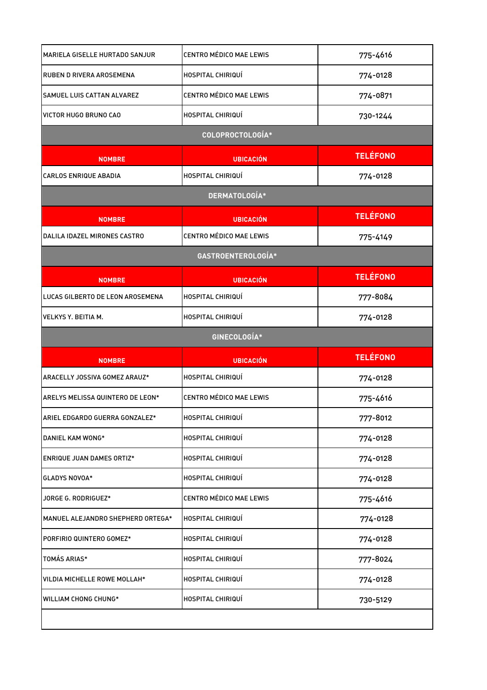| <b>MARIELA GISELLE HURTADO SANJUR</b> | <b>CENTRO MÉDICO MAE LEWIS</b> | 775-4616        |
|---------------------------------------|--------------------------------|-----------------|
| <b>RUBEN D RIVERA AROSEMENA</b>       | HOSPITAL CHIRIQUÍ              | 774-0128        |
| <b>SAMUEL LUIS CATTAN ALVAREZ</b>     | CENTRO MÉDICO MAE LEWIS        | 774-0871        |
| VICTOR HUGO BRUNO CAO                 | HOSPITAL CHIRIQUÍ              | 730-1244        |
|                                       | COLOPROCTOLOGÍA*               |                 |
| <b>NOMBRE</b>                         | <b>UBICACIÓN</b>               | <b>TELÉFONO</b> |
| <b>CARLOS ENRIQUE ABADIA</b>          | HOSPITAL CHIRIQUÍ              | 774-0128        |
|                                       | DERMATOLOGÍA*                  |                 |
| <b>NOMBRE</b>                         | <b>UBICACIÓN</b>               | <b>TELÉFONO</b> |
| DALILA IDAZEL MIRONES CASTRO          | CENTRO MÉDICO MAE LEWIS        | 775-4149        |
|                                       | GASTROENTEROLOGÍA*             |                 |
| <b>NOMBRE</b>                         | <b>UBICACIÓN</b>               | <b>TELÉFONO</b> |
| LUCAS GILBERTO DE LEON AROSEMENA      | HOSPITAL CHIRIQUÍ              | 777-8084        |
| <b>VELKYS Y. BEITIA M.</b>            | HOSPITAL CHIRIQUÍ              | 774-0128        |
|                                       | GINECOLOGÍA*                   |                 |
|                                       |                                | <b>TELÉFONO</b> |
| <b>NOMBRE</b>                         | <b>UBICACIÓN</b>               |                 |
| ARACELLY JOSSIVA GOMEZ ARAUZ*         | HOSPITAL CHIRIQUÍ              | 774-0128        |
| ARELYS MELISSA QUINTERO DE LEON*      | CENTRO MÉDICO MAE LEWIS        | 775-4616        |
| ARIEL EDGARDO GUERRA GONZALEZ*        | HOSPITAL CHIRIQUÍ              | 777-8012        |
| DANIEL KAM WONG*                      | HOSPITAL CHIRIQUÍ              | 774-0128        |
| <b>ENRIQUE JUAN DAMES ORTIZ*</b>      | HOSPITAL CHIRIQUÍ              | 774-0128        |
| <b>GLADYS NOVOA*</b>                  | HOSPITAL CHIRIQUÍ              | 774-0128        |
| JORGE G. RODRIGUEZ*                   | CENTRO MÉDICO MAE LEWIS        | 775-4616        |
| MANUEL ALEJANDRO SHEPHERD ORTEGA*     | HOSPITAL CHIRIQUÍ              | 774-0128        |
| PORFIRIO QUINTERO GOMEZ*              | HOSPITAL CHIRIQUÍ              | 774-0128        |
| TOMÁS ARIAS*                          | HOSPITAL CHIRIQUÍ              | 777-8024        |
| VILDIA MICHELLE ROWE MOLLAH*          | HOSPITAL CHIRIQUÍ              | 774-0128        |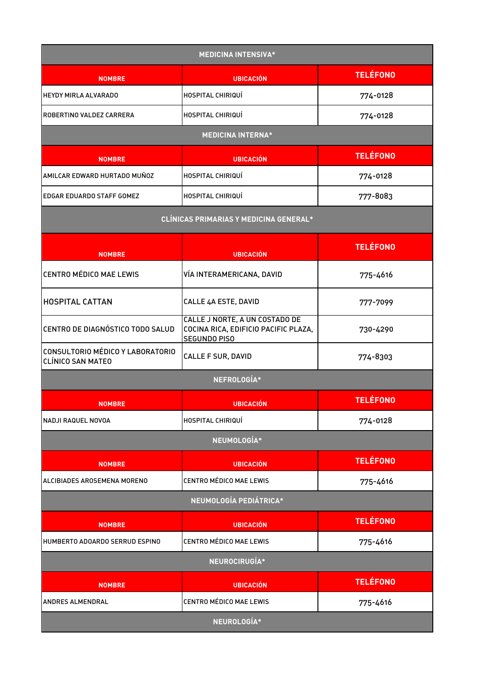| <b>MEDICINA INTENSIVA*</b>                                   |                                                                                               |                 |
|--------------------------------------------------------------|-----------------------------------------------------------------------------------------------|-----------------|
| <b>NOMBRE</b>                                                | <b>UBICACIÓN</b>                                                                              | <b>TELÉFONO</b> |
| <b>HEYDY MIRLA ALVARADO</b>                                  | <b>HOSPITAL CHIRIQUÍ</b>                                                                      | 774-0128        |
| ROBERTINO VALDEZ CARRERA                                     | <b>HOSPITAL CHIRIQUI</b>                                                                      | 774-0128        |
|                                                              | <b>MEDICINA INTERNA*</b>                                                                      |                 |
| <b>NOMBRE</b>                                                | <b>UBICACIÓN</b>                                                                              | <b>TELÉFONO</b> |
| AMILCAR EDWARD HURTADO MUÑOZ                                 | HOSPITAL CHIRIQUÍ                                                                             | 774-0128        |
| EDGAR EDUARDO STAFF GOMEZ                                    | HOSPITAL CHIRIQUÍ                                                                             | 777-8083        |
|                                                              | <b>CLÍNICAS PRIMARIAS Y MEDICINA GENERAL*</b>                                                 |                 |
| <b>NOMBRE</b>                                                | <b>UBICACIÓN</b>                                                                              | <b>TELÉFONO</b> |
| <b>CENTRO MÉDICO MAE LEWIS</b>                               | VÍA INTERAMERICANA, DAVID                                                                     | 775-4616        |
| <b>HOSPITAL CATTAN</b>                                       | CALLE 4A ESTE, DAVID                                                                          | 777-7099        |
| CENTRO DE DIAGNÓSTICO TODO SALUD                             | CALLE J NORTE, A UN COSTADO DE<br>COCINA RICA, EDIFICIO PACIFIC PLAZA,<br><b>SEGUNDO PISO</b> | 730-4290        |
| CONSULTORIO MÉDICO Y LABORATORIO<br><b>CLÍNICO SAN MATEO</b> | <b>CALLE F SUR, DAVID</b>                                                                     | 774-8303        |
|                                                              | NEFROLOGÍA*                                                                                   |                 |
| <b>NOMBRE</b>                                                | <b>UBICACIÓN</b>                                                                              | <b>TELÉFONO</b> |
| NADJI RAQUEL NOVOA                                           | HOSPITAL CHIRIQUÍ                                                                             | 774-0128        |
|                                                              | NEUMOLOGÍA*                                                                                   |                 |
| <b>NOMBRE</b>                                                | <b>UBICACIÓN</b>                                                                              | <b>TELÉFONO</b> |
| ALCIBIADES AROSEMENA MORENO                                  | <b>CENTRO MÉDICO MAE LEWIS</b>                                                                | 775-4616        |
|                                                              | NEUMOLOGÍA PEDIÁTRICA*                                                                        |                 |
| <b>NOMBRE</b>                                                | <b>UBICACIÓN</b>                                                                              | <b>TELÉFONO</b> |
| HUMBERTO ADOARDO SERRUD ESPINO                               | CENTRO MÉDICO MAE LEWIS                                                                       | 775-4616        |
|                                                              | NEUROCIRUGÍA*                                                                                 |                 |
| <b>NOMBRE</b>                                                | <b>UBICACIÓN</b>                                                                              | <b>TELÉFONO</b> |
| ANDRES ALMENDRAL                                             | CENTRO MÉDICO MAE LEWIS                                                                       | 775-4616        |
| NEUROLOGÍA*                                                  |                                                                                               |                 |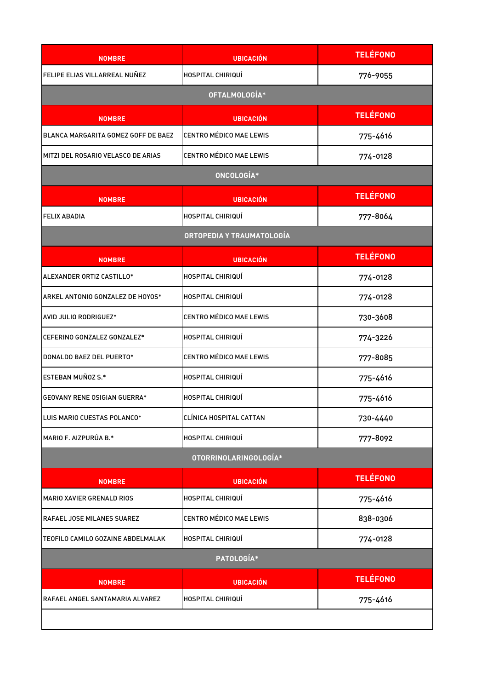| <b>NOMBRE</b>                       | <b>UBICACIÓN</b>               | <b>TELÉFONO</b> |
|-------------------------------------|--------------------------------|-----------------|
| FELIPE ELIAS VILLARREAL NUÑEZ       | HOSPITAL CHIRIQUÍ              | 776-9055        |
|                                     | OFTALMOLOGÍA*                  |                 |
| <b>NOMBRE</b>                       | <b>UBICACIÓN</b>               | <b>TELÉFONO</b> |
| BLANCA MARGARITA GOMEZ GOFF DE BAEZ | <b>CENTRO MÉDICO MAE LEWIS</b> | 775-4616        |
| MITZI DEL ROSARIO VELASCO DE ARIAS  | <b>CENTRO MÉDICO MAE LEWIS</b> | 774-0128        |
|                                     | ONCOLOGÍA*                     |                 |
| <b>NOMBRE</b>                       | <b>UBICACIÓN</b>               | <b>TELÉFONO</b> |
| <b>FELIX ABADIA</b>                 | HOSPITAL CHIRIQUÍ              | 777-8064        |
|                                     | ORTOPEDIA Y TRAUMATOLOGÍA      |                 |
| <b>NOMBRE</b>                       | <b>UBICACIÓN</b>               | <b>TELÉFONO</b> |
| ALEXANDER ORTIZ CASTILLO*           | HOSPITAL CHIRIQUÍ              | 774-0128        |
| ARKEL ANTONIO GONZALEZ DE HOYOS*    | HOSPITAL CHIRIQUÍ              | 774-0128        |
| AVID JULIO RODRIGUEZ*               | <b>CENTRO MÉDICO MAE LEWIS</b> | 730-3608        |
| CEFERINO GONZALEZ GONZALEZ*         | HOSPITAL CHIRIQUÍ              | 774-3226        |
| DONALDO BAEZ DEL PUERTO*            | <b>CENTRO MÉDICO MAE LEWIS</b> | 777-8085        |
| ESTEBAN MUÑOZ S.*                   | HOSPITAL CHIRIQUÍ              | 775-4616        |
| <b>GEOVANY RENE OSIGIAN GUERRA*</b> | HOSPITAL CHIRIQUÍ              | 775-4616        |
| LUIS MARIO CUESTAS POLANCO*         | CLÍNICA HOSPITAL CATTAN        | 730-4440        |
| MARIO F. AIZPURÚA B.*               | HOSPITAL CHIRIQUÍ              | 777-8092        |
|                                     | OTORRINOLARINGOLOGÍA*          |                 |
| <b>NOMBRE</b>                       | <b>UBICACIÓN</b>               | <b>TELÉFONO</b> |
| <b>MARIO XAVIER GRENALD RIOS</b>    | HOSPITAL CHIRIQUÍ              | 775-4616        |
| <b>RAFAEL JOSE MILANES SUAREZ</b>   | <b>CENTRO MÉDICO MAE LEWIS</b> | 838-0306        |
| TEOFILO CAMILO GOZAINE ABDELMALAK   | HOSPITAL CHIRIQUÍ              | 774-0128        |
|                                     | PATOLOGÍA*                     |                 |
| <b>NOMBRE</b>                       | <b>UBICACIÓN</b>               | <b>TELÉFONO</b> |
| RAFAEL ANGEL SANTAMARIA ALVAREZ     | HOSPITAL CHIRIQUÍ              | 775-4616        |
|                                     |                                |                 |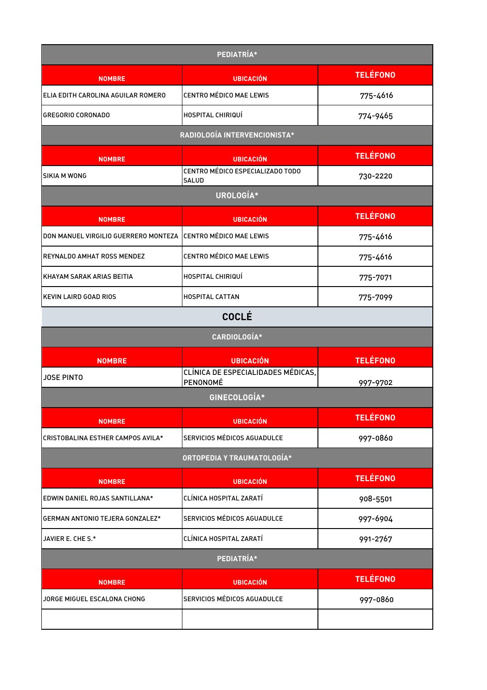| PEDIATRÍA*                           |                                                |                 |
|--------------------------------------|------------------------------------------------|-----------------|
| <b>NOMBRE</b>                        | <b>UBICACIÓN</b>                               | <b>TELÉFONO</b> |
| ELIA EDITH CAROLINA AGUILAR ROMERO   | <b>CENTRO MÉDICO MAE LEWIS</b>                 | 775-4616        |
| <b>GREGORIO CORONADO</b>             | HOSPITAL CHIRIQUÍ                              | 774-9465        |
|                                      | RADIOLOGÍA INTERVENCIONISTA*                   |                 |
| <b>NOMBRE</b>                        | <b>UBICACIÓN</b>                               | <b>TELÉFONO</b> |
| SIKIA M WONG                         | CENTRO MÉDICO ESPECIALIZADO TODO<br>SALUD      | 730-2220        |
|                                      | UROLOGÍA*                                      |                 |
| <b>NOMBRE</b>                        | <b>UBICACIÓN</b>                               | <b>TELÉFONO</b> |
| DON MANUEL VIRGILIO GUERRERO MONTEZA | CENTRO MÉDICO MAE LEWIS                        | 775-4616        |
| REYNALDO AMHAT ROSS MENDEZ           | CENTRO MÉDICO MAE LEWIS                        | 775-4616        |
| KHAYAM SARAK ARIAS BEITIA            | HOSPITAL CHIRIQUÍ                              | 775-7071        |
| <b>KEVIN LAIRD GOAD RIOS</b>         | <b>HOSPITAL CATTAN</b>                         | 775-7099        |
|                                      | <b>COCLÉ</b>                                   |                 |
|                                      | CARDIOLOGÍA*                                   |                 |
| <b>NOMBRE</b>                        | <b>UBICACIÓN</b>                               | <b>TELÉFONO</b> |
| <b>JOSE PINTO</b>                    | CLÍNICA DE ESPECIALIDADES MÉDICAS.<br>PENONOMÉ | 997-9702        |
|                                      | GINECOLOGÍA*                                   |                 |
| <b>NOMBRE</b>                        | <b>UBICACIÓN</b>                               | <b>TELÉFONO</b> |
| CRISTOBALINA ESTHER CAMPOS AVILA*    | SERVICIOS MÉDICOS AGUADULCE                    | 997-0860        |
|                                      | ORTOPEDIA Y TRAUMATOLOGÍA*                     |                 |
| <b>NOMBRE</b>                        | <b>UBICACIÓN</b>                               | <b>TELÉFONO</b> |
| EDWIN DANIEL ROJAS SANTILLANA*       | CLÍNICA HOSPITAL ZARATÍ                        | 908-5501        |
| GERMAN ANTONIO TEJERA GONZALEZ*      | SERVICIOS MÉDICOS AGUADULCE                    | 997-6904        |
| JAVIER E. CHE S.*                    | CLÍNICA HOSPITAL ZARATÍ                        | 991-2767        |
|                                      | PEDIATRÍA*                                     |                 |
| <b>NOMBRE</b>                        | <b>UBICACIÓN</b>                               | <b>TELÉFONO</b> |
| JORGE MIGUEL ESCALONA CHONG          | SERVICIOS MÉDICOS AGUADULCE                    | 997-0860        |
|                                      |                                                |                 |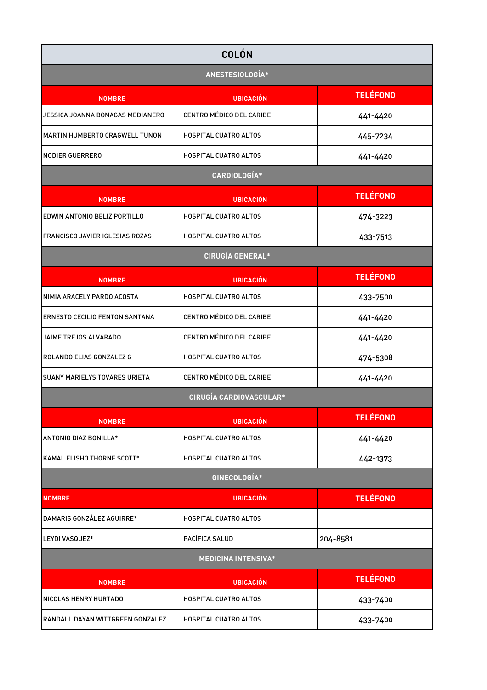| <b>COLÓN</b>                          |                                 |                 |
|---------------------------------------|---------------------------------|-----------------|
| ANESTESIOLOGÍA*                       |                                 |                 |
| <b>NOMBRE</b>                         | <b>UBICACIÓN</b>                | <b>TELÉFONO</b> |
| JESSICA JOANNA BONAGAS MEDIANERO      | CENTRO MÉDICO DEL CARIBE        | 441-4420        |
| MARTIN HUMBERTO CRAGWELL TUÑON        | <b>HOSPITAL CUATRO ALTOS</b>    | 445-7234        |
| <b>NODIER GUERRERO</b>                | <b>HOSPITAL CUATRO ALTOS</b>    | 441-4420        |
|                                       | CARDIOLOGÍA*                    |                 |
| <b>NOMBRE</b>                         | <b>UBICACIÓN</b>                | <b>TELÉFONO</b> |
| EDWIN ANTONIO BELIZ PORTILLO          | <b>HOSPITAL CUATRO ALTOS</b>    | 474-3223        |
| FRANCISCO JAVIER IGLESIAS ROZAS       | <b>HOSPITAL CUATRO ALTOS</b>    | 433-7513        |
|                                       | <b>CIRUGÍA GENERAL*</b>         |                 |
| <b>NOMBRE</b>                         | <b>UBICACIÓN</b>                | <b>TELÉFONO</b> |
| NIMIA ARACELY PARDO ACOSTA            | <b>HOSPITAL CUATRO ALTOS</b>    | 433-7500        |
| <b>ERNESTO CECILIO FENTON SANTANA</b> | <b>CENTRO MÉDICO DEL CARIBE</b> | 441-4420        |
| JAIME TREJOS ALVARADO                 | <b>CENTRO MÉDICO DEL CARIBE</b> | 441-4420        |
| ROLANDO ELIAS GONZALEZ G              | <b>HOSPITAL CUATRO ALTOS</b>    | 474-5308        |
| <b>SUANY MARIELYS TOVARES URIETA</b>  | CENTRO MÉDICO DEL CARIBE        | 441-4420        |
|                                       | <b>CIRUGÍA CARDIOVASCULAR*</b>  |                 |
| <b>NOMBRE</b>                         | <b>UBICACIÓN</b>                | <b>TELÉFONO</b> |
| ANTONIO DIAZ BONILLA*                 | <b>HOSPITAL CUATRO ALTOS</b>    | 441-4420        |
| KAMAL ELISHO THORNE SCOTT*            | <b>HOSPITAL CUATRO ALTOS</b>    | 442-1373        |
|                                       | GINECOLOGÍA*                    |                 |
| <b>NOMBRE</b>                         | <b>UBICACIÓN</b>                | <b>TELÉFONO</b> |
| DAMARIS GONZÁLEZ AGUIRRE*             | <b>HOSPITAL CUATRO ALTOS</b>    |                 |
| LEYDI VÁSQUEZ*                        | PACÍFICA SALUD                  | 204-8581        |
| <b>MEDICINA INTENSIVA*</b>            |                                 |                 |
| <b>NOMBRE</b>                         | <b>UBICACIÓN</b>                | <b>TELÉFONO</b> |
| NICOLAS HENRY HURTADO                 | <b>HOSPITAL CUATRO ALTOS</b>    | 433-7400        |
| RANDALL DAYAN WITTGREEN GONZALEZ      | <b>HOSPITAL CUATRO ALTOS</b>    | 433-7400        |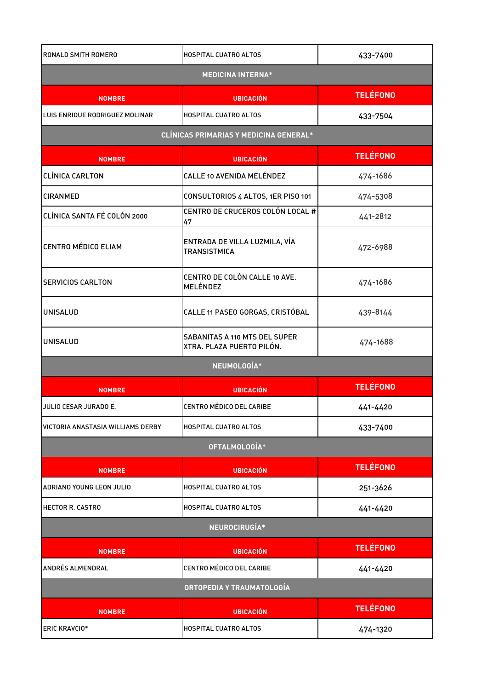| <b>RONALD SMITH ROMERO</b>        | <b>HOSPITAL CUATRO ALTOS</b>                                      | 433-7400        |
|-----------------------------------|-------------------------------------------------------------------|-----------------|
| <b>MEDICINA INTERNA*</b>          |                                                                   |                 |
| <b>NOMBRE</b>                     | <b>UBICACIÓN</b>                                                  | <b>TELÉFONO</b> |
| LUIS ENRIQUE RODRIGUEZ MOLINAR    | <b>HOSPITAL CUATRO ALTOS</b>                                      | 433-7504        |
|                                   | <b>CLÍNICAS PRIMARIAS Y MEDICINA GENERAL*</b>                     |                 |
| <b>NOMBRE</b>                     | <b>UBICACIÓN</b>                                                  | <b>TELÉFONO</b> |
| <b>CLÍNICA CARLTON</b>            | CALLE 10 AVENIDA MELÉNDEZ                                         | 474-1686        |
| <b>CIRANMED</b>                   | CONSULTORIOS 4 ALTOS, 1ER PISO 101                                | 474-5308        |
| CLÍNICA SANTA FÉ COLÓN 2000       | CENTRO DE CRUCEROS COLÓN LOCAL #<br>47                            | 441-2812        |
| <b>CENTRO MÉDICO ELIAM</b>        | ENTRADA DE VILLA LUZMILA, VÍA<br><b>TRANSISTMICA</b>              | 472-6988        |
| <b>SERVICIOS CARLTON</b>          | CENTRO DE COLÓN CALLE 10 AVE.<br>MELÉNDEZ                         | 474-1686        |
| <b>UNISALUD</b>                   | CALLE 11 PASEO GORGAS, CRISTÓBAL                                  | 439-8144        |
| <b>UNISALUD</b>                   | <b>SABANITAS A 110 MTS DEL SUPER</b><br>XTRA. PLAZA PUERTO PILÓN. | 474-1688        |
|                                   | NEUMOLOGÍA*                                                       |                 |
| <b>NOMBRE</b>                     | <b>UBICACIÓN</b>                                                  | <b>TELÉFONO</b> |
| JULIO CESAR JURADO E.             | CENTRO MÉDICO DEL CARIBE                                          | 441-4420        |
| VICTORIA ANASTASIA WILLIAMS DERBY | <b>HOSPITAL CUATRO ALTOS</b>                                      | 433-7400        |
|                                   | OFTALMOLOGÍA*                                                     |                 |
| <b>NOMBRE</b>                     | <b>UBICACIÓN</b>                                                  | <b>TELÉFONO</b> |
| ADRIANO YOUNG LEON JULIO          | <b>HOSPITAL CUATRO ALTOS</b>                                      | 251-3626        |
| <b>HECTOR R. CASTRO</b>           | <b>HOSPITAL CUATRO ALTOS</b>                                      | 441-4420        |
| NEUROCIRUGÍA*                     |                                                                   |                 |
| <b>NOMBRE</b>                     | <b>UBICACIÓN</b>                                                  | <b>TELÉFONO</b> |
| ANDRÉS ALMENDRAL                  | <b>CENTRO MÉDICO DEL CARIBE</b>                                   | 441-4420        |
|                                   | ORTOPEDIA Y TRAUMATOLOGÍA                                         |                 |
| <b>NOMBRE</b>                     | <b>UBICACIÓN</b>                                                  | <b>TELÉFONO</b> |
| <b>ERIC KRAVCIO*</b>              | <b>HOSPITAL CUATRO ALTOS</b>                                      | 474-1320        |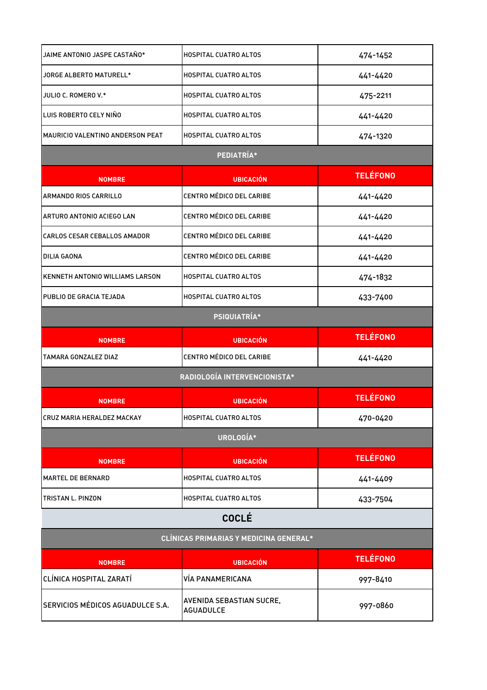| JAIME ANTONIO JASPE CASTAÑO*           | <b>HOSPITAL CUATRO ALTOS</b>           | 474-1452        |
|----------------------------------------|----------------------------------------|-----------------|
| JORGE ALBERTO MATURELL*                | <b>HOSPITAL CUATRO ALTOS</b>           | 441-4420        |
| JULIO C. ROMERO V.*                    | <b>HOSPITAL CUATRO ALTOS</b>           | 475-2211        |
| LUIS ROBERTO CELY NIÑO                 | HOSPITAL CUATRO ALTOS                  | 441-4420        |
| MAURICIO VALENTINO ANDERSON PEAT       | <b>HOSPITAL CUATRO ALTOS</b>           | 474-1320        |
| PEDIATRÍA*                             |                                        |                 |
| <b>NOMBRE</b>                          | <b>UBICACIÓN</b>                       | <b>TELÉFONO</b> |
| ARMANDO RIOS CARRILLO                  | CENTRO MÉDICO DEL CARIBE               | 441-4420        |
| ARTURO ANTONIO ACIEGO LAN              | CENTRO MÉDICO DEL CARIBE               | 441-4420        |
| <b>CARLOS CESAR CEBALLOS AMADOR</b>    | CENTRO MÉDICO DEL CARIBE               | 441-4420        |
| DILIA GAONA                            | CENTRO MÉDICO DEL CARIBE               | 441-4420        |
| <b>KENNETH ANTONIO WILLIAMS LARSON</b> | HOSPITAL CUATRO ALTOS                  | 474-1832        |
| PUBLIO DE GRACIA TEJADA                | HOSPITAL CUATRO ALTOS                  | 433-7400        |
|                                        | PSIQUIATRÍA*                           |                 |
| <b>NOMBRE</b>                          | <b>UBICACIÓN</b>                       | <b>TELÉFONO</b> |
| <b>TAMARA GONZALEZ DIAZ</b>            | CENTRO MÉDICO DEL CARIBE               | 441-4420        |
|                                        |                                        |                 |
|                                        | RADIOLOGÍA INTERVENCIONISTA*           |                 |
| <b>NOMBRE</b>                          | <b>UBICACIÓN</b>                       | <b>TELÉFONO</b> |
| CRUZ MARIA HERALDEZ MACKAY             | HOSPITAL CUATRO ALTOS                  | 470-0420        |
|                                        | UROLOGÍA*                              |                 |
| <b>NOMBRE</b>                          | <b>UBICACIÓN</b>                       | <b>TELÉFONO</b> |
| <b>MARTEL DE BERNARD</b>               | HOSPITAL CUATRO ALTOS                  | 441-4409        |
| TRISTAN L. PINZON                      | HOSPITAL CUATRO ALTOS                  | 433-7504        |
|                                        | <b>COCLÉ</b>                           |                 |
|                                        | CLÍNICAS PRIMARIAS Y MEDICINA GENERAL* |                 |
| <b>NOMBRE</b>                          | <b>UBICACIÓN</b>                       | <b>TELÉFONO</b> |
| <b>CLÍNICA HOSPITAL ZARATÍ</b>         | VÍA PANAMERICANA                       | 997-8410        |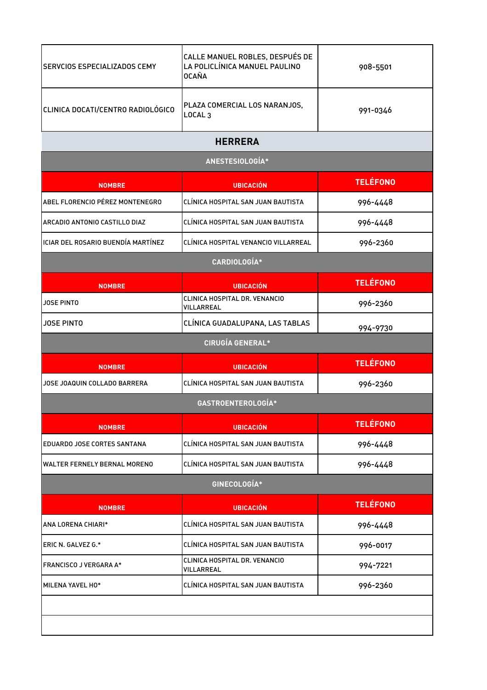| SERVCIOS ESPECIALIZADOS CEMY        | CALLE MANUEL ROBLES, DESPUÉS DE<br>LA POLICLÍNICA MANUEL PAULINO<br><b>OCAÑA</b> | 908-5501        |
|-------------------------------------|----------------------------------------------------------------------------------|-----------------|
| CLINICA DOCATI/CENTRO RADIOLÓGICO   | PLAZA COMERCIAL LOS NARANJOS,<br>LOCAL <sub>3</sub>                              | 991-0346        |
|                                     | <b>HERRERA</b>                                                                   |                 |
|                                     | ANESTESIOLOGÍA*                                                                  |                 |
| <b>NOMBRE</b>                       | <b>UBICACIÓN</b>                                                                 | <b>TELÉFONO</b> |
| ABEL FLORENCIO PÉREZ MONTENEGRO     | CLÍNICA HOSPITAL SAN JUAN BAUTISTA                                               | 996-4448        |
| ARCADIO ANTONIO CASTILLO DIAZ       | CLÍNICA HOSPITAL SAN JUAN BAUTISTA                                               | 996-4448        |
| ICIAR DEL ROSARIO BUENDÍA MARTÍNEZ  | CLÍNICA HOSPITAL VENANCIO VILLARREAL                                             | 996-2360        |
|                                     | CARDIOLOGÍA*                                                                     |                 |
| <b>NOMBRE</b>                       | <b>UBICACIÓN</b>                                                                 | <b>TELÉFONO</b> |
| JOSE PINTO                          | CLINICA HOSPITAL DR. VENANCIO<br>VILLARREAL                                      | 996-2360        |
| <b>JOSE PINTO</b>                   | CLÍNICA GUADALUPANA, LAS TABLAS                                                  | 994-9730        |
|                                     | <b>CIRUGÍA GENERAL*</b>                                                          |                 |
| <b>NOMBRE</b>                       | <b>UBICACIÓN</b>                                                                 | <b>TELÉFONO</b> |
| JOSE JOAQUIN COLLADO BARRERA        | CLÍNICA HOSPITAL SAN JUAN BAUTISTA                                               | 996-2360        |
|                                     | GASTROENTEROLOGÍA*                                                               |                 |
| <b>NOMBRE</b>                       | <b>UBICACIÓN</b>                                                                 | <b>TELÉFONO</b> |
| EDUARDO JOSE CORTES SANTANA         | CLÍNICA HOSPITAL SAN JUAN BAUTISTA                                               | 996-4448        |
| <b>WALTER FERNELY BERNAL MORENO</b> | CLÍNICA HOSPITAL SAN JUAN BAUTISTA                                               | 996-4448        |
|                                     | GINECOLOGÍA*                                                                     |                 |
| <b>NOMBRE</b>                       | <b>UBICACIÓN</b>                                                                 | <b>TELÉFONO</b> |
| ANA LORENA CHIARI*                  | CLÍNICA HOSPITAL SAN JUAN BAUTISTA                                               | 996-4448        |
| ERIC N. GALVEZ G.*                  | CLÍNICA HOSPITAL SAN JUAN BAUTISTA                                               | 996-0017        |
| <b>FRANCISCO J VERGARA A*</b>       | CLINICA HOSPITAL DR. VENANCIO<br>VILLARREAL                                      | 994-7221        |
| MILENA YAVEL HO*                    | CLÍNICA HOSPITAL SAN JUAN BAUTISTA                                               | 996-2360        |
|                                     |                                                                                  |                 |
|                                     |                                                                                  |                 |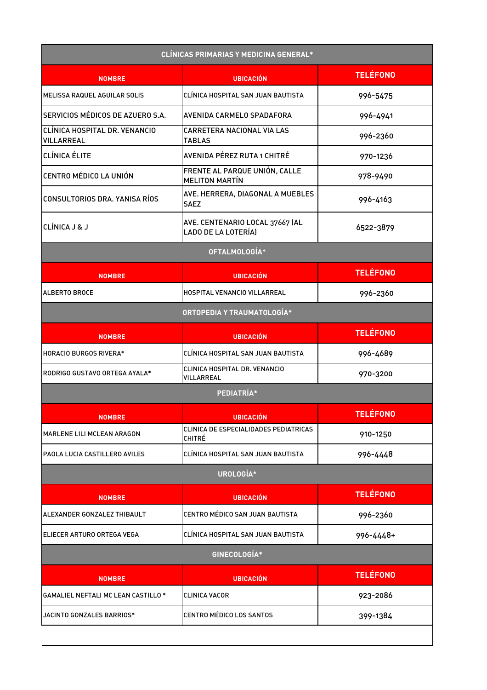| <b>CLÍNICAS PRIMARIAS Y MEDICINA GENERAL*</b>      |                                                        |                 |
|----------------------------------------------------|--------------------------------------------------------|-----------------|
| <b>NOMBRE</b>                                      | <b>UBICACIÓN</b>                                       | <b>TELÉFONO</b> |
| MELISSA RAQUEL AGUILAR SOLIS                       | CLÍNICA HOSPITAL SAN JUAN BAUTISTA                     | 996-5475        |
| SERVICIOS MÉDICOS DE AZUERO S.A.                   | AVENIDA CARMELO SPADAFORA                              | 996-4941        |
| CLÍNICA HOSPITAL DR. VENANCIO<br><b>VILLARREAL</b> | CARRETERA NACIONAL VIA LAS<br><b>TABLAS</b>            | 996-2360        |
| <b>CLÍNICA ÉLITE</b>                               | <b>AVENIDA PÉREZ RUTA 1 CHITRÉ</b>                     | 970-1236        |
| <b>CENTRO MÉDICO LA UNIÓN</b>                      | FRENTE AL PARQUE UNIÓN, CALLE<br><b>MELITON MARTÍN</b> | 978-9490        |
| CONSULTORIOS DRA. YANISA RÍOS                      | AVE. HERRERA, DIAGONAL A MUEBLES<br><b>SAEZ</b>        | 996-4163        |
| CLÍNICA J & J                                      | AVE. CENTENARIO LOCAL 37667 (AL<br>LADO DE LA LOTERÍA) | 6522-3879       |
|                                                    | OFTALMOLOGÍA*                                          |                 |
| <b>NOMBRE</b>                                      | <b>UBICACIÓN</b>                                       | <b>TELÉFONO</b> |
| ALBERTO BROCE                                      | HOSPITAL VENANCIO VILLARREAL                           | 996-2360        |
|                                                    | ORTOPEDIA Y TRAUMATOLOGÍA*                             |                 |
| <b>NOMBRE</b>                                      | <b>UBICACIÓN</b>                                       | <b>TELÉFONO</b> |
| <b>HORACIO BURGOS RIVERA*</b>                      | CLÍNICA HOSPITAL SAN JUAN BAUTISTA                     | 996-4689        |
| RODRIGO GUSTAVO ORTEGA AYALA*                      | CLINICA HOSPITAL DR. VENANCIO<br>VILLARREAL            | 970-3200        |
|                                                    | PEDIATRÍA*                                             |                 |
| <b>NOMBRE</b>                                      | <b>UBICACIÓN</b>                                       | <b>TELÉFONO</b> |
| MARLENE LILI MCLEAN ARAGON                         | CLINICA DE ESPECIALIDADES PEDIATRICAS<br><b>CHITRÉ</b> | 910-1250        |
| PAOLA LUCIA CASTILLERO AVILES                      | CLINICA HOSPITAL SAN JUAN BAUTISTA                     | 996-4448        |
|                                                    | UROLOGÍA*                                              |                 |
| <b>NOMBRE</b>                                      | <b>UBICACIÓN</b>                                       | <b>TELÉFONO</b> |
| ALEXANDER GONZALEZ THIBAULT                        | CENTRO MÉDICO SAN JUAN BAUTISTA                        | 996-2360        |
| ELIECER ARTURO ORTEGA VEGA                         | CLÍNICA HOSPITAL SAN JUAN BAUTISTA                     | 996-4448+       |
|                                                    | GINECOLOGÍA*                                           |                 |
| <b>NOMBRE</b>                                      | <b>UBICACIÓN</b>                                       | <b>TELÉFONO</b> |
| <b>GAMALIEL NEFTALI MC LEAN CASTILLO*</b>          | <b>CLINICA VACOR</b>                                   | 923-2086        |
| JACINTO GONZALES BARRIOS*                          | <b>CENTRO MÉDICO LOS SANTOS</b>                        | 399-1384        |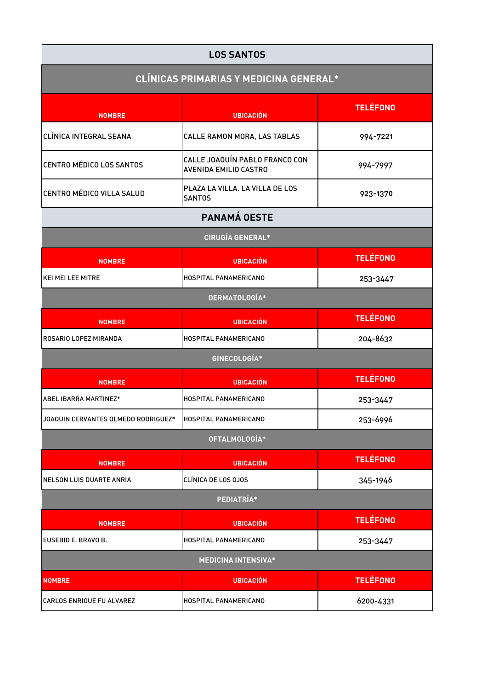| <b>LOS SANTOS</b>                             |                                                                |                 |
|-----------------------------------------------|----------------------------------------------------------------|-----------------|
| <b>CLÍNICAS PRIMARIAS Y MEDICINA GENERAL*</b> |                                                                |                 |
| <b>NOMBRE</b>                                 | <b>UBICACIÓN</b>                                               | <b>TELÉFONO</b> |
| CLÍNICA INTEGRAL SEANA                        | CALLE RAMON MORA, LAS TABLAS                                   | 994-7221        |
| <b>CENTRO MÉDICO LOS SANTOS</b>               | CALLE JOAQUÍN PABLO FRANCO CON<br><b>AVENIDA EMILIO CASTRO</b> | 994-7997        |
| CENTRO MÉDICO VILLA SALUD                     | PLAZA LA VILLA. LA VILLA DE LOS<br><b>SANTOS</b>               | 923-1370        |
|                                               | PANAMÁ OESTE                                                   |                 |
|                                               | <b>CIRUGÍA GENERAL*</b>                                        |                 |
| <b>NOMBRE</b>                                 | <b>UBICACIÓN</b>                                               | <b>TELÉFONO</b> |
| <b>KEI MEI LEE MITRE</b>                      | <b>HOSPITAL PANAMERICANO</b>                                   | 253-3447        |
|                                               | DERMATOLOGÍA*                                                  |                 |
| <b>NOMBRE</b>                                 | <b>UBICACIÓN</b>                                               | <b>TELÉFONO</b> |
| ROSARIO LOPEZ MIRANDA                         | HOSPITAL PANAMERICANO                                          | 204-8632        |
|                                               | GINECOLOGÍA*                                                   |                 |
| <b>NOMBRE</b>                                 | <b>UBICACIÓN</b>                                               | <b>TELÉFONO</b> |
| <b>ABEL IBARRA MARTINEZ*</b>                  | HOSPITAL PANAMERICANO                                          | 253-3447        |
| JOAQUIN CERVANTES OLMEDO RODRIGUEZ*           | HOSPITAL PANAMERICANO                                          | 253-6996        |
|                                               | OFTALMOLOGÍA*                                                  |                 |
| <b>NOMBRE</b>                                 | <b>UBICACIÓN</b>                                               | <b>TELÉFONO</b> |
| NELSON LUIS DUARTE ANRIA                      | CLÍNICA DE LOS 0JOS                                            | 345-1946        |
|                                               | PEDIATRÍA*                                                     |                 |
| <b>NOMBRE</b>                                 | <b>UBICACIÓN</b>                                               | <b>TELÉFONO</b> |
| EUSEBIO E. BRAVO B.                           | HOSPITAL PANAMERICANO                                          | 253-3447        |
|                                               | <b>MEDICINA INTENSIVA*</b>                                     |                 |
| <b>NOMBRE</b>                                 | <b>UBICACIÓN</b>                                               | <b>TELÉFONO</b> |
| <b>CARLOS ENRIQUE FU ALVAREZ</b>              | HOSPITAL PANAMERICANO                                          | 6200-4331       |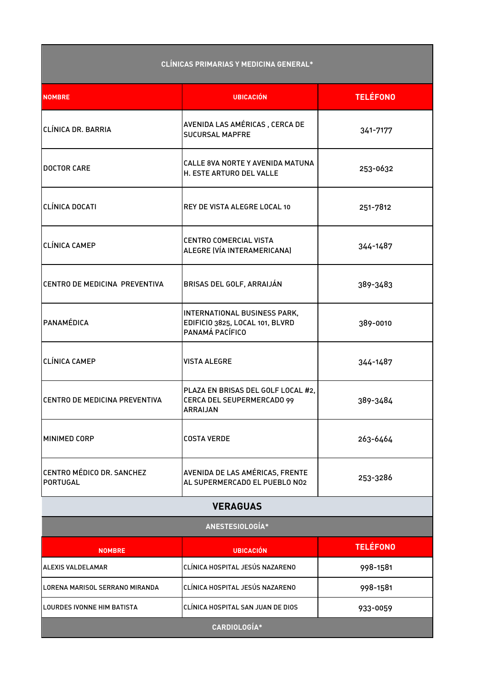| <b>CLÍNICAS PRIMARIAS Y MEDICINA GENERAL*</b> |                                                                                     |                 |  |  |
|-----------------------------------------------|-------------------------------------------------------------------------------------|-----------------|--|--|
| <b>NOMBRE</b>                                 | <b>UBICACIÓN</b>                                                                    | <b>TELÉFONO</b> |  |  |
| CLÍNICA DR. BARRIA                            | AVENIDA LAS AMÉRICAS, CERCA DE<br><b>SUCURSAL MAPFRE</b>                            | 341-7177        |  |  |
| <b>DOCTOR CARE</b>                            | CALLE 8VA NORTE Y AVENIDA MATUNA<br>H. ESTE ARTURO DEL VALLE                        | 253-0632        |  |  |
| CLÍNICA DOCATI                                | REY DE VISTA ALEGRE LOCAL 10                                                        | 251-7812        |  |  |
| <b>CLÍNICA CAMEP</b>                          | <b>CENTRO COMERCIAL VISTA</b><br>ALEGRE (VÍA INTERAMERICANA)                        | 344-1487        |  |  |
| CENTRO DE MEDICINA PREVENTIVA                 | BRISAS DEL GOLF, ARRAIJÁN                                                           | 389-3483        |  |  |
| PANAMÉDICA                                    | INTERNATIONAL BUSINESS PARK,<br>EDIFICIO 3825, LOCAL 101, BLVRD<br>PANAMÁ PACÍFICO  | 389-0010        |  |  |
| <b>CLÍNICA CAMEP</b>                          | <b>VISTA ALEGRE</b>                                                                 | 344-1487        |  |  |
| CENTRO DE MEDICINA PREVENTIVA                 | PLAZA EN BRISAS DEL GOLF LOCAL #2,<br>CERCA DEL SEUPERMERCADO 99<br><b>ARRAIJAN</b> | 389-3484        |  |  |
| <b>MINIMED CORP</b>                           | <b>COSTA VERDE</b>                                                                  | 263-6464        |  |  |
| CENTRO MÉDICO DR. SANCHEZ<br>PORTUGAL         | AVENIDA DE LAS AMÉRICAS, FRENTE<br>AL SUPERMERCADO EL PUEBLO NO2                    | 253-3286        |  |  |
| <b>VERAGUAS</b>                               |                                                                                     |                 |  |  |
| ANESTESIOLOGÍA*                               |                                                                                     |                 |  |  |
| <b>NOMBRE</b>                                 | <b>UBICACIÓN</b>                                                                    | <b>TELÉFONO</b> |  |  |
| <b>ALEXIS VALDELAMAR</b>                      | CLÍNICA HOSPITAL JESÚS NAZARENO                                                     | 998-1581        |  |  |
| LORENA MARISOL SERRANO MIRANDA                | CLÍNICA HOSPITAL JESÚS NAZARENO                                                     | 998-1581        |  |  |
| LOURDES IVONNE HIM BATISTA                    | CLÍNICA HOSPITAL SAN JUAN DE DIOS                                                   | 933-0059        |  |  |
| CARDIOLOGÍA*                                  |                                                                                     |                 |  |  |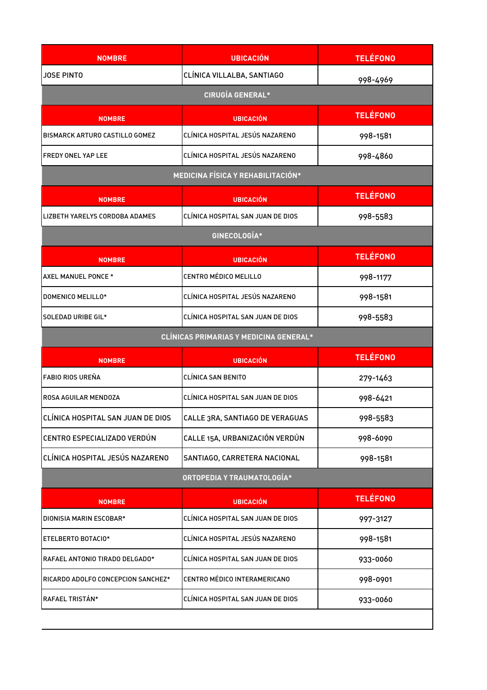| <b>NOMBRE</b>                            | <b>UBICACIÓN</b>                              | <b>TELÉFONO</b> |  |  |
|------------------------------------------|-----------------------------------------------|-----------------|--|--|
| <b>JOSE PINTO</b>                        | CLÍNICA VILLALBA, SANTIAGO                    | 998-4969        |  |  |
| <b>CIRUGÍA GENERAL*</b>                  |                                               |                 |  |  |
| <b>NOMBRE</b>                            | <b>UBICACIÓN</b>                              | <b>TELÉFONO</b> |  |  |
| BISMARCK ARTURO CASTILLO GOMEZ           | CLÍNICA HOSPITAL JESÚS NAZARENO               | 998-1581        |  |  |
| FREDY ONEL YAP LEE                       | CLÍNICA HOSPITAL JESÚS NAZARENO               | 998-4860        |  |  |
| <b>MEDICINA FÍSICA Y REHABILITACIÓN*</b> |                                               |                 |  |  |
| <b>NOMBRE</b>                            | <b>UBICACIÓN</b>                              | <b>TELÉFONO</b> |  |  |
| LIZBETH YARELYS CORDOBA ADAMES           | CLÍNICA HOSPITAL SAN JUAN DE DIOS             | 998-5583        |  |  |
| GINECOLOGÍA*                             |                                               |                 |  |  |
| <b>NOMBRE</b>                            | <b>UBICACIÓN</b>                              | <b>TELÉFONO</b> |  |  |
| AXEL MANUEL PONCE *                      | <b>CENTRO MÉDICO MELILLO</b>                  | 998-1177        |  |  |
| DOMENICO MELILLO*                        | CLÍNICA HOSPITAL JESÚS NAZARENO               | 998-1581        |  |  |
| SOLEDAD URIBE GIL*                       | CLÍNICA HOSPITAL SAN JUAN DE DIOS             | 998-5583        |  |  |
|                                          | <b>CLÍNICAS PRIMARIAS Y MEDICINA GENERAL*</b> |                 |  |  |
| <b>NOMBRE</b>                            | <b>UBICACIÓN</b>                              | <b>TELÉFONO</b> |  |  |
| FABIO RIOS UREÑA                         | <b>CLÍNICA SAN BENITO</b>                     | 279-1463        |  |  |
| ROSA AGUILAR MENDOZA                     | CLÍNICA HOSPITAL SAN JUAN DE DIOS             | 998-6421        |  |  |
| CLÍNICA HOSPITAL SAN JUAN DE DIOS        | CALLE 3RA, SANTIAGO DE VERAGUAS               | 998-5583        |  |  |
| CENTRO ESPECIALIZADO VERDÚN              | CALLE 15A, URBANIZACIÓN VERDÚN                | 998-6090        |  |  |
| CLÍNICA HOSPITAL JESÚS NAZARENO          | SANTIAGO, CARRETERA NACIONAL                  | 998-1581        |  |  |
| ORTOPEDIA Y TRAUMATOLOGÍA*               |                                               |                 |  |  |
| <b>NOMBRE</b>                            | <b>UBICACIÓN</b>                              | <b>TELÉFONO</b> |  |  |
| DIONISIA MARIN ESCOBAR*                  | CLÍNICA HOSPITAL SAN JUAN DE DIOS             | 997-3127        |  |  |
| ETELBERTO BOTACIO*                       | CLÍNICA HOSPITAL JESÚS NAZARENO               | 998-1581        |  |  |
| RAFAEL ANTONIO TIRADO DELGADO*           | CLÍNICA HOSPITAL SAN JUAN DE DIOS             | 933-0060        |  |  |
| RICARDO ADOLFO CONCEPCION SANCHEZ*       | CENTRO MÉDICO INTERAMERICANO                  | 998-0901        |  |  |
| RAFAEL TRISTÁN*                          | CLÍNICA HOSPITAL SAN JUAN DE DIOS             | 933-0060        |  |  |
|                                          |                                               |                 |  |  |